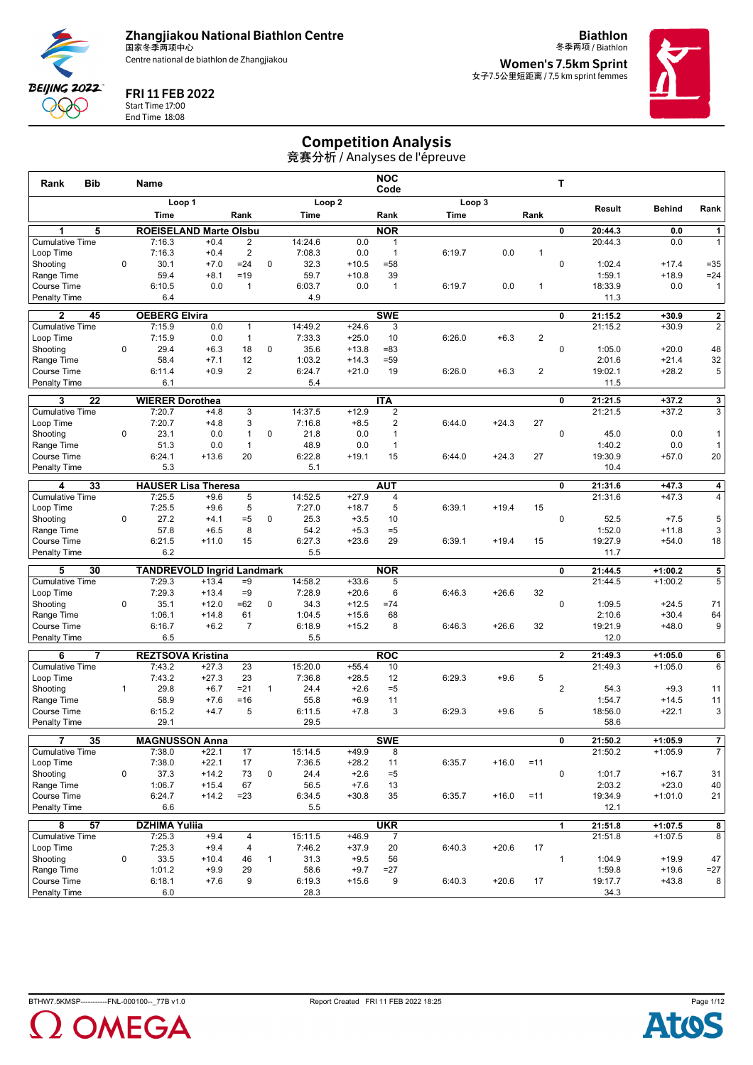

**Biathlon**



FRI 11 FEB 2022

Start Time 17:00 End Time 18:08

冬季两项 / Biathlon **Women's 7.5km Sprint** 女子7.5公里短距离 / 7,5 km sprint femmes



## Competition Analysis

| <b>Bib</b><br>Rank                  |              | Name                           |                                   |                         |              |                   |                    | <b>NOC</b><br>Code           |        |         |                | т              |                    |                        |                         |
|-------------------------------------|--------------|--------------------------------|-----------------------------------|-------------------------|--------------|-------------------|--------------------|------------------------------|--------|---------|----------------|----------------|--------------------|------------------------|-------------------------|
|                                     |              |                                | Loop 1                            |                         |              |                   | Loop <sub>2</sub>  |                              |        | Loop 3  |                |                | Result             | <b>Behind</b>          | Rank                    |
|                                     |              | Time                           |                                   | Rank                    |              | Time              |                    | Rank                         | Time   |         | Rank           |                |                    |                        |                         |
| 5<br>1                              |              |                                | <b>ROEISELAND Marte Olsbu</b>     |                         |              |                   |                    | <b>NOR</b>                   |        |         |                | 0              | 20:44.3            | 0.0                    | $\mathbf{1}$            |
| <b>Cumulative Time</b>              |              | 7:16.3                         | $+0.4$                            | $\overline{2}$          |              | 14:24.6           | 0.0                | 1                            |        |         |                |                | 20:44.3            | 0.0                    | $\mathbf{1}$            |
| Loop Time                           |              | 7:16.3                         | $+0.4$                            | $\overline{2}$          |              | 7:08.3            | 0.0                | $\mathbf{1}$                 | 6:19.7 | 0.0     | $\mathbf{1}$   |                |                    |                        |                         |
| Shooting                            | 0            | 30.1                           | $+7.0$                            | $=24$                   | 0            | 32.3              | $+10.5$            | $= 58$                       |        |         |                | $\mathbf 0$    | 1:02.4             | $+17.4$                | $= 35$                  |
| Range Time                          |              | 59.4                           | $+8.1$                            | $=19$                   |              | 59.7              | $+10.8$            | 39                           |        |         |                |                | 1:59.1             | $+18.9$                | $= 24$                  |
| Course Time<br><b>Penalty Time</b>  |              | 6:10.5<br>6.4                  | 0.0                               | $\mathbf{1}$            |              | 6:03.7<br>4.9     | 0.0                | $\overline{1}$               | 6:19.7 | 0.0     | 1              |                | 18:33.9<br>11.3    | 0.0                    | $\mathbf{1}$            |
|                                     |              |                                |                                   |                         |              |                   |                    |                              |        |         |                |                |                    |                        |                         |
| $\mathbf{2}$<br>45                  |              | <b>OEBERG Elvira</b>           |                                   |                         |              |                   |                    | <b>SWE</b>                   |        |         |                | 0              | 21:15.2            | $+30.9$                | $\overline{2}$          |
| <b>Cumulative Time</b>              |              | 7:15.9                         | 0.0                               | $\mathbf{1}$            |              | 14:49.2           | $+24.6$            | 3                            |        |         |                |                | 21:15.2            | $+30.9$                | $\overline{2}$          |
| Loop Time<br>Shooting               | 0            | 7:15.9<br>29.4                 | 0.0<br>$+6.3$                     | $\mathbf{1}$<br>18      | $\pmb{0}$    | 7:33.3<br>35.6    | $+25.0$<br>$+13.8$ | 10<br>$= 83$                 | 6:26.0 | $+6.3$  | $\overline{c}$ | $\mathbf 0$    | 1:05.0             | $+20.0$                | 48                      |
| Range Time                          |              | 58.4                           | $+7.1$                            | 12                      |              | 1:03.2            | $+14.3$            | $= 59$                       |        |         |                |                | 2:01.6             | $+21.4$                | 32                      |
| Course Time                         |              | 6:11.4                         | $+0.9$                            | $\overline{2}$          |              | 6:24.7            | $+21.0$            | 19                           | 6:26.0 | $+6.3$  | 2              |                | 19:02.1            | $+28.2$                | 5                       |
| <b>Penalty Time</b>                 |              | 6.1                            |                                   |                         |              | 5.4               |                    |                              |        |         |                |                | 11.5               |                        |                         |
| $\overline{22}$<br>3                |              | <b>WIERER Dorothea</b>         |                                   |                         |              |                   |                    | <b>ITA</b>                   |        |         |                | 0              | 21:21.5            | $+37.2$                | $\overline{\mathbf{3}}$ |
| <b>Cumulative Time</b>              |              | 7:20.7                         | $+4.8$                            | $\overline{3}$          |              | 14:37.5           | $+12.9$            | $\overline{c}$               |        |         |                |                | 21:21.5            | $+37.2$                | $\overline{3}$          |
| Loop Time                           |              | 7:20.7                         | $+4.8$                            | 3                       |              | 7:16.8            | $+8.5$             | 2                            | 6:44.0 | $+24.3$ | 27             |                |                    |                        |                         |
| Shooting                            | $\mathbf 0$  | 23.1                           | 0.0                               | $\mathbf{1}$            | $\mathbf 0$  | 21.8              | 0.0                | $\mathbf{1}$                 |        |         |                | $\mathbf 0$    | 45.0               | 0.0                    | 1                       |
| Range Time                          |              | 51.3                           | 0.0                               | $\mathbf{1}$            |              | 48.9              | 0.0                | $\mathbf{1}$                 |        |         |                |                | 1:40.2             | 0.0                    | 1                       |
| Course Time                         |              | 6:24.1                         | $+13.6$                           | 20                      |              | 6:22.8            | $+19.1$            | 15                           | 6:44.0 | $+24.3$ | 27             |                | 19:30.9            | $+57.0$                | 20                      |
| <b>Penalty Time</b>                 |              | 5.3                            |                                   |                         |              | 5.1               |                    |                              |        |         |                |                | 10.4               |                        |                         |
| 33<br>4                             |              |                                | <b>HAUSER Lisa Theresa</b>        |                         |              |                   |                    | <b>AUT</b>                   |        |         |                | 0              | 21:31.6            | $+47.3$                | 4                       |
| <b>Cumulative Time</b>              |              | 7:25.5                         | $+9.6$                            | 5                       |              | 14:52.5           | $+27.9$            | 4                            |        |         |                |                | 21:31.6            | $+47.3$                | 4                       |
| Loop Time                           |              | 7:25.5                         | $+9.6$                            | 5                       |              | 7:27.0            | $+18.7$            | 5                            | 6:39.1 | $+19.4$ | 15             |                |                    |                        |                         |
| Shooting                            | $\mathbf 0$  | 27.2                           | $+4.1$                            | $= 5$                   | 0            | 25.3              | $+3.5$             | 10                           |        |         |                | $\pmb{0}$      | 52.5               | $+7.5$                 | 5                       |
| Range Time                          |              | 57.8                           | $+6.5$                            | 8                       |              | 54.2              | $+5.3$             | $=5$<br>29                   |        |         |                |                | 1:52.0             | $+11.8$                | 3                       |
| Course Time<br><b>Penalty Time</b>  |              | 6:21.5<br>6.2                  | $+11.0$                           | 15                      |              | 6:27.3<br>5.5     | $+23.6$            |                              | 6:39.1 | $+19.4$ | 15             |                | 19:27.9<br>11.7    | $+54.0$                | 18                      |
|                                     |              |                                |                                   |                         |              |                   |                    |                              |        |         |                |                |                    |                        |                         |
| 30<br>5                             |              |                                | <b>TANDREVOLD Ingrid Landmark</b> |                         |              |                   |                    | <b>NOR</b>                   |        |         |                | 0              | 21:44.5            | $+1:00.2$              | 5                       |
| <b>Cumulative Time</b><br>Loop Time |              | 7:29.3<br>7:29.3               | $+13.4$<br>$+13.4$                | $=9$<br>$=9$            |              | 14:58.2<br>7:28.9 | $+33.6$<br>$+20.6$ | 5<br>6                       | 6:46.3 | $+26.6$ | 32             |                | 21:44.5            | $+1:00.2$              | 5                       |
| Shooting                            | $\mathbf 0$  | 35.1                           | $+12.0$                           | $=62$                   | $\mathbf 0$  | 34.3              | $+12.5$            | $=74$                        |        |         |                | $\mathbf 0$    | 1:09.5             | $+24.5$                | 71                      |
| Range Time                          |              | 1:06.1                         | $+14.8$                           | 61                      |              | 1:04.5            | $+15.6$            | 68                           |        |         |                |                | 2:10.6             | $+30.4$                | 64                      |
| Course Time                         |              | 6:16.7                         | $+6.2$                            | $\overline{7}$          |              | 6:18.9            | $+15.2$            | 8                            | 6:46.3 | $+26.6$ | 32             |                | 19:21.9            | $+48.0$                | 9                       |
| <b>Penalty Time</b>                 |              | 6.5                            |                                   |                         |              | 5.5               |                    |                              |        |         |                |                | 12.0               |                        |                         |
| $\overline{\mathbf{z}}$<br>6        |              |                                | <b>REZTSOVA Kristina</b>          |                         |              |                   |                    | <b>ROC</b>                   |        |         |                | $\mathbf{2}$   | 21:49.3            | $+1:05.0$              | 6                       |
| <b>Cumulative Time</b>              |              | 7:43.2                         | $+27.3$                           | 23                      |              | 15:20.0           | $+55.4$            | 10                           |        |         |                |                | 21:49.3            | $+1:05.0$              | 6                       |
| Loop Time                           |              | 7:43.2                         | $+27.3$                           | 23                      |              | 7:36.8            | $+28.5$            | 12                           | 6:29.3 | $+9.6$  | 5              |                |                    |                        |                         |
| Shooting                            | $\mathbf{1}$ | 29.8                           | $+6.7$                            | $= 21$                  | $\mathbf{1}$ | 24.4              | $+2.6$             | $=5$                         |        |         |                | $\overline{2}$ | 54.3               | $+9.3$                 | 11                      |
| Range Time                          |              | 58.9                           | $+7.6$                            | $=16$                   |              | 55.8              | $+6.9$             | 11                           |        |         |                |                | 1:54.7             | $+14.5$                | 11                      |
| Course Time                         |              | 6:15.2                         | $+4.7$                            | 5                       |              | 6:11.5            | $+7.8$             | 3                            | 6:29.3 | $+9.6$  | 5              |                | 18:56.0            | $+22.1$                | 3                       |
| <b>Penalty Time</b>                 |              | 29.1                           |                                   |                         |              | 29.5              |                    |                              |        |         |                |                | 58.6               |                        |                         |
| 35                                  |              |                                | <b>MAGNUSSON Anna</b>             |                         |              |                   |                    | <b>SWE</b>                   |        |         |                | 0              | 21:50.2            | $+1:05.9$              | 7                       |
| <b>Cumulative Time</b>              |              | 7:38.0                         | $+22.1$                           | 17                      |              | 15:14.5           | $+49.9$            | 8                            |        |         |                |                | 21:50.2            | $+1:05.9$              | $\overline{7}$          |
| Loop Time                           |              | 7:38.0                         | $+22.1$                           | 17                      |              | 7:36.5            | $+28.2$            | 11                           | 6:35.7 | $+16.0$ | $=11$          |                |                    |                        |                         |
| Shooting                            | 0            | 37.3                           | $+14.2$                           | 73                      | 0            | 24.4              | $+2.6$             | $= 5$                        |        |         |                | $\mathbf 0$    | 1:01.7             | $+16.7$                | 31                      |
| Range Time<br>Course Time           |              | 1:06.7<br>6:24.7               | $+15.4$<br>$+14.2$                | 67<br>$= 23$            |              | 56.5<br>6:34.5    | $+7.6$<br>$+30.8$  | 13<br>35                     | 6:35.7 | $+16.0$ | $=11$          |                | 2:03.2<br>19:34.9  | $+23.0$<br>$+1:01.0$   | 40<br>21                |
| <b>Penalty Time</b>                 |              | 6.6                            |                                   |                         |              | 5.5               |                    |                              |        |         |                |                | 12.1               |                        |                         |
|                                     |              |                                |                                   |                         |              |                   |                    |                              |        |         |                |                |                    |                        |                         |
| 57<br>8<br><b>Cumulative Time</b>   |              | <b>DZHIMA Yuliia</b><br>7:25.3 | $+9.4$                            | 4                       |              | 15:11.5           | $+46.9$            | <b>UKR</b><br>$\overline{7}$ |        |         |                | 1              | 21:51.8<br>21:51.8 | $+1:07.5$<br>$+1:07.5$ | 8<br>$\overline{8}$     |
| Loop Time                           |              | 7:25.3                         | $+9.4$                            | $\overline{\mathbf{4}}$ |              | 7:46.2            | $+37.9$            | 20                           | 6:40.3 | $+20.6$ | 17             |                |                    |                        |                         |
| Shooting                            | 0            | 33.5                           | $+10.4$                           | 46                      | $\mathbf{1}$ | 31.3              | $+9.5$             | 56                           |        |         |                | $\mathbf{1}$   | 1:04.9             | $+19.9$                | 47                      |
| Range Time                          |              | 1:01.2                         | $+9.9$                            | 29                      |              | 58.6              | $+9.7$             | $=27$                        |        |         |                |                | 1:59.8             | $+19.6$                | $=27$                   |
| Course Time                         |              | 6:18.1                         | $+7.6$                            | 9                       |              | 6:19.3            | $+15.6$            | 9                            | 6:40.3 | $+20.6$ | 17             |                | 19:17.7            | $+43.8$                | 8 <sup>1</sup>          |
| <b>Penalty Time</b>                 |              | 6.0                            |                                   |                         |              | 28.3              |                    |                              |        |         |                |                | 34.3               |                        |                         |



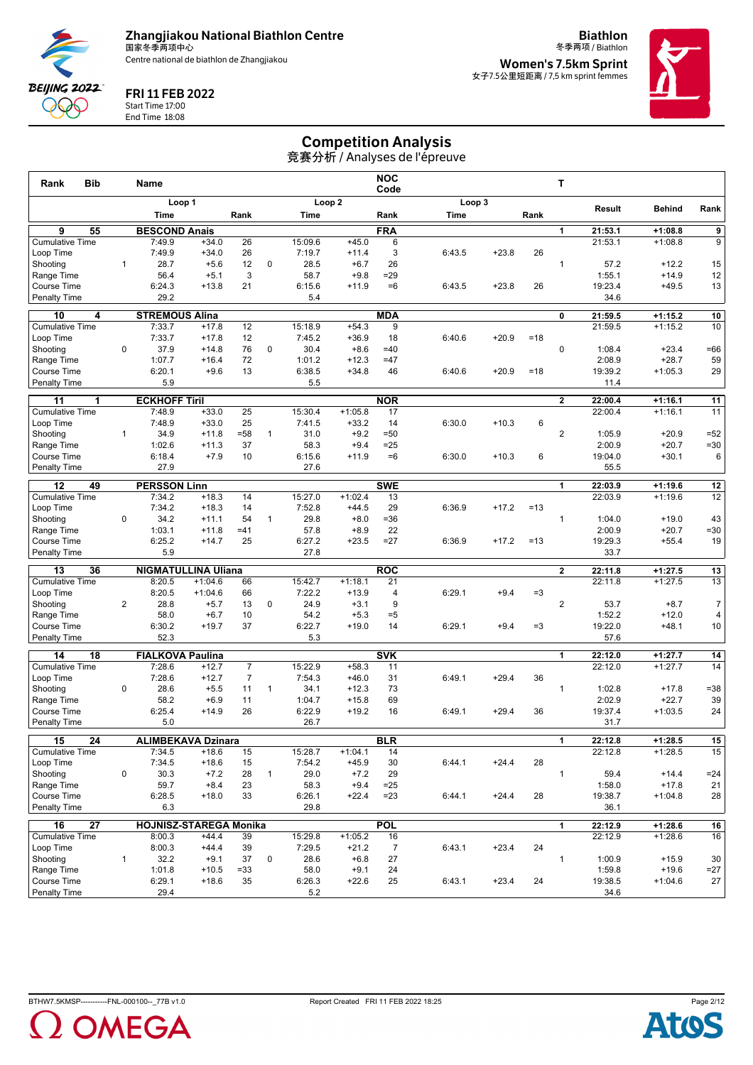

**Biathlon** 冬季两项 / Biathlon



#### FRI 11 FEB 2022

Start Time 17:00 End Time 18:08 **Women's 7.5km Sprint** 女子7.5公里短距离 / 7,5 km sprint femmes



## Competition Analysis

| <b>Bib</b><br>Rank                              |                | Name                                    |                    |                  |              |                |                   | <b>NOC</b><br>Code |        |         |       | т              |                    |                        |                 |
|-------------------------------------------------|----------------|-----------------------------------------|--------------------|------------------|--------------|----------------|-------------------|--------------------|--------|---------|-------|----------------|--------------------|------------------------|-----------------|
|                                                 |                |                                         | Loop 1             |                  |              |                | Loop <sub>2</sub> |                    |        | Loop 3  |       |                | Result             | <b>Behind</b>          | Rank            |
|                                                 |                | Time                                    |                    | Rank             |              | Time           |                   | Rank               | Time   |         | Rank  |                |                    |                        |                 |
| $\overline{9}$<br>55                            |                | <b>BESCOND Anais</b>                    |                    |                  |              |                |                   | <b>FRA</b>         |        |         |       | 1              | 21:53.1            | $+1:08.8$              | $\overline{9}$  |
| <b>Cumulative Time</b>                          |                | 7:49.9                                  | $+34.0$            | 26               |              | 15:09.6        | $+45.0$           | 6                  |        |         |       |                | 21:53.1            | $+1:08.8$              | 9               |
| Loop Time                                       |                | 7:49.9                                  | $+34.0$            | 26               |              | 7:19.7         | $+11.4$           | 3                  | 6:43.5 | $+23.8$ | 26    |                |                    |                        |                 |
| Shooting                                        | $\mathbf{1}$   | 28.7                                    | $+5.6$             | 12               | 0            | 28.5           | $+6.7$            | 26                 |        |         |       | $\mathbf{1}$   | 57.2               | $+12.2$                | 15              |
| Range Time                                      |                | 56.4                                    | $+5.1$             | 3                |              | 58.7           | $+9.8$            | $= 29$             |        |         |       |                | 1:55.1             | $+14.9$                | 12              |
| <b>Course Time</b>                              |                | 6:24.3<br>29.2                          | $+13.8$            | 21               |              | 6:15.6         | $+11.9$           | $=6$               | 6:43.5 | $+23.8$ | 26    |                | 19:23.4            | $+49.5$                | 13              |
| Penalty Time                                    |                |                                         |                    |                  |              | 5.4            |                   |                    |        |         |       |                | 34.6               |                        |                 |
| 10<br>4                                         |                | <b>STREMOUS Alina</b>                   |                    |                  |              |                |                   | <b>MDA</b>         |        |         |       | 0              | 21:59.5            | $+1:15.2$              | 10              |
| <b>Cumulative Time</b>                          |                | 7:33.7                                  | $+17.8$            | 12               |              | 15:18.9        | $+54.3$           | 9                  |        |         |       |                | 21:59.5            | $+1:15.2$              | 10              |
| Loop Time                                       |                | 7:33.7                                  | $+17.8$            | 12               |              | 7:45.2         | $+36.9$           | 18                 | 6:40.6 | $+20.9$ | $=18$ |                |                    |                        |                 |
| Shooting                                        | $\mathbf 0$    | 37.9                                    | $+14.8$            | 76               | $\mathbf 0$  | 30.4           | $+8.6$            | $=40$              |        |         |       | $\mathbf 0$    | 1:08.4             | $+23.4$                | $=66$           |
| Range Time                                      |                | 1:07.7<br>6:20.1                        | $+16.4$            | 72<br>13         |              | 1:01.2         | $+12.3$           | $=47$              |        |         |       |                | 2:08.9             | $+28.7$                | 59              |
| <b>Course Time</b><br><b>Penalty Time</b>       |                | 5.9                                     | $+9.6$             |                  |              | 6:38.5<br>5.5  | $+34.8$           | 46                 | 6:40.6 | $+20.9$ | $=18$ |                | 19:39.2<br>11.4    | $+1:05.3$              | 29              |
|                                                 |                |                                         |                    |                  |              |                |                   |                    |        |         |       |                |                    |                        |                 |
| 11<br>1                                         |                | <b>ECKHOFF Tiril</b>                    |                    |                  |              |                |                   | <b>NOR</b>         |        |         |       | $\mathbf{2}$   | 22:00.4            | $+1:16.1$              | 11              |
| <b>Cumulative Time</b>                          |                | 7:48.9                                  | $+33.0$            | 25               |              | 15:30.4        | $+1:05.8$         | 17                 |        |         |       |                | 22:00.4            | $+1:16.1$              | 11              |
| Loop Time<br>Shooting                           | $\mathbf{1}$   | 7:48.9<br>34.9                          | $+33.0$<br>$+11.8$ | 25<br>$= 58$     | $\mathbf{1}$ | 7:41.5<br>31.0 | $+33.2$<br>$+9.2$ | 14<br>$=50$        | 6:30.0 | $+10.3$ | 6     | $\overline{2}$ | 1:05.9             | $+20.9$                | $=52$           |
| Range Time                                      |                | 1:02.6                                  | $+11.3$            | 37               |              | 58.3           | $+9.4$            | $=25$              |        |         |       |                | 2:00.9             | $+20.7$                | $= 30$          |
| <b>Course Time</b>                              |                | 6:18.4                                  | $+7.9$             | 10               |              | 6:15.6         | $+11.9$           | $=6$               | 6:30.0 | $+10.3$ | 6     |                | 19:04.0            | $+30.1$                | 6               |
| <b>Penalty Time</b>                             |                | 27.9                                    |                    |                  |              | 27.6           |                   |                    |        |         |       |                | 55.5               |                        |                 |
|                                                 |                |                                         |                    |                  |              |                |                   |                    |        |         |       |                |                    |                        |                 |
| 12<br>49<br><b>Cumulative Time</b>              |                | <b>PERSSON Linn</b><br>7:34.2           | $+18.3$            | 14               |              | 15:27.0        | $+1:02.4$         | <b>SWE</b><br>13   |        |         |       | 1              | 22:03.9<br>22:03.9 | $+1:19.6$<br>$+1:19.6$ | 12<br>12        |
| Loop Time                                       |                | 7:34.2                                  | $+18.3$            | 14               |              | 7:52.8         | $+44.5$           | 29                 | 6:36.9 | $+17.2$ | $=13$ |                |                    |                        |                 |
| Shooting                                        | 0              | 34.2                                    | $+11.1$            | 54               | $\mathbf{1}$ | 29.8           | $+8.0$            | $= 36$             |        |         |       | $\mathbf{1}$   | 1:04.0             | $+19.0$                | 43              |
| Range Time                                      |                | 1:03.1                                  | $+11.8$            | $=41$            |              | 57.8           | $+8.9$            | 22                 |        |         |       |                | 2:00.9             | $+20.7$                | $= 30$          |
| <b>Course Time</b>                              |                | 6:25.2                                  | $+14.7$            | 25               |              | 6:27.2         | $+23.5$           | $=27$              | 6:36.9 | $+17.2$ | $=13$ |                | 19:29.3            | $+55.4$                | 19              |
| <b>Penalty Time</b>                             |                | 5.9                                     |                    |                  |              | 27.8           |                   |                    |        |         |       |                | 33.7               |                        |                 |
| 13<br>36                                        |                | <b>NIGMATULLINA Uliana</b>              |                    |                  |              |                |                   | <b>ROC</b>         |        |         |       | $\overline{2}$ | 22:11.8            | $+1:27.5$              | 13              |
| <b>Cumulative Time</b>                          |                | 8:20.5                                  | $+1:04.6$          | 66               |              | 15:42.7        | $+1:18.1$         | 21                 |        |         |       |                | 22:11.8            | $+1:27.5$              | 13              |
| Loop Time                                       |                | 8:20.5                                  | $+1:04.6$          | 66               |              | 7:22.2         | $+13.9$           | 4                  | 6:29.1 | $+9.4$  | $=3$  |                |                    |                        |                 |
| Shooting                                        | $\overline{2}$ | 28.8                                    | $+5.7$             | 13               | $\mathbf 0$  | 24.9           | $+3.1$            | 9                  |        |         |       | 2              | 53.7               | $+8.7$                 | $\overline{7}$  |
| Range Time                                      |                | 58.0                                    | $+6.7$             | 10               |              | 54.2           | $+5.3$            | $= 5$              |        |         |       |                | 1:52.2             | $+12.0$                | 4               |
| Course Time                                     |                | 6:30.2                                  | $+19.7$            | 37               |              | 6:22.7         | $+19.0$           | 14                 | 6:29.1 | $+9.4$  | $=3$  |                | 19:22.0            | $+48.1$                | 10              |
| <b>Penalty Time</b>                             |                | 52.3                                    |                    |                  |              | 5.3            |                   |                    |        |         |       |                | 57.6               |                        |                 |
| 14<br>18                                        |                | <b>FIALKOVA Paulina</b>                 |                    |                  |              |                |                   | <b>SVK</b>         |        |         |       | 1              | 22:12.0            | $+1:27.7$              | 14              |
| <b>Cumulative Time</b>                          |                | 7:28.6                                  | $+12.7$            | $\overline{7}$   |              | 15:22.9        | $+58.3$           | 11                 |        |         |       |                | 22:12.0            | $+1:27.7$              | 14              |
| Loop Time                                       |                | 7:28.6                                  | $+12.7$            | $\boldsymbol{7}$ |              | 7:54.3         | $+46.0$           | 31                 | 6:49.1 | $+29.4$ | 36    |                |                    |                        |                 |
| Shooting                                        | $\mathbf 0$    | 28.6                                    | $+5.5$             | 11               | $\mathbf{1}$ | 34.1           | $+12.3$           | 73                 |        |         |       | $\mathbf{1}$   | 1:02.8             | $+17.8$                | $= 38$          |
| Range Time                                      |                | 58.2                                    | $+6.9$             | 11               |              | 1:04.7         | $+15.8$           | 69                 |        |         |       |                | 2:02.9             | $+22.7$                | 39              |
| Course Time                                     |                | 6:25.4                                  | $+14.9$            | 26               |              | 6:22.9         | $+19.2$           | 16                 | 6:49.1 | $+29.4$ | 36    |                | 19:37.4            | $+1:03.5$              | 24              |
| <b>Penalty Time</b>                             |                | 5.0                                     |                    |                  |              | 26.7           |                   |                    |        |         |       |                | 31.7               |                        |                 |
| $\overline{24}$<br>15                           |                | <b>ALIMBEKAVA Dzinara</b>               |                    |                  |              |                |                   | <b>BLR</b>         |        |         |       | 1              | 22:12.8            | $+1:28.5$              | $\overline{15}$ |
| <b>Cumulative Time</b>                          |                | 7:34.5                                  | $+18.6$            | 15               |              | 15:28.7        | $+1:04.1$         | 14                 |        |         |       |                | 22:12.8            | $+1:28.5$              | 15              |
| Loop Time                                       |                | 7:34.5                                  | $+18.6$            | 15               |              | 7:54.2         | $+45.9$           | 30                 | 6:44.1 | $+24.4$ | 28    |                |                    |                        |                 |
| Shooting                                        | 0              | 30.3<br>59.7                            | $+7.2$             | 28<br>23         | $\mathbf{1}$ | 29.0<br>58.3   | $+7.2$            | 29<br>$=25$        |        |         |       | $\mathbf{1}$   | 59.4<br>1:58.0     | $+14.4$<br>$+17.8$     | $= 24$          |
| Range Time<br>Course Time                       |                | 6:28.5                                  | $+8.4$<br>$+18.0$  | 33               |              | 6:26.1         | $+9.4$<br>$+22.4$ | $= 23$             | 6:44.1 | $+24.4$ | 28    |                | 19:38.7            | $+1:04.8$              | 21<br>28        |
| <b>Penalty Time</b>                             |                | 6.3                                     |                    |                  |              | 29.8           |                   |                    |        |         |       |                | 36.1               |                        |                 |
|                                                 |                |                                         |                    |                  |              |                |                   |                    |        |         |       |                |                    |                        |                 |
| $\overline{27}$<br>16<br><b>Cumulative Time</b> |                | <b>HOJNISZ-STAREGA Monika</b><br>8:00.3 | $+44.4$            | 39               |              | 15:29.8        | $+1:05.2$         | <b>POL</b><br>16   |        |         |       | 1              | 22:12.9<br>22:12.9 | $+1:28.6$<br>$+1:28.6$ | 16<br>16        |
| Loop Time                                       |                | 8:00.3                                  | $+44.4$            | 39               |              | 7:29.5         | $+21.2$           | $\overline{7}$     | 6:43.1 | $+23.4$ | 24    |                |                    |                        |                 |
| Shootina                                        | $\mathbf{1}$   | 32.2                                    | $+9.1$             | 37               | 0            | 28.6           | $+6.8$            | 27                 |        |         |       | $\mathbf{1}$   | 1:00.9             | $+15.9$                | 30              |
| Range Time                                      |                | 1:01.8                                  | $+10.5$            | $= 33$           |              | 58.0           | $+9.1$            | 24                 |        |         |       |                | 1:59.8             | $+19.6$                | $=27$           |
| Course Time                                     |                | 6:29.1                                  | $+18.6$            | 35               |              | 6:26.3         | $+22.6$           | 25                 | 6:43.1 | $+23.4$ | 24    |                | 19:38.5            | $+1:04.6$              | 27              |
| Penalty Time                                    |                | 29.4                                    |                    |                  |              | 5.2            |                   |                    |        |         |       |                | 34.6               |                        |                 |



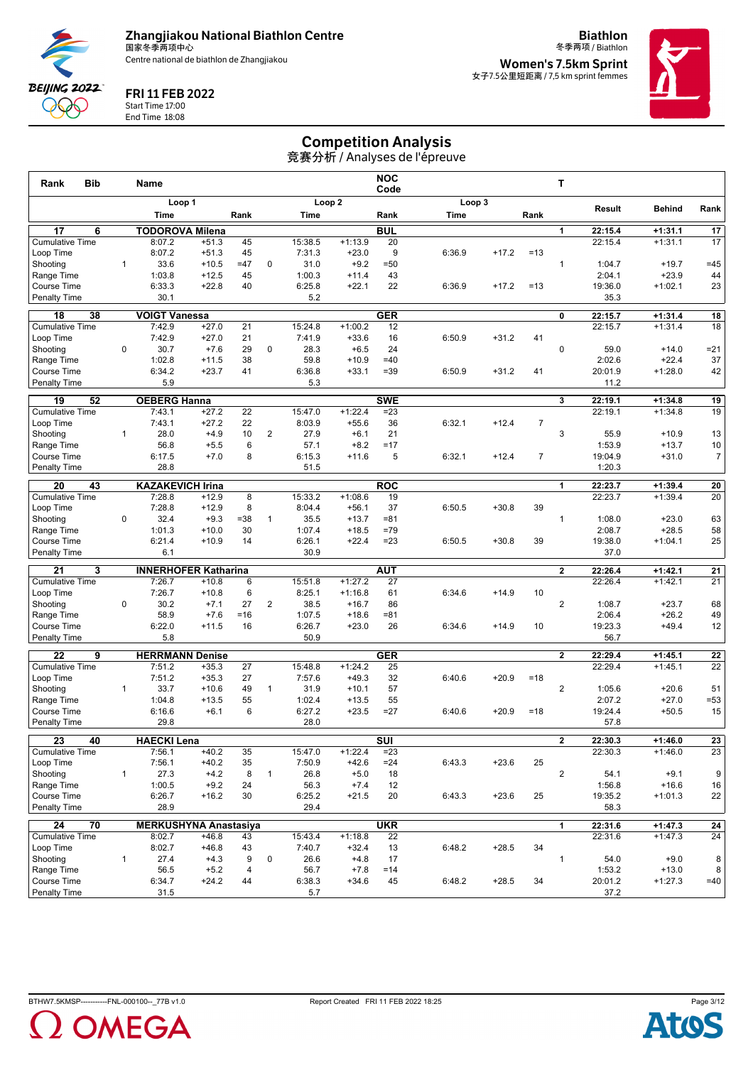

**Biathlon** 冬季两项 / Biathlon



FRI 11 FEB 2022

Start Time 17:00 End Time 18:08 **Women's 7.5km Sprint** 女子7.5公里短距离 / 7,5 km sprint femmes



## Competition Analysis

| <b>Bib</b><br>Rank                  |              | Name                         |                    |                |                |                   |                        | <b>NOC</b><br>Code      |        |         |                | т              |                   |                      |                  |
|-------------------------------------|--------------|------------------------------|--------------------|----------------|----------------|-------------------|------------------------|-------------------------|--------|---------|----------------|----------------|-------------------|----------------------|------------------|
|                                     |              | Loop 1                       |                    |                |                |                   | Loop <sub>2</sub>      |                         |        | Loop 3  |                |                | Result            | <b>Behind</b>        | Rank             |
|                                     |              | Time                         |                    | Rank           |                | Time              |                        | Rank                    | Time   |         | Rank           |                |                   |                      |                  |
| 17<br>6                             |              | <b>TODOROVA Milena</b>       |                    |                |                |                   |                        | <b>BUL</b>              |        |         |                | 1              | 22:15.4           | $+1:31.1$            | 17               |
| <b>Cumulative Time</b>              |              | 8:07.2                       | $+51.3$            | 45             |                | 15:38.5           | $+1:13.9$              | 20                      |        |         |                |                | 22:15.4           | $+1:31.1$            | 17               |
| Loop Time                           |              | 8:07.2                       | $+51.3$            | 45             |                | 7:31.3            | $+23.0$                | 9                       | 6:36.9 | $+17.2$ | $=13$          |                |                   |                      |                  |
| Shooting                            | $\mathbf{1}$ | 33.6                         | $+10.5$            | $=47$          | 0              | 31.0              | $+9.2$                 | $= 50$                  |        |         |                | $\mathbf{1}$   | 1:04.7            | $+19.7$              | $=45$            |
| Range Time                          |              | 1:03.8                       | $+12.5$            | 45             |                | 1:00.3            | $+11.4$                | 43<br>22                |        |         |                |                | 2:04.1            | $+23.9$              | 44               |
| Course Time<br><b>Penalty Time</b>  |              | 6:33.3<br>30.1               | $+22.8$            | 40             |                | 6:25.8<br>5.2     | $+22.1$                |                         | 6:36.9 | $+17.2$ | $=13$          |                | 19:36.0<br>35.3   | $+1:02.1$            | 23               |
|                                     |              |                              |                    |                |                |                   |                        |                         |        |         |                |                |                   |                      |                  |
| 38<br>18                            |              | <b>VOIGT Vanessa</b>         |                    |                |                |                   |                        | <b>GER</b>              |        |         |                | 0              | 22:15.7           | $+1:31.4$            | 18               |
| <b>Cumulative Time</b>              |              | 7:42.9                       | $+27.0$            | 21<br>21       |                | 15:24.8           | $+1:00.2$              | 12                      |        |         |                |                | 22:15.7           | $+1:31.4$            | 18               |
| Loop Time<br>Shooting               | $\mathbf 0$  | 7:42.9<br>30.7               | $+27.0$<br>$+7.6$  | 29             | 0              | 7:41.9<br>28.3    | $+33.6$<br>$+6.5$      | 16<br>24                | 6:50.9 | $+31.2$ | 41             | $\mathbf 0$    | 59.0              | $+14.0$              | $= 21$           |
| Range Time                          |              | 1:02.8                       | $+11.5$            | 38             |                | 59.8              | $+10.9$                | $=40$                   |        |         |                |                | 2:02.6            | $+22.4$              | 37               |
| Course Time                         |              | 6:34.2                       | $+23.7$            | 41             |                | 6:36.8            | $+33.1$                | $= 39$                  | 6:50.9 | $+31.2$ | 41             |                | 20:01.9           | $+1:28.0$            | 42               |
| <b>Penalty Time</b>                 |              | 5.9                          |                    |                |                | 5.3               |                        |                         |        |         |                |                | 11.2              |                      |                  |
| 52<br>19                            |              | <b>OEBERG Hanna</b>          |                    |                |                |                   |                        | <b>SWE</b>              |        |         |                | 3              | 22:19.1           | $+1:34.8$            | 19               |
| <b>Cumulative Time</b>              |              | 7:43.1                       | $+27.2$            | 22             |                | 15:47.0           | $+1:22.4$              | $= 23$                  |        |         |                |                | 22:19.1           | $+1:34.8$            | 19               |
| Loop Time                           |              | 7:43.1                       | $+27.2$            | 22             |                | 8:03.9            | $+55.6$                | 36                      | 6:32.1 | $+12.4$ | $\overline{7}$ |                |                   |                      |                  |
| Shooting                            | $\mathbf{1}$ | 28.0                         | $+4.9$             | 10             | $\overline{2}$ | 27.9              | $+6.1$                 | 21                      |        |         |                | 3              | 55.9              | $+10.9$              | 13               |
| Range Time                          |              | 56.8                         | $+5.5$             | 6              |                | 57.1              | $+8.2$                 | $=17$                   |        |         |                |                | 1:53.9            | $+13.7$              | 10               |
| Course Time                         |              | 6:17.5                       | $+7.0$             | 8              |                | 6:15.3            | $+11.6$                | 5                       | 6:32.1 | $+12.4$ | 7              |                | 19:04.9           | $+31.0$              | $\boldsymbol{7}$ |
| <b>Penalty Time</b>                 |              | 28.8                         |                    |                |                | 51.5              |                        |                         |        |         |                |                | 1:20.3            |                      |                  |
| 20<br>43                            |              | <b>KAZAKEVICH Irina</b>      |                    |                |                |                   |                        | <b>ROC</b>              |        |         |                | 1              | 22:23.7           | $+1:39.4$            | 20               |
| <b>Cumulative Time</b>              |              | 7:28.8                       | $+12.9$            | 8              |                | 15:33.2           | $+1:08.6$              | 19                      |        |         |                |                | 22:23.7           | $+1:39.4$            | 20               |
| Loop Time                           |              | 7:28.8                       | $+12.9$            | 8              |                | 8:04.4            | $+56.1$                | 37                      | 6:50.5 | $+30.8$ | 39             |                |                   |                      |                  |
| Shooting                            | 0            | 32.4                         | $+9.3$             | $= 38$         | $\mathbf{1}$   | 35.5              | $+13.7$                | $= 81$                  |        |         |                | $\mathbf{1}$   | 1:08.0            | $+23.0$              | 63               |
| Range Time<br><b>Course Time</b>    |              | 1:01.3<br>6:21.4             | $+10.0$<br>$+10.9$ | 30<br>14       |                | 1:07.4            | $+18.5$<br>$+22.4$     | $=79$<br>$= 23$         |        | $+30.8$ | 39             |                | 2:08.7            | $+28.5$<br>$+1:04.1$ | 58<br>25         |
| <b>Penalty Time</b>                 |              | 6.1                          |                    |                |                | 6:26.1<br>30.9    |                        |                         | 6:50.5 |         |                |                | 19:38.0<br>37.0   |                      |                  |
|                                     |              |                              |                    |                |                |                   |                        |                         |        |         |                |                |                   |                      |                  |
| 21<br>3                             |              | <b>INNERHOFER Katharina</b>  |                    |                |                |                   |                        | <b>AUT</b>              |        |         |                | $\mathbf{2}$   | 22:26.4           | $+1:42.1$            | 21               |
| <b>Cumulative Time</b><br>Loop Time |              | 7:26.7<br>7:26.7             | $+10.8$<br>$+10.8$ | 6<br>6         |                | 15:51.8<br>8:25.1 | $+1:27.2$<br>$+1:16.8$ | 27<br>61                | 6:34.6 | $+14.9$ | 10             |                | 22:26.4           | $+1:42.1$            | 21               |
| Shooting                            | 0            | 30.2                         | $+7.1$             | 27             | $\overline{2}$ | 38.5              | $+16.7$                | 86                      |        |         |                | $\overline{2}$ | 1:08.7            | $+23.7$              | 68               |
| Range Time                          |              | 58.9                         | $+7.6$             | $=16$          |                | 1:07.5            | $+18.6$                | $= 81$                  |        |         |                |                | 2:06.4            | $+26.2$              | 49               |
| Course Time                         |              | 6:22.0                       | $+11.5$            | 16             |                | 6:26.7            | $+23.0$                | 26                      | 6:34.6 | $+14.9$ | 10             |                | 19:23.3           | $+49.4$              | 12               |
| <b>Penalty Time</b>                 |              | 5.8                          |                    |                |                | 50.9              |                        |                         |        |         |                |                | 56.7              |                      |                  |
| $\overline{22}$<br>$\overline{9}$   |              | <b>HERRMANN Denise</b>       |                    |                |                |                   |                        | <b>GER</b>              |        |         |                | $\mathbf{2}$   | 22:29.4           | $+1:45.1$            | 22               |
| <b>Cumulative Time</b>              |              | 7:51.2                       | $+35.3$            | 27             |                | 15:48.8           | $+1:24.2$              | 25                      |        |         |                |                | 22:29.4           | $+1:45.1$            | $\overline{22}$  |
| Loop Time                           |              | 7:51.2                       | $+35.3$            | 27             |                | 7:57.6            | $+49.3$                | 32                      | 6:40.6 | $+20.9$ | $=18$          |                |                   |                      |                  |
| Shooting                            | $\mathbf{1}$ | 33.7                         | $+10.6$            | 49             | $\mathbf{1}$   | 31.9              | $+10.1$                | 57                      |        |         |                | $\overline{2}$ | 1:05.6            | $+20.6$              | 51               |
| Range Time                          |              | 1:04.8                       | $+13.5$            | 55             |                | 1:02.4            | $+13.5$                | 55                      |        |         |                |                | 2:07.2            | $+27.0$              | $= 53$           |
| <b>Course Time</b>                  |              | 6:16.6                       | $+6.1$             | 6              |                | 6:27.2            | $+23.5$                | $=27$                   | 6:40.6 | $+20.9$ | $=18$          |                | 19:24.4           | $+50.5$              | 15               |
| <b>Penalty Time</b>                 |              | 29.8                         |                    |                |                | 28.0              |                        |                         |        |         |                |                | 57.8              |                      |                  |
| $\overline{23}$<br>40               |              | <b>HAECKI Lena</b>           |                    |                |                |                   |                        | $\overline{\text{SUI}}$ |        |         |                | $\mathbf{2}$   | 22:30.3           | $+1:46.0$            | $\overline{23}$  |
| <b>Cumulative Time</b>              |              | 7:56.1                       | $+40.2$            | 35             |                | 15:47.0           | $+1:22.4$              | $= 23$                  |        |         |                |                | 22:30.3           | $+1:46.0$            | 23               |
| Loop Time                           |              | 7:56.1                       | $+40.2$            | 35             |                | 7:50.9            | $+42.6$                | $= 24$                  | 6:43.3 | $+23.6$ | 25             |                |                   |                      |                  |
| Shooting                            | $\mathbf{1}$ | 27.3                         | $+4.2$             | 8              | $\mathbf{1}$   | 26.8              | $+5.0$                 | 18                      |        |         |                | $\overline{2}$ | 54.1              | $+9.1$               | 9                |
| Range Time<br>Course Time           |              | 1:00.5<br>6:26.7             | $+9.2$<br>$+16.2$  | 24<br>30       |                | 56.3              | $+7.4$<br>$+21.5$      | 12<br>20                | 6:43.3 | $+23.6$ | 25             |                | 1:56.8<br>19:35.2 | $+16.6$<br>$+1:01.3$ | 16<br>22         |
| <b>Penalty Time</b>                 |              | 28.9                         |                    |                |                | 6:25.2<br>29.4    |                        |                         |        |         |                |                | 58.3              |                      |                  |
| 70<br>24                            |              | <b>MERKUSHYNA Anastasiya</b> |                    |                |                |                   |                        | <b>UKR</b>              |        |         |                | 1              | 22:31.6           | $+1:47.3$            | 24               |
| <b>Cumulative Time</b>              |              | 8:02.7                       | $+46.8$            | 43             |                | 15:43.4           | $+1:18.8$              | 22                      |        |         |                |                | 22:31.6           | $+1:47.3$            | 24               |
| Loop Time                           |              | 8:02.7                       | $+46.8$            | 43             |                | 7:40.7            | $+32.4$                | 13                      | 6:48.2 | $+28.5$ | 34             |                |                   |                      |                  |
| Shooting                            | $\mathbf{1}$ | 27.4                         | $+4.3$             | 9              | 0              | 26.6              | $+4.8$                 | 17                      |        |         |                | $\mathbf{1}$   | 54.0              | $+9.0$               | 8                |
| Range Time                          |              | 56.5                         | $+5.2$             | $\overline{4}$ |                | 56.7              | $+7.8$                 | $=14$                   |        |         |                |                | 1:53.2            | $+13.0$              | 8                |
| Course Time                         |              | 6:34.7                       | $+24.2$            | 44             |                | 6:38.3            | $+34.6$                | 45                      | 6:48.2 | $+28.5$ | 34             |                | 20:01.2           | $+1:27.3$            | $=40$            |
| <b>Penalty Time</b>                 |              | 31.5                         |                    |                |                | 5.7               |                        |                         |        |         |                |                | 37.2              |                      |                  |



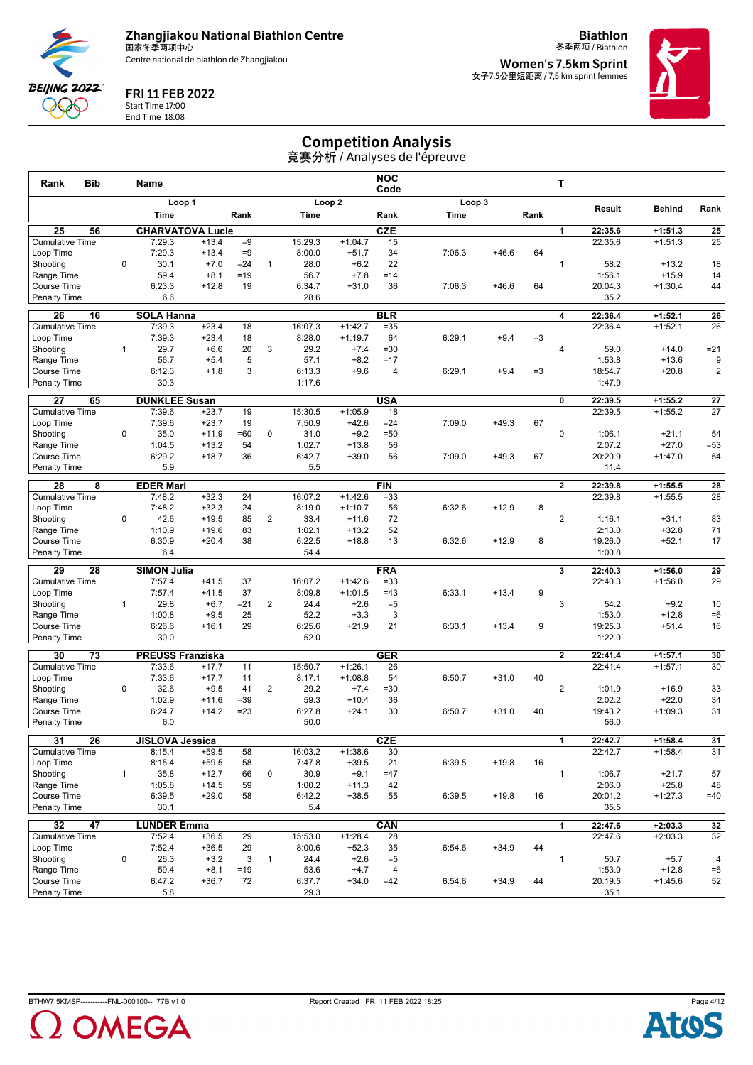

**Biathlon** 冬季两项 / Biathlon



FRI 11 FEB 2022

Start Time 17:00 End Time 18:08 **Women's 7.5km Sprint** 女子7.5公里短距离 / 7,5 km sprint femmes



## Competition Analysis

| <b>Bib</b><br>Rank                  |              | <b>Name</b>            |                         |          |                |                   |                        | <b>NOC</b><br>Code |        |         |      | т              |                   |                      |                 |
|-------------------------------------|--------------|------------------------|-------------------------|----------|----------------|-------------------|------------------------|--------------------|--------|---------|------|----------------|-------------------|----------------------|-----------------|
|                                     |              |                        | Loop 1                  |          |                |                   | Loop <sub>2</sub>      |                    | Loop 3 |         |      |                |                   |                      |                 |
|                                     |              | Time                   |                         | Rank     |                | Time              |                        | Rank               | Time   |         | Rank |                | Result            | <b>Behind</b>        | Rank            |
| 25<br>56                            |              |                        | <b>CHARVATOVA Lucie</b> |          |                |                   |                        | CZE                |        |         |      | 1              | 22:35.6           | $+1:51.3$            | 25              |
| <b>Cumulative Time</b>              |              | 7:29.3                 | $+13.4$                 | $=9$     |                | 15:29.3           | $+1:04.7$              | 15                 |        |         |      |                | 22:35.6           | $+1:51.3$            | 25              |
| Loop Time                           |              | 7:29.3                 | $+13.4$                 | $=9$     |                | 8:00.0            | $+51.7$                | 34                 | 7:06.3 | $+46.6$ | 64   |                |                   |                      |                 |
| Shooting                            | $\mathbf 0$  | 30.1                   | $+7.0$                  | $= 24$   | $\mathbf{1}$   | 28.0              | $+6.2$                 | 22                 |        |         |      | $\mathbf{1}$   | 58.2              | $+13.2$              | 18              |
| Range Time                          |              | 59.4                   | $+8.1$                  | $=19$    |                | 56.7              | $+7.8$                 | $=14$              |        |         |      |                | 1:56.1            | $+15.9$              | 14              |
| Course Time<br>Penalty Time         |              | 6:23.3<br>6.6          | $+12.8$                 | 19       |                | 6:34.7<br>28.6    | $+31.0$                | 36                 | 7:06.3 | $+46.6$ | 64   |                | 20:04.3<br>35.2   | $+1:30.4$            | 44              |
|                                     |              |                        |                         |          |                |                   |                        |                    |        |         |      |                |                   |                      |                 |
| 26<br>16                            |              | <b>SOLA Hanna</b>      |                         |          |                |                   |                        | <b>BLR</b>         |        |         |      | 4              | 22:36.4           | $+1:52.1$            | 26              |
| <b>Cumulative Time</b>              |              | 7:39.3                 | $+23.4$                 | 18       |                | 16:07.3           | $+1:42.7$              | $= 35$             |        |         |      |                | 22:36.4           | $+1:52.1$            | 26              |
| Loop Time<br>Shooting               | $\mathbf{1}$ | 7:39.3<br>29.7         | $+23.4$<br>$+6.6$       | 18<br>20 | 3              | 8:28.0<br>29.2    | $+1:19.7$<br>$+7.4$    | 64<br>$=30$        | 6:29.1 | $+9.4$  | $=3$ | 4              | 59.0              | $+14.0$              | $= 21$          |
| Range Time                          |              | 56.7                   | $+5.4$                  | 5        |                | 57.1              | $+8.2$                 | $=17$              |        |         |      |                | 1:53.8            | $+13.6$              | 9               |
| Course Time                         |              | 6:12.3                 | $+1.8$                  | 3        |                | 6:13.3            | $+9.6$                 | 4                  | 6:29.1 | $+9.4$  | $=3$ |                | 18:54.7           | $+20.8$              | $\overline{c}$  |
| <b>Penalty Time</b>                 |              | 30.3                   |                         |          |                | 1:17.6            |                        |                    |        |         |      |                | 1:47.9            |                      |                 |
| 27<br>65                            |              | <b>DUNKLEE Susan</b>   |                         |          |                |                   |                        | <b>USA</b>         |        |         |      | 0              | 22:39.5           | $+1:55.2$            | 27              |
| <b>Cumulative Time</b>              |              | 7:39.6                 | $+23.7$                 | 19       |                | 15:30.5           | $+1:05.9$              | 18                 |        |         |      |                | 22:39.5           | $+1:55.2$            | 27              |
| Loop Time                           |              | 7:39.6                 | $+23.7$                 | 19       |                | 7:50.9            | $+42.6$                | $= 24$             | 7:09.0 | $+49.3$ | 67   |                |                   |                      |                 |
| Shooting                            | $\mathbf 0$  | 35.0                   | $+11.9$                 | $=60$    | 0              | 31.0              | $+9.2$                 | $=50$              |        |         |      | $\mathbf 0$    | 1:06.1            | $+21.1$              | 54              |
| Range Time                          |              | 1:04.5                 | $+13.2$                 | 54       |                | 1:02.7            | $+13.8$                | 56                 |        |         |      |                | 2:07.2            | $+27.0$              | $=53$           |
| <b>Course Time</b>                  |              | 6:29.2                 | $+18.7$                 | 36       |                | 6:42.7            | $+39.0$                | 56                 | 7:09.0 | $+49.3$ | 67   |                | 20:20.9           | $+1:47.0$            | 54              |
| <b>Penalty Time</b>                 |              | 5.9                    |                         |          |                | 5.5               |                        |                    |        |         |      |                | 11.4              |                      |                 |
| 28<br>8                             |              | <b>EDER Mari</b>       |                         |          |                |                   |                        | <b>FIN</b>         |        |         |      | 2              | 22:39.8           | $+1:55.5$            | $\overline{28}$ |
| <b>Cumulative Time</b>              |              | 7:48.2                 | $+32.3$                 | 24       |                | 16:07.2           | $+1:42.6$              | $= 33$             |        |         |      |                | 22:39.8           | $+1:55.5$            | 28              |
| Loop Time                           |              | 7:48.2                 | $+32.3$                 | 24       |                | 8:19.0            | $+1:10.7$              | 56                 | 6:32.6 | $+12.9$ | 8    |                |                   |                      |                 |
| Shooting                            | $\mathbf 0$  | 42.6                   | $+19.5$                 | 85       | 2              | 33.4              | $+11.6$                | 72                 |        |         |      | $\overline{2}$ | 1:16.1            | $+31.1$              | 83              |
| Range Time<br><b>Course Time</b>    |              | 1:10.9<br>6:30.9       | $+19.6$<br>$+20.4$      | 83<br>38 |                | 1:02.1<br>6:22.5  | $+13.2$<br>$+18.8$     | 52<br>13           | 6:32.6 | $+12.9$ | 8    |                | 2:13.0<br>19:26.0 | $+32.8$<br>$+52.1$   | 71<br>17        |
| <b>Penalty Time</b>                 |              | 6.4                    |                         |          |                | 54.4              |                        |                    |        |         |      |                | 1:00.8            |                      |                 |
|                                     |              |                        |                         |          |                |                   |                        |                    |        |         |      |                |                   |                      |                 |
| $\overline{29}$<br>28               |              | <b>SIMON Julia</b>     |                         |          |                |                   |                        | <b>FRA</b>         |        |         |      | 3              | 22:40.3           | $+1:56.0$            | 29              |
| <b>Cumulative Time</b><br>Loop Time |              | 7:57.4<br>7:57.4       | $+41.5$<br>$+41.5$      | 37<br>37 |                | 16:07.2<br>8:09.8 | $+1:42.6$<br>$+1:01.5$ | $= 33$<br>$=43$    | 6:33.1 | $+13.4$ | 9    |                | 22:40.3           | $+1:56.0$            | $\overline{29}$ |
| Shooting                            | $\mathbf{1}$ | 29.8                   | $+6.7$                  | $= 21$   | 2              | 24.4              | $+2.6$                 | $= 5$              |        |         |      | 3              | 54.2              | $+9.2$               | 10              |
| Range Time                          |              | 1:00.8                 | $+9.5$                  | 25       |                | 52.2              | $+3.3$                 | 3                  |        |         |      |                | 1:53.0            | $+12.8$              | $=6$            |
| Course Time                         |              | 6:26.6                 | $+16.1$                 | 29       |                | 6:25.6            | $+21.9$                | 21                 | 6:33.1 | $+13.4$ | 9    |                | 19:25.3           | $+51.4$              | 16              |
| <b>Penalty Time</b>                 |              | 30.0                   |                         |          |                | 52.0              |                        |                    |        |         |      |                | 1:22.0            |                      |                 |
| 30<br>73                            |              |                        | <b>PREUSS Franziska</b> |          |                |                   |                        | <b>GER</b>         |        |         |      | $\mathbf{2}$   | 22:41.4           | $+1:57.1$            | 30              |
| <b>Cumulative Time</b>              |              | 7:33.6                 | $+17.7$                 | 11       |                | 15:50.7           | $+1:26.1$              | 26                 |        |         |      |                | 22:41.4           | $+1:57.1$            | 30              |
| Loop Time                           |              | 7:33.6                 | $+17.7$                 | 11       |                | 8:17.1            | $+1:08.8$              | 54                 | 6:50.7 | $+31.0$ | 40   |                |                   |                      |                 |
| Shooting                            | $\mathbf 0$  | 32.6                   | $+9.5$                  | 41       | $\overline{2}$ | 29.2              | $+7.4$                 | =30                |        |         |      | $\overline{2}$ | 1:01.9            | $+16.9$              | 33              |
| Range Time                          |              | 1:02.9                 | $+11.6$                 | $= 39$   |                | 59.3              | $+10.4$                | 36                 |        |         |      |                | 2:02.2            | $+22.0$              | 34              |
| <b>Course Time</b>                  |              | 6:24.7                 | $+14.2$                 | $= 23$   |                | 6:27.8            | $+24.1$                | 30                 | 6:50.7 | $+31.0$ | 40   |                | 19:43.2           | $+1:09.3$            | 31              |
| <b>Penalty Time</b>                 |              | 6.0                    |                         |          |                | 50.0              |                        |                    |        |         |      |                | 56.0              |                      |                 |
| 26<br>31                            |              | <b>JISLOVA Jessica</b> |                         |          |                |                   |                        | CZE                |        |         |      | 1.             | 22:42.7           | $+1:58.4$            | 31              |
| <b>Cumulative Time</b>              |              | 8:15.4                 | $+59.5$                 | 58       |                | 16:03.2           | $+1:38.6$              | 30                 |        |         |      |                | 22:42.7           | $+1:58.4$            | 31              |
| Loop Time                           |              | 8:15.4                 | $+59.5$                 | 58       |                | 7:47.8            | $+39.5$                | 21                 | 6:39.5 | $+19.8$ | 16   |                |                   |                      |                 |
| Shootina                            | $\mathbf{1}$ | 35.8                   | $+12.7$                 | 66       | 0              | 30.9              | $+9.1$                 | $=47$              |        |         |      | $\mathbf{1}$   | 1:06.7            | $+21.7$              | 57              |
| Range Time<br>Course Time           |              | 1:05.8<br>6:39.5       | $+14.5$<br>$+29.0$      | 59<br>58 |                | 1:00.2<br>6:42.2  | $+11.3$<br>$+38.5$     | 42<br>55           | 6:39.5 | $+19.8$ | 16   |                | 2:06.0<br>20:01.2 | $+25.8$<br>$+1:27.3$ | 48<br>$=40$     |
| <b>Penalty Time</b>                 |              | 30.1                   |                         |          |                | 5.4               |                        |                    |        |         |      |                | 35.5              |                      |                 |
| 47<br>32                            |              | <b>LUNDER Emma</b>     |                         |          |                |                   |                        | CAN                |        |         |      | 1              | 22:47.6           | $+2:03.3$            | 32              |
| <b>Cumulative Time</b>              |              | 7:52.4                 | $+36.5$                 | 29       |                | 15:53.0           | $+1:28.4$              | 28                 |        |         |      |                | 22:47.6           | $+2:03.3$            | 32              |
| Loop Time                           |              | 7:52.4                 | $+36.5$                 | 29       |                | 8:00.6            | $+52.3$                | 35                 | 6:54.6 | $+34.9$ | 44   |                |                   |                      |                 |
| Shooting                            | 0            | 26.3                   | $+3.2$                  | 3        | $\mathbf{1}$   | 24.4              | $+2.6$                 | $=5$               |        |         |      | $\mathbf{1}$   | 50.7              | $+5.7$               | 4               |
| Range Time                          |              | 59.4                   | $+8.1$                  | $=19$    |                | 53.6              | $+4.7$                 | $\overline{4}$     |        |         |      |                | 1:53.0            | $+12.8$              | $=6$            |
| Course Time                         |              | 6:47.2                 | $+36.7$                 | 72       |                | 6:37.7            | $+34.0$                | $=42$              | 6:54.6 | $+34.9$ | 44   |                | 20:19.5           | $+1:45.6$            | 52              |
| <b>Penalty Time</b>                 |              | 5.8                    |                         |          |                | 29.3              |                        |                    |        |         |      |                | 35.1              |                      |                 |



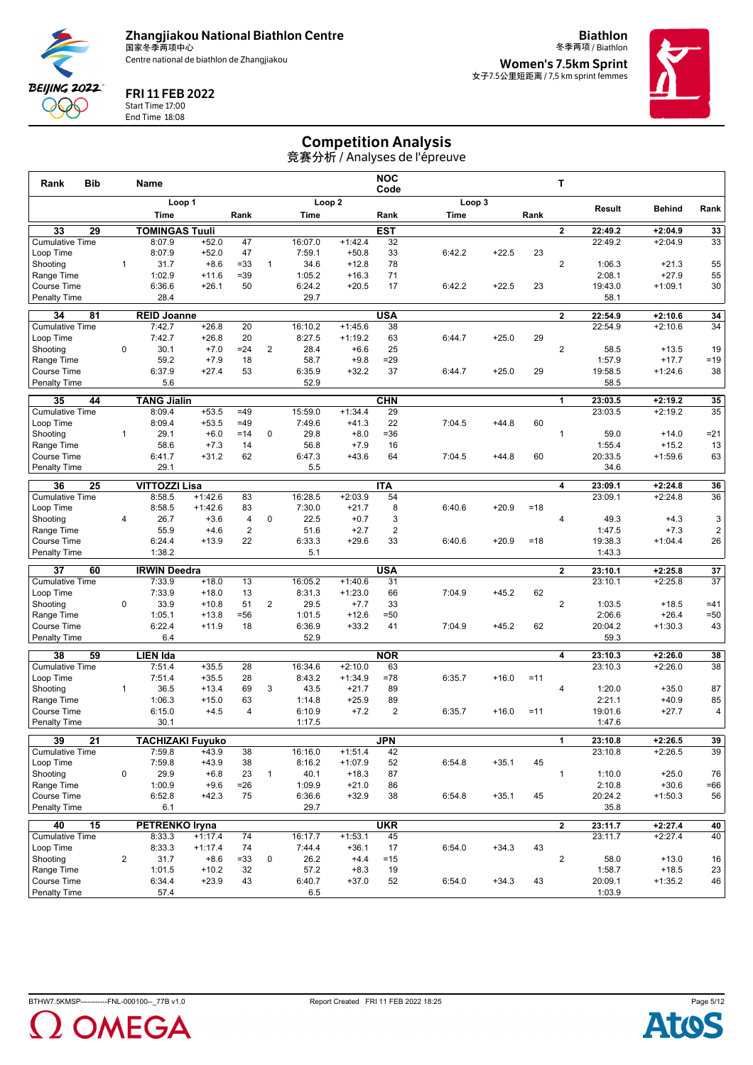

**Biathlon** 冬季两项 / Biathlon



FRI 11 FEB 2022

Start Time 17:00 End Time 18:08 **Women's 7.5km Sprint** 女子7.5公里短距离 / 7,5 km sprint femmes



## Competition Analysis

| <b>Bib</b><br>Rank                  |                | Name                         |                    |                |                |                   |                        | <b>NOC</b><br>Code |        |         |        | T.                      |                    |                        |                         |
|-------------------------------------|----------------|------------------------------|--------------------|----------------|----------------|-------------------|------------------------|--------------------|--------|---------|--------|-------------------------|--------------------|------------------------|-------------------------|
|                                     |                | Loop 1                       |                    |                |                |                   | Loop <sub>2</sub>      |                    |        | Loop 3  |        |                         | Result             | <b>Behind</b>          | Rank                    |
|                                     |                | Time                         |                    | Rank           |                | Time              |                        | Rank               | Time   |         | Rank   |                         |                    |                        |                         |
| 33<br>29                            |                | <b>TOMINGAS Tuuli</b>        |                    |                |                |                   |                        | <b>EST</b>         |        |         |        | $\overline{\mathbf{2}}$ | 22:49.2            | $+2:04.9$              | 33                      |
| Cumulative Time                     |                | 8:07.9                       | $+52.0$            | 47             |                | 16:07.0           | $+1:42.4$              | 32                 |        |         |        |                         | 22:49.2            | $+2:04.9$              | 33                      |
| Loop Time                           |                | 8:07.9                       | $+52.0$            | 47             |                | 7:59.1            | $+50.8$                | 33                 | 6:42.2 | $+22.5$ | 23     |                         |                    |                        |                         |
| Shooting                            | $\mathbf{1}$   | 31.7                         | $+8.6$             | $= 33$         | $\mathbf{1}$   | 34.6              | $+12.8$                | 78                 |        |         |        | $\overline{2}$          | 1:06.3             | $+21.3$                | 55                      |
| Range Time                          |                | 1:02.9                       | $+11.6$            | $=39$          |                | 1:05.2            | $+16.3$                | 71                 |        |         |        |                         | 2:08.1             | $+27.9$                | 55                      |
| Course Time<br>Penalty Time         |                | 6:36.6<br>28.4               | $+26.1$            | 50             |                | 6:24.2<br>29.7    | $+20.5$                | 17                 | 6:42.2 | $+22.5$ | 23     |                         | 19:43.0<br>58.1    | $+1:09.1$              | 30                      |
|                                     |                |                              |                    |                |                |                   |                        |                    |        |         |        |                         |                    |                        |                         |
| 34<br>81                            |                | <b>REID Joanne</b>           |                    |                |                |                   |                        | <b>USA</b>         |        |         |        | $\mathbf{2}$            | 22:54.9            | $+2:10.6$              | 34                      |
| <b>Cumulative Time</b>              |                | 7:42.7                       | $+26.8$            | 20             |                | 16:10.2           | $+1:45.6$              | 38                 |        |         |        |                         | 22:54.9            | $+2:10.6$              | 34                      |
| Loop Time<br>Shooting               | 0              | 7:42.7                       | $+26.8$            | 20             |                | 8:27.5            | $+1:19.2$              | 63                 | 6:44.7 | $+25.0$ | 29     | $\overline{2}$          |                    |                        |                         |
| Range Time                          |                | 30.1<br>59.2                 | $+7.0$<br>$+7.9$   | $= 24$<br>18   | $\overline{2}$ | 28.4<br>58.7      | $+6.6$<br>$+9.8$       | 25<br>$=29$        |        |         |        |                         | 58.5<br>1:57.9     | $+13.5$<br>$+17.7$     | 19<br>$=19$             |
| Course Time                         |                | 6:37.9                       | $+27.4$            | 53             |                | 6:35.9            | $+32.2$                | 37                 | 6:44.7 | $+25.0$ | 29     |                         | 19:58.5            | $+1:24.6$              | 38                      |
| Penalty Time                        |                | 5.6                          |                    |                |                | 52.9              |                        |                    |        |         |        |                         | 58.5               |                        |                         |
|                                     |                |                              |                    |                |                |                   |                        |                    |        |         |        |                         |                    |                        |                         |
| 35<br>44<br><b>Cumulative Time</b>  |                | <b>TANG Jialin</b><br>8:09.4 | $+53.5$            | $=49$          |                | 15:59.0           | $+1:34.4$              | <b>CHN</b><br>29   |        |         |        | $\mathbf{1}$            | 23:03.5<br>23:03.5 | $+2:19.2$<br>$+2:19.2$ | 35<br>$\overline{35}$   |
| Loop Time                           |                | 8:09.4                       | $+53.5$            | $=49$          |                | 7:49.6            | $+41.3$                | 22                 | 7:04.5 | $+44.8$ | 60     |                         |                    |                        |                         |
| Shooting                            | $\mathbf{1}$   | 29.1                         | $+6.0$             | $=14$          | 0              | 29.8              | $+8.0$                 | $= 36$             |        |         |        | $\mathbf{1}$            | 59.0               | $+14.0$                | $= 21$                  |
| Range Time                          |                | 58.6                         | $+7.3$             | 14             |                | 56.8              | $+7.9$                 | 16                 |        |         |        |                         | 1:55.4             | $+15.2$                | 13                      |
| Course Time                         |                | 6:41.7                       | $+31.2$            | 62             |                | 6:47.3            | $+43.6$                | 64                 | 7:04.5 | $+44.8$ | 60     |                         | 20:33.5            | $+1:59.6$              | 63                      |
| Penalty Time                        |                | 29.1                         |                    |                |                | 5.5               |                        |                    |        |         |        |                         | 34.6               |                        |                         |
| 36<br>25                            |                | <b>VITTOZZI Lisa</b>         |                    |                |                |                   |                        | <b>ITA</b>         |        |         |        | 4                       | 23:09.1            | $+2:24.8$              | 36                      |
| <b>Cumulative Time</b>              |                | 8:58.5                       | $+1:42.6$          | 83             |                | 16:28.5           | $+2:03.9$              | 54                 |        |         |        |                         | 23:09.1            | $+2:24.8$              | 36                      |
| Loop Time                           |                | 8:58.5                       | $+1:42.6$          | 83             |                | 7:30.0            | $+21.7$                | 8                  | 6:40.6 | $+20.9$ | $=18$  |                         |                    |                        |                         |
| Shooting                            | $\overline{4}$ | 26.7                         | $+3.6$             | $\overline{4}$ | $\mathbf 0$    | 22.5              | $+0.7$                 | 3                  |        |         |        | $\overline{4}$          | 49.3               | $+4.3$                 | 3                       |
| Range Time                          |                | 55.9                         | $+4.6$             | $\overline{2}$ |                | 51.6              | $+2.7$                 | $\overline{2}$     |        |         |        |                         | 1:47.5             | $+7.3$                 | $\overline{\mathbf{c}}$ |
| Course Time                         |                | 6:24.4                       | $+13.9$            | 22             |                | 6:33.3            | $+29.6$                | 33                 | 6:40.6 | $+20.9$ | $=18$  |                         | 19:38.3            | $+1:04.4$              | 26                      |
| <b>Penalty Time</b>                 |                | 1:38.2                       |                    |                |                | 5.1               |                        |                    |        |         |        |                         | 1:43.3             |                        |                         |
| 37<br>60                            |                | <b>IRWIN Deedra</b>          |                    |                |                |                   |                        | <b>USA</b>         |        |         |        | $\mathbf{2}$            | 23:10.1            | $+2:25.8$              | 37                      |
| <b>Cumulative Time</b>              |                | 7:33.9                       | $+18.0$            | 13             |                | 16:05.2           | $+1:40.6$              | 31                 |        |         |        |                         | 23:10.1            | $+2:25.8$              | 37                      |
| Loop Time                           |                | 7:33.9                       | $+18.0$            | 13             |                | 8:31.3            | $+1:23.0$              | 66                 | 7:04.9 | $+45.2$ | 62     |                         |                    |                        |                         |
| Shooting                            | $\mathbf 0$    | 33.9<br>1:05.1               | $+10.8$            | 51             | $\overline{2}$ | 29.5<br>1:01.5    | $+7.7$<br>$+12.6$      | 33<br>$= 50$       |        |         |        | $\overline{2}$          | 1:03.5             | $+18.5$<br>$+26.4$     | $=41$<br>$= 50$         |
| Range Time<br>Course Time           |                | 6:22.4                       | $+13.8$<br>$+11.9$ | $= 56$<br>18   |                | 6:36.9            | $+33.2$                | 41                 | 7:04.9 | $+45.2$ | 62     |                         | 2:06.6<br>20:04.2  | $+1:30.3$              | 43                      |
| <b>Penalty Time</b>                 |                | 6.4                          |                    |                |                | 52.9              |                        |                    |        |         |        |                         | 59.3               |                        |                         |
|                                     |                |                              |                    |                |                |                   |                        |                    |        |         |        |                         |                    |                        |                         |
| 38<br>59                            |                | <b>LIEN Ida</b>              |                    |                |                |                   |                        | <b>NOR</b>         |        |         |        | 4                       | 23:10.3            | $+2:26.0$              | 38                      |
| <b>Cumulative Time</b><br>Loop Time |                | 7:51.4<br>7:51.4             | $+35.5$<br>$+35.5$ | 28<br>28       |                | 16:34.6<br>8:43.2 | $+2:10.0$<br>$+1:34.9$ | 63<br>$=78$        | 6:35.7 | $+16.0$ | $=11$  |                         | 23:10.3            | $+2:26.0$              | 38                      |
| Shooting                            | $\mathbf{1}$   | 36.5                         | $+13.4$            | 69             | 3              | 43.5              | $+21.7$                | 89                 |        |         |        | 4                       | 1:20.0             | $+35.0$                | 87                      |
| Range Time                          |                | 1:06.3                       | $+15.0$            | 63             |                | 1:14.8            | $+25.9$                | 89                 |        |         |        |                         | 2:21.1             | $+40.9$                | 85                      |
| Course Time                         |                | 6:15.0                       | $+4.5$             | $\overline{4}$ |                | 6:10.9            | $+7.2$                 | 2                  | 6:35.7 | $+16.0$ | $= 11$ |                         | 19:01.6            | $+27.7$                | 4                       |
| <b>Penalty Time</b>                 |                | 30.1                         |                    |                |                | 1:17.5            |                        |                    |        |         |        |                         | 1:47.6             |                        |                         |
| 39<br>21                            |                | <b>TACHIZAKI Fuyuko</b>      |                    |                |                |                   |                        | <b>JPN</b>         |        |         |        | 1                       | 23:10.8            | +2:26.5                | 39                      |
| <b>Cumulative Time</b>              |                | 7:59.8                       | $+43.9$            | 38             |                | 16:16.0           | $+1:51.4$              | 42                 |        |         |        |                         | 23:10.8            | $+2:26.5$              | 39                      |
| Loop Time                           |                | 7:59.8                       | $+43.9$            | 38             |                | 8:16.2            | $+1:07.9$              | 52                 | 6:54.8 | $+35.1$ | 45     |                         |                    |                        |                         |
| Shooting                            | 0              | 29.9                         | $+6.8$             | 23             | $\mathbf{1}$   | 40.1              | $+18.3$                | 87                 |        |         |        | $\mathbf{1}$            | 1:10.0             | $+25.0$                | 76                      |
| Range Time                          |                | 1:00.9                       | $+9.6$             | $=26$          |                | 1:09.9            | $+21.0$                | 86                 |        |         |        |                         | 2:10.8             | $+30.6$                | $=66$                   |
| Course Time                         |                | 6:52.8                       | $+42.3$            | 75             |                | 6:36.6            | $+32.9$                | 38                 | 6:54.8 | $+35.1$ | 45     |                         | 20:24.2            | $+1:50.3$              | 56                      |
| Penalty Time                        |                | 6.1                          |                    |                |                | 29.7              |                        |                    |        |         |        |                         | 35.8               |                        |                         |
| 40<br>15                            |                | <b>PETRENKO Iryna</b>        |                    |                |                |                   |                        | <b>UKR</b>         |        |         |        | $\mathbf{2}$            | 23:11.7            | $+2:27.4$              | 40                      |
| <b>Cumulative Time</b>              |                | 8:33.3                       | $+1:17.4$          | 74             |                | 16:17.7           | $+1:53.1$              | 45                 |        |         |        |                         | 23:11.7            | $+2:27.4$              | 40                      |
| Loop Time                           |                | 8:33.3                       | $+1:17.4$          | 74             |                | 7:44.4            | $+36.1$                | 17                 | 6:54.0 | $+34.3$ | 43     |                         |                    |                        |                         |
| Shooting                            | $\overline{2}$ | 31.7                         | $+8.6$             | $= 33$         | 0              | 26.2              | $+4.4$                 | $=15$              |        |         |        | $\overline{2}$          | 58.0               | $+13.0$                | 16                      |
| Range Time<br>Course Time           |                | 1:01.5<br>6:34.4             | $+10.2$<br>$+23.9$ | 32<br>43       |                | 57.2<br>6:40.7    | $+8.3$<br>$+37.0$      | 19<br>52           | 6:54.0 | $+34.3$ | 43     |                         | 1:58.7<br>20:09.1  | $+18.5$<br>$+1:35.2$   | 23<br>46                |
| <b>Penalty Time</b>                 |                | 57.4                         |                    |                |                | 6.5               |                        |                    |        |         |        |                         | 1:03.9             |                        |                         |



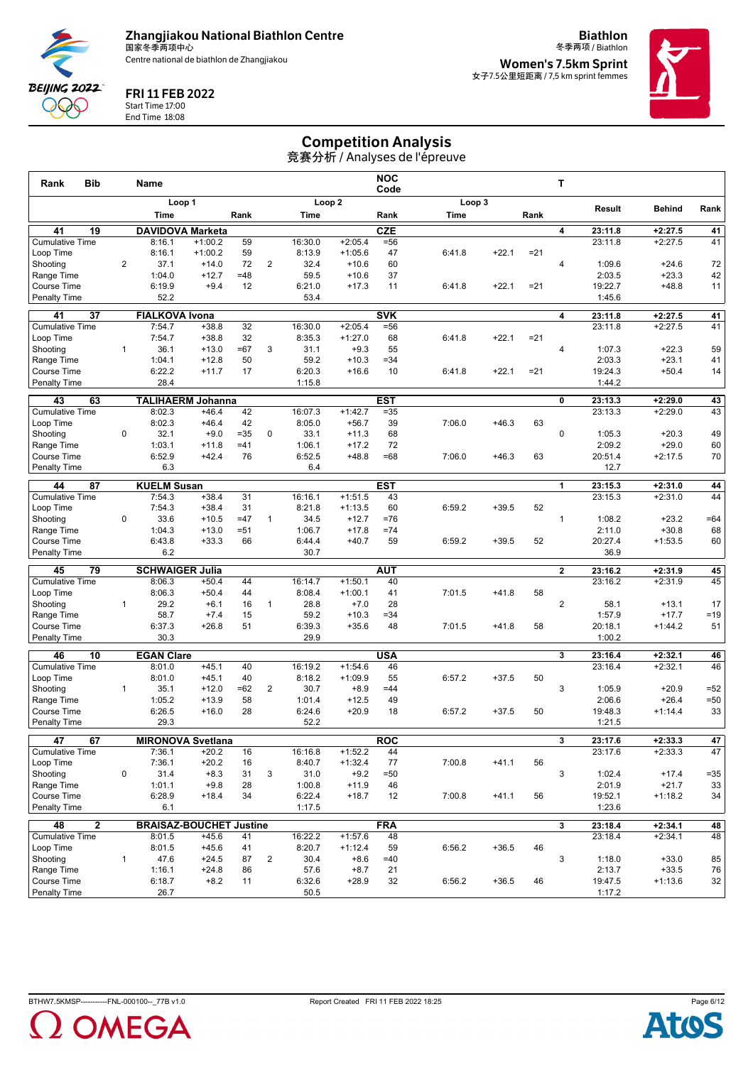

**Biathlon** 冬季两项 / Biathlon



#### FRI 11 FEB 2022

Start Time 17:00 End Time 18:08 **Women's 7.5km Sprint** 女子7.5公里短距离 / 7,5 km sprint femmes



## Competition Analysis

| <b>Bib</b><br>Rank                 |                | Name                   |                                     |             |                |                  |                      | <b>NOC</b><br>Code |        |         |        | т              |                    |                        |              |
|------------------------------------|----------------|------------------------|-------------------------------------|-------------|----------------|------------------|----------------------|--------------------|--------|---------|--------|----------------|--------------------|------------------------|--------------|
|                                    |                |                        | Loop 1                              |             |                |                  | Loop <sub>2</sub>    |                    | Loop 3 |         |        |                |                    |                        |              |
|                                    |                | Time                   |                                     | Rank        |                | Time             |                      | Rank               | Time   |         | Rank   |                | Result             | <b>Behind</b>          | Rank         |
| 19<br>41                           |                |                        | <b>DAVIDOVA Marketa</b>             |             |                |                  |                      | <b>CZE</b>         |        |         |        | 4              | 23:11.8            | $+2:27.5$              | 41           |
| <b>Cumulative Time</b>             |                | 8:16.1                 | $+1:00.2$                           | 59          |                | 16:30.0          | $+2:05.4$            | $= 56$             |        |         |        |                | 23:11.8            | $+2:27.5$              | 41           |
| Loop Time                          |                | 8:16.1                 | $+1:00.2$                           | 59          |                | 8:13.9           | $+1:05.6$            | 47                 | 6:41.8 | $+22.1$ | $= 21$ |                |                    |                        |              |
| Shooting                           | $\overline{2}$ | 37.1                   | $+14.0$                             | 72          | $\overline{2}$ | 32.4             | $+10.6$              | 60                 |        |         |        | 4              | 1:09.6             | $+24.6$                | 72           |
| Range Time                         |                | 1:04.0                 | $+12.7$                             | $=48$       |                | 59.5             | $+10.6$              | 37                 |        |         |        |                | 2:03.5             | $+23.3$                | 42           |
| Course Time<br>Penalty Time        |                | 6:19.9<br>52.2         | $+9.4$                              | 12          |                | 6:21.0<br>53.4   | $+17.3$              | 11                 | 6:41.8 | $+22.1$ | $= 21$ |                | 19:22.7<br>1:45.6  | $+48.8$                | 11           |
|                                    |                |                        |                                     |             |                |                  |                      |                    |        |         |        |                |                    |                        |              |
| 37<br>41                           |                | <b>FIALKOVA Ivona</b>  |                                     |             |                |                  |                      | <b>SVK</b>         |        |         |        | 4              | 23:11.8            | $+2:27.5$              | 41           |
| <b>Cumulative Time</b>             |                | 7:54.7                 | $+38.8$                             | 32          |                | 16:30.0          | $+2:05.4$            | $= 56$             |        |         |        |                | 23:11.8            | $+2:27.5$              | 41           |
| Loop Time<br>Shooting              | $\mathbf{1}$   | 7:54.7<br>36.1         | $+38.8$<br>$+13.0$                  | 32<br>$=67$ | 3              | 8:35.3<br>31.1   | $+1:27.0$<br>$+9.3$  | 68<br>55           | 6:41.8 | $+22.1$ | $= 21$ | $\overline{4}$ | 1:07.3             | $+22.3$                | 59           |
| Range Time                         |                | 1:04.1                 | $+12.8$                             | 50          |                | 59.2             | $+10.3$              | $= 34$             |        |         |        |                | 2:03.3             | $+23.1$                | 41           |
| Course Time                        |                | 6:22.2                 | $+11.7$                             | 17          |                | 6:20.3           | $+16.6$              | 10                 | 6:41.8 | $+22.1$ | $= 21$ |                | 19:24.3            | $+50.4$                | 14           |
| <b>Penalty Time</b>                |                | 28.4                   |                                     |             |                | 1:15.8           |                      |                    |        |         |        |                | 1:44.2             |                        |              |
| 43<br>63                           |                |                        | <b>TALIHAERM Johanna</b>            |             |                |                  |                      | <b>EST</b>         |        |         |        | 0              | 23:13.3            | $+2:29.0$              | 43           |
| <b>Cumulative Time</b>             |                | 8:02.3                 | $+46.4$                             | 42          |                | 16:07.3          | $+1:42.7$            | $= 35$             |        |         |        |                | 23:13.3            | $+2:29.0$              | 43           |
| Loop Time                          |                | 8:02.3                 | $+46.4$                             | 42          |                | 8:05.0           | $+56.7$              | 39                 | 7:06.0 | $+46.3$ | 63     |                |                    |                        |              |
| Shooting                           | $\mathbf 0$    | 32.1                   | $+9.0$                              | $= 35$      | 0              | 33.1             | $+11.3$              | 68                 |        |         |        | $\mathbf 0$    | 1:05.3             | $+20.3$                | 49           |
| Range Time                         |                | 1:03.1                 | $+11.8$                             | $=41$       |                | 1:06.1           | $+17.2$              | 72                 |        |         |        |                | 2:09.2             | $+29.0$                | 60           |
| Course Time<br><b>Penalty Time</b> |                | 6:52.9<br>6.3          | $+42.4$                             | 76          |                | 6:52.5<br>6.4    | $+48.8$              | $=68$              | 7:06.0 | $+46.3$ | 63     |                | 20:51.4<br>12.7    | $+2:17.5$              | 70           |
|                                    |                |                        |                                     |             |                |                  |                      |                    |        |         |        |                |                    |                        |              |
| 87<br>44                           |                | <b>KUELM Susan</b>     |                                     |             |                |                  |                      | <b>EST</b>         |        |         |        | 1              | 23:15.3            | $+2:31.0$              | 44           |
| <b>Cumulative Time</b>             |                | 7:54.3                 | $+38.4$                             | 31          |                | 16:16.1          | $+1:51.5$            | 43                 |        |         |        |                | 23:15.3            | $+2:31.0$              | 44           |
| Loop Time                          | $\mathbf 0$    | 7:54.3<br>33.6         | $+38.4$<br>$+10.5$                  | 31<br>$=47$ | $\mathbf{1}$   | 8:21.8<br>34.5   | $+1:13.5$<br>$+12.7$ | 60<br>$=76$        | 6:59.2 | $+39.5$ | 52     | $\mathbf{1}$   | 1:08.2             | $+23.2$                | $=64$        |
| Shooting<br>Range Time             |                | 1:04.3                 | $+13.0$                             | $= 51$      |                | 1:06.7           | $+17.8$              | $=74$              |        |         |        |                | 2:11.0             | $+30.8$                | 68           |
| Course Time                        |                | 6:43.8                 | $+33.3$                             | 66          |                | 6:44.4           | $+40.7$              | 59                 | 6:59.2 | $+39.5$ | 52     |                | 20:27.4            | $+1:53.5$              | 60           |
| <b>Penalty Time</b>                |                | 6.2                    |                                     |             |                | 30.7             |                      |                    |        |         |        |                | 36.9               |                        |              |
| 45<br>79                           |                | <b>SCHWAIGER Julia</b> |                                     |             |                |                  |                      | <b>AUT</b>         |        |         |        | $\mathbf{2}$   | 23:16.2            | $+2:31.9$              | 45           |
| <b>Cumulative Time</b>             |                | 8:06.3                 | $+50.4$                             | 44          |                | 16:14.7          | $+1:50.1$            | 40                 |        |         |        |                | 23:16.2            | $+2:31.9$              | 45           |
| Loop Time                          |                | 8:06.3                 | $+50.4$                             | 44          |                | 8:08.4           | $+1:00.1$            | 41                 | 7:01.5 | $+41.8$ | 58     |                |                    |                        |              |
| Shooting                           | $\mathbf{1}$   | 29.2                   | $+6.1$                              | 16          | $\mathbf{1}$   | 28.8             | $+7.0$               | 28                 |        |         |        | $\overline{2}$ | 58.1               | $+13.1$                | 17           |
| Range Time                         |                | 58.7                   | $+7.4$                              | 15          |                | 59.2             | $+10.3$              | $=34$              |        |         |        |                | 1:57.9             | $+17.7$                | $=19$        |
| Course Time                        |                | 6:37.3                 | $+26.8$                             | 51          |                | 6:39.3           | $+35.6$              | 48                 | 7:01.5 | $+41.8$ | 58     |                | 20:18.1            | $+1:44.2$              | 51           |
| <b>Penalty Time</b>                |                | 30.3                   |                                     |             |                | 29.9             |                      |                    |        |         |        |                | 1:00.2             |                        |              |
| 10<br>46                           |                | <b>EGAN Clare</b>      |                                     |             |                |                  |                      | <b>USA</b>         |        |         |        | 3              | 23:16.4            | $+2:32.1$              | 46           |
| <b>Cumulative Time</b>             |                | 8:01.0                 | $+45.1$                             | 40          |                | 16:19.2          | $+1:54.6$            | 46                 |        |         |        |                | 23:16.4            | $+2:32.1$              | 46           |
| Loop Time                          |                | 8:01.0                 | $+45.1$                             | 40          |                | 8:18.2           | $+1:09.9$            | 55                 | 6:57.2 | $+37.5$ | 50     |                |                    |                        |              |
| Shooting                           | $\mathbf{1}$   | 35.1                   | $+12.0$                             | $=62$       | $\overline{2}$ | 30.7             | $+8.9$               | $=44$<br>49        |        |         |        | 3              | 1:05.9<br>2:06.6   | $+20.9$<br>$+26.4$     | $= 52$       |
| Range Time<br>Course Time          |                | 1:05.2<br>6:26.5       | $+13.9$<br>$+16.0$                  | 58<br>28    |                | 1:01.4<br>6:24.6 | $+12.5$<br>$+20.9$   | 18                 | 6:57.2 | $+37.5$ | 50     |                | 19:48.3            | $+1:14.4$              | $= 50$<br>33 |
| <b>Penalty Time</b>                |                | 29.3                   |                                     |             |                | 52.2             |                      |                    |        |         |        |                | 1:21.5             |                        |              |
|                                    |                |                        |                                     |             |                |                  |                      |                    |        |         |        |                |                    |                        |              |
| 67<br>47<br>Cumulative Time        |                | 7:36.1                 | <b>MIRONOVA Svetlana</b><br>$+20.2$ | 16          |                | 16:16.8          | $+1:52.2$            | <b>ROC</b><br>44   |        |         |        | 3              | 23:17.6<br>23:17.6 | $+2:33.3$<br>$+2:33.3$ | 47<br>47     |
| Loop Time                          |                | 7:36.1                 | $+20.2$                             | 16          |                | 8:40.7           | $+1:32.4$            | 77                 | 7:00.8 | $+41.1$ | 56     |                |                    |                        |              |
| Shooting                           | 0              | 31.4                   | $+8.3$                              | 31          | 3              | 31.0             | $+9.2$               | $=50$              |        |         |        | 3              | 1:02.4             | $+17.4$                | $= 35$       |
| Range Time                         |                | 1:01.1                 | $+9.8$                              | 28          |                | 1:00.8           | $+11.9$              | 46                 |        |         |        |                | 2:01.9             | $+21.7$                | 33           |
| Course Time                        |                | 6:28.9                 | $+18.4$                             | 34          |                | 6:22.4           | $+18.7$              | 12                 | 7:00.8 | $+41.1$ | 56     |                | 19:52.1            | $+1:18.2$              | 34           |
| <b>Penalty Time</b>                |                | 6.1                    |                                     |             |                | 1:17.5           |                      |                    |        |         |        |                | 1:23.6             |                        |              |
| 48<br>$\mathbf{2}$                 |                |                        | <b>BRAISAZ-BOUCHET Justine</b>      |             |                |                  |                      | <b>FRA</b>         |        |         |        | 3              | 23:18.4            | $+2:34.1$              | 48           |
| <b>Cumulative Time</b>             |                | 8:01.5                 | $+45.6$                             | 41          |                | 16:22.2          | $+1:57.6$            | 48                 |        |         |        |                | 23:18.4            | $+2:34.1$              | 48           |
| Loop Time                          |                | 8:01.5                 | $+45.6$                             | 41          |                | 8:20.7           | $+1:12.4$            | 59                 | 6:56.2 | $+36.5$ | 46     |                |                    |                        |              |
| Shooting                           | $\mathbf{1}$   | 47.6                   | $+24.5$                             | 87          | $\overline{2}$ | 30.4             | $+8.6$               | $=40$              |        |         |        | 3              | 1:18.0             | $+33.0$                | 85           |
| Range Time<br>Course Time          |                | 1:16.1<br>6:18.7       | $+24.8$<br>$+8.2$                   | 86<br>11    |                | 57.6<br>6:32.6   | $+8.7$<br>$+28.9$    | 21<br>32           | 6:56.2 | $+36.5$ | 46     |                | 2:13.7<br>19:47.5  | $+33.5$<br>$+1:13.6$   | 76<br>32     |
| <b>Penalty Time</b>                |                | 26.7                   |                                     |             |                | 50.5             |                      |                    |        |         |        |                | 1:17.2             |                        |              |
|                                    |                |                        |                                     |             |                |                  |                      |                    |        |         |        |                |                    |                        |              |



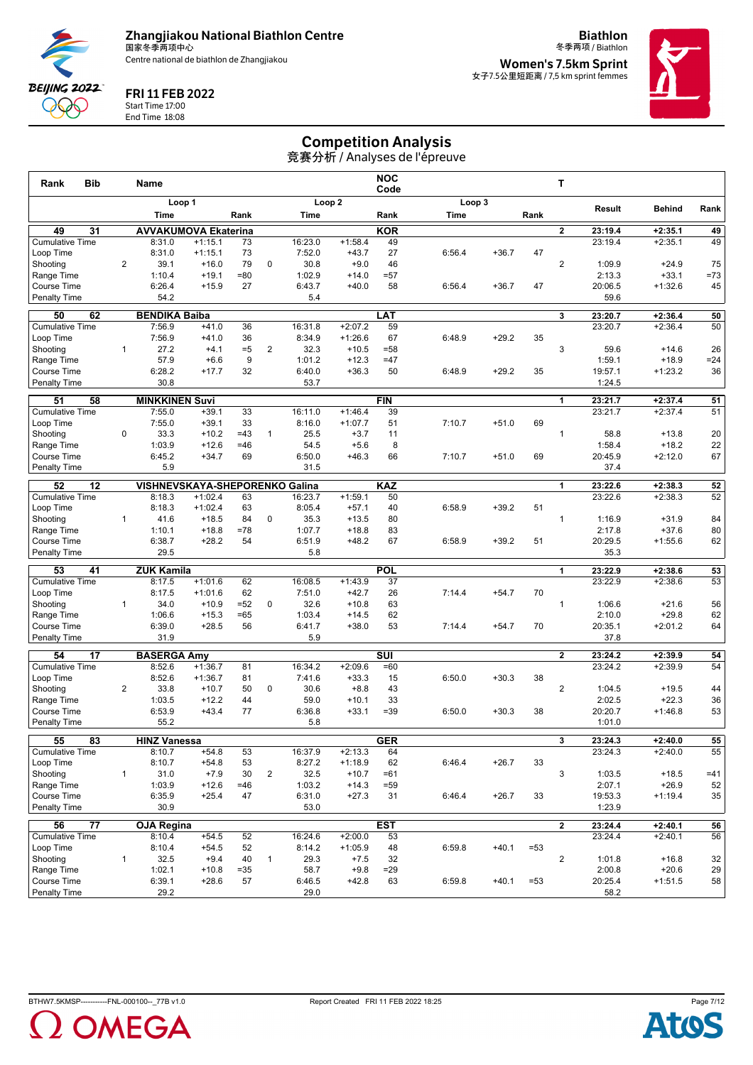

**Biathlon**



FRI 11 FEB 2022

Start Time 17:00 End Time 18:08

冬季两项 / Biathlon **Women's 7.5km Sprint** 女子7.5公里短距离 / 7,5 km sprint femmes



## Competition Analysis

| <b>Bib</b><br>Rank                              |                | Name                           |                        |             |                |                   |                      | <b>NOC</b><br>Code      |        |         |        | т                       |                    |                        |             |
|-------------------------------------------------|----------------|--------------------------------|------------------------|-------------|----------------|-------------------|----------------------|-------------------------|--------|---------|--------|-------------------------|--------------------|------------------------|-------------|
|                                                 |                | Loop 1                         |                        |             |                |                   | Loop <sub>2</sub>    |                         |        | Loop 3  |        |                         |                    |                        |             |
|                                                 |                | Time                           |                        | Rank        |                | Time              |                      | Rank                    | Time   |         | Rank   |                         | Result             | <b>Behind</b>          | Rank        |
| 49<br>31                                        |                | <b>AVVAKUMOVA Ekaterina</b>    |                        |             |                |                   |                      | <b>KOR</b>              |        |         |        | $\overline{2}$          | 23:19.4            | $+2:35.1$              | 49          |
| <b>Cumulative Time</b>                          |                | 8:31.0                         | $+1:15.1$              | 73          |                | 16:23.0           | $+1:58.4$            | 49                      |        |         |        |                         | 23:19.4            | $+2:35.1$              | 49          |
| Loop Time                                       |                | 8:31.0                         | $+1:15.1$              | 73          |                | 7:52.0            | $+43.7$              | 27                      | 6:56.4 | $+36.7$ | 47     |                         |                    |                        |             |
| Shooting                                        | $\overline{2}$ | 39.1                           | $+16.0$                | 79          | $\mathbf 0$    | 30.8              | $+9.0$               | 46                      |        |         |        | $\overline{2}$          | 1:09.9             | $+24.9$                | 75          |
| Range Time                                      |                | 1:10.4                         | $+19.1$                | $= 80$      |                | 1:02.9            | $+14.0$              | $= 57$                  |        |         |        |                         | 2:13.3             | $+33.1$                | $=73$       |
| <b>Course Time</b><br><b>Penalty Time</b>       |                | 6:26.4<br>54.2                 | $+15.9$                | 27          |                | 6:43.7<br>5.4     | $+40.0$              | 58                      | 6:56.4 | $+36.7$ | 47     |                         | 20:06.5<br>59.6    | $+1:32.6$              | 45          |
|                                                 |                |                                |                        |             |                |                   |                      |                         |        |         |        |                         |                    |                        |             |
| 62<br>50                                        |                | <b>BENDIKA Baiba</b>           |                        |             |                |                   |                      | LAT                     |        |         |        | 3                       | 23:20.7            | $+2:36.4$              | 50          |
| <b>Cumulative Time</b>                          |                | 7:56.9<br>7:56.9               | $+41.0$                | 36          |                | 16:31.8           | $+2:07.2$            | 59<br>67                |        |         |        |                         | 23:20.7            | $+2:36.4$              | 50          |
| Loop Time<br>Shooting                           | $\mathbf{1}$   | 27.2                           | $+41.0$<br>$+4.1$      | 36<br>$=5$  | $\overline{2}$ | 8:34.9<br>32.3    | $+1:26.6$<br>$+10.5$ | $= 58$                  | 6:48.9 | $+29.2$ | 35     | 3                       | 59.6               | $+14.6$                | 26          |
| Range Time                                      |                | 57.9                           | $+6.6$                 | 9           |                | 1:01.2            | $+12.3$              | $=47$                   |        |         |        |                         | 1:59.1             | $+18.9$                | $= 24$      |
| <b>Course Time</b>                              |                | 6:28.2                         | $+17.7$                | 32          |                | 6:40.0            | $+36.3$              | 50                      | 6:48.9 | $+29.2$ | 35     |                         | 19:57.1            | $+1:23.2$              | 36          |
| <b>Penalty Time</b>                             |                | 30.8                           |                        |             |                | 53.7              |                      |                         |        |         |        |                         | 1:24.5             |                        |             |
| 51<br>58                                        |                | <b>MINKKINEN Suvi</b>          |                        |             |                |                   |                      | <b>FIN</b>              |        |         |        | 1                       | 23:21.7            | $+2:37.4$              | 51          |
| <b>Cumulative Time</b>                          |                | 7:55.0                         | $+39.1$                | 33          |                | 16:11.0           | $+1:46.4$            | 39                      |        |         |        |                         | 23:21.7            | $+2:37.4$              | 51          |
| Loop Time                                       |                | 7:55.0                         | $+39.1$                | 33          |                | 8:16.0            | $+1:07.7$            | 51                      | 7:10.7 | $+51.0$ | 69     |                         |                    |                        |             |
| Shooting                                        | 0              | 33.3                           | $+10.2$                | $=43$       | $\mathbf{1}$   | 25.5              | $+3.7$               | 11                      |        |         |        | 1                       | 58.8               | $+13.8$                | 20          |
| Range Time                                      |                | 1:03.9                         | $+12.6$                | $=46$       |                | 54.5              | $+5.6$               | 8                       |        |         |        |                         | 1:58.4             | $+18.2$                | 22          |
| Course Time                                     |                | 6:45.2                         | $+34.7$                | 69          |                | 6:50.0            | $+46.3$              | 66                      | 7:10.7 | $+51.0$ | 69     |                         | 20:45.9            | $+2:12.0$              | 67          |
| <b>Penalty Time</b>                             |                | 5.9                            |                        |             |                | 31.5              |                      |                         |        |         |        |                         | 37.4               |                        |             |
| 52<br>12                                        |                | VISHNEVSKAYA-SHEPORENKO Galina |                        |             |                |                   |                      | <b>KAZ</b>              |        |         |        | 1                       | 23:22.6            | $+2:38.3$              | 52          |
| <b>Cumulative Time</b>                          |                | 8:18.3                         | $+1:02.4$              | 63          |                | 16:23.7           | $+1:59.1$            | 50                      |        |         |        |                         | 23:22.6            | $+2:38.3$              | 52          |
| Loop Time                                       |                | 8:18.3                         | $+1:02.4$              | 63          |                | 8:05.4            | $+57.1$              | 40                      | 6:58.9 | $+39.2$ | 51     |                         |                    |                        |             |
| Shooting                                        | 1              | 41.6                           | $+18.5$                | 84          | 0              | 35.3              | $+13.5$              | 80                      |        |         |        | $\mathbf{1}$            | 1:16.9             | $+31.9$                | 84          |
| Range Time                                      |                | 1:10.1                         | $+18.8$                | $=78$       |                | 1:07.7            | $+18.8$              | 83                      |        |         |        |                         | 2:17.8             | $+37.6$                | 80          |
| <b>Course Time</b><br>Penalty Time              |                | 6:38.7<br>29.5                 | $+28.2$                | 54          |                | 6:51.9<br>5.8     | $+48.2$              | 67                      | 6:58.9 | $+39.2$ | 51     |                         | 20:29.5<br>35.3    | $+1:55.6$              | 62          |
|                                                 |                |                                |                        |             |                |                   |                      |                         |        |         |        |                         |                    |                        |             |
| 53<br>41                                        |                | <b>ZUK Kamila</b>              |                        |             |                |                   |                      | <b>POL</b>              |        |         |        | $\mathbf{1}$            | 23:22.9            | $+2:38.6$              | 53          |
| <b>Cumulative Time</b><br>Loop Time             |                | 8:17.5<br>8:17.5               | $+1:01.6$<br>$+1:01.6$ | 62<br>62    |                | 16:08.5<br>7:51.0 | $+1:43.9$<br>$+42.7$ | 37<br>26                | 7:14.4 | $+54.7$ | 70     |                         | 23:22.9            | $+2:38.6$              | 53          |
| Shooting                                        | $\mathbf{1}$   | 34.0                           | $+10.9$                | $=52$       | $\mathbf 0$    | 32.6              | $+10.8$              | 63                      |        |         |        | $\mathbf{1}$            | 1:06.6             | $+21.6$                | 56          |
| Range Time                                      |                | 1:06.6                         | $+15.3$                | $=65$       |                | 1:03.4            | $+14.5$              | 62                      |        |         |        |                         | 2:10.0             | $+29.8$                | 62          |
| <b>Course Time</b>                              |                | 6:39.0                         | $+28.5$                | 56          |                | 6:41.7            | $+38.0$              | 53                      | 7:14.4 | $+54.7$ | 70     |                         | 20:35.1            | $+2:01.2$              | 64          |
| <b>Penalty Time</b>                             |                | 31.9                           |                        |             |                | 5.9               |                      |                         |        |         |        |                         | 37.8               |                        |             |
| 54<br>17                                        |                | <b>BASERGA Amy</b>             |                        |             |                |                   |                      | $\overline{\text{SUI}}$ |        |         |        | $\mathbf{2}$            | 23:24.2            | $+2:39.9$              | 54          |
| <b>Cumulative Time</b>                          |                | 8:52.6                         | $+1:36.7$              | 81          |                | 16:34.2           | $+2:09.6$            | $=60$                   |        |         |        |                         | 23:24.2            | $+2:39.9$              | 54          |
| Loop Time                                       |                | 8:52.6                         | $+1:36.7$              | 81          |                | 7:41.6            | $+33.3$              | 15                      | 6:50.0 | $+30.3$ | 38     |                         |                    |                        |             |
| Shooting                                        | $\overline{2}$ | 33.8                           | $+10.7$                | 50          | $\mathbf 0$    | 30.6              | $+8.8$               | 43                      |        |         |        | $\overline{2}$          | 1:04.5             | $+19.5$                | 44          |
| Range Time                                      |                | 1:03.5                         | $+12.2$                | 44          |                | 59.0              | $+10.1$              | 33                      |        |         |        |                         | 2:02.5             | $+22.3$                | 36          |
| <b>Course Time</b>                              |                | 6:53.9                         | $+43.4$                | 77          |                | 6:36.8            | $+33.1$              | $= 39$                  | 6:50.0 | $+30.3$ | 38     |                         | 20:20.7            | $+1:46.8$              | 53          |
| <b>Penalty Time</b>                             |                | 55.2                           |                        |             |                | 5.8               |                      |                         |        |         |        |                         | 1:01.0             |                        |             |
| 55<br>83                                        |                | <b>HINZ Vanessa</b>            |                        |             |                |                   |                      | <b>GER</b>              |        |         |        | $\overline{\mathbf{3}}$ | 23:24.3            | $+2:40.0$              | 55          |
| <b>Cumulative Time</b>                          |                | 8:10.7                         | $+54.8$                | 53          |                | 16:37.9           | $+2:13.3$            | 64                      |        |         |        |                         | 23:24.3            | $+2:40.0$              | 55          |
| Loop Time                                       |                | 8:10.7                         | $+54.8$                | 53          |                | 8:27.2            | $+1:18.9$            | 62                      | 6:46.4 | $+26.7$ | 33     |                         |                    |                        |             |
| Shootina                                        | $\mathbf{1}$   | 31.0                           | $+7.9$                 | 30          | $\overline{2}$ | 32.5              | $+10.7$              | $=61$                   |        |         |        | 3                       | 1:03.5<br>2:07.1   | $+18.5$<br>$+26.9$     | $=41$<br>52 |
| Range Time<br>Course Time                       |                | 1:03.9<br>6:35.9               | $+12.6$<br>$+25.4$     | $=46$<br>47 |                | 1:03.2<br>6:31.0  | $+14.3$<br>$+27.3$   | $= 59$<br>31            | 6:46.4 | $+26.7$ | 33     |                         | 19:53.3            | $+1:19.4$              | 35          |
| <b>Penalty Time</b>                             |                | 30.9                           |                        |             |                | 53.0              |                      |                         |        |         |        |                         | 1:23.9             |                        |             |
|                                                 |                |                                |                        |             |                |                   |                      |                         |        |         |        |                         |                    |                        |             |
| $\overline{77}$<br>56<br><b>Cumulative Time</b> |                | <b>OJA Regina</b><br>8:10.4    | $+54.5$                | 52          |                | 16:24.6           | $+2:00.0$            | <b>EST</b><br>53        |        |         |        | $\overline{2}$          | 23:24.4<br>23:24.4 | $+2:40.1$<br>$+2:40.1$ | 56<br>56    |
| Loop Time                                       |                | 8:10.4                         | $+54.5$                | 52          |                | 8:14.2            | $+1:05.9$            | 48                      | 6:59.8 | $+40.1$ | $= 53$ |                         |                    |                        |             |
| Shooting                                        | $\mathbf{1}$   | 32.5                           | $+9.4$                 | 40          | $\mathbf{1}$   | 29.3              | $+7.5$               | 32                      |        |         |        | $\overline{2}$          | 1:01.8             | $+16.8$                | 32          |
| Range Time                                      |                | 1:02.1                         | $+10.8$                | $= 35$      |                | 58.7              | $+9.8$               | $= 29$                  |        |         |        |                         | 2:00.8             | $+20.6$                | 29          |
| Course Time                                     |                | 6:39.1                         | $+28.6$                | 57          |                | 6:46.5            | $+42.8$              | 63                      | 6:59.8 | $+40.1$ | $= 53$ |                         | 20:25.4            | $+1:51.5$              | 58          |
| <b>Penalty Time</b>                             |                | 29.2                           |                        |             |                | 29.0              |                      |                         |        |         |        |                         | 58.2               |                        |             |



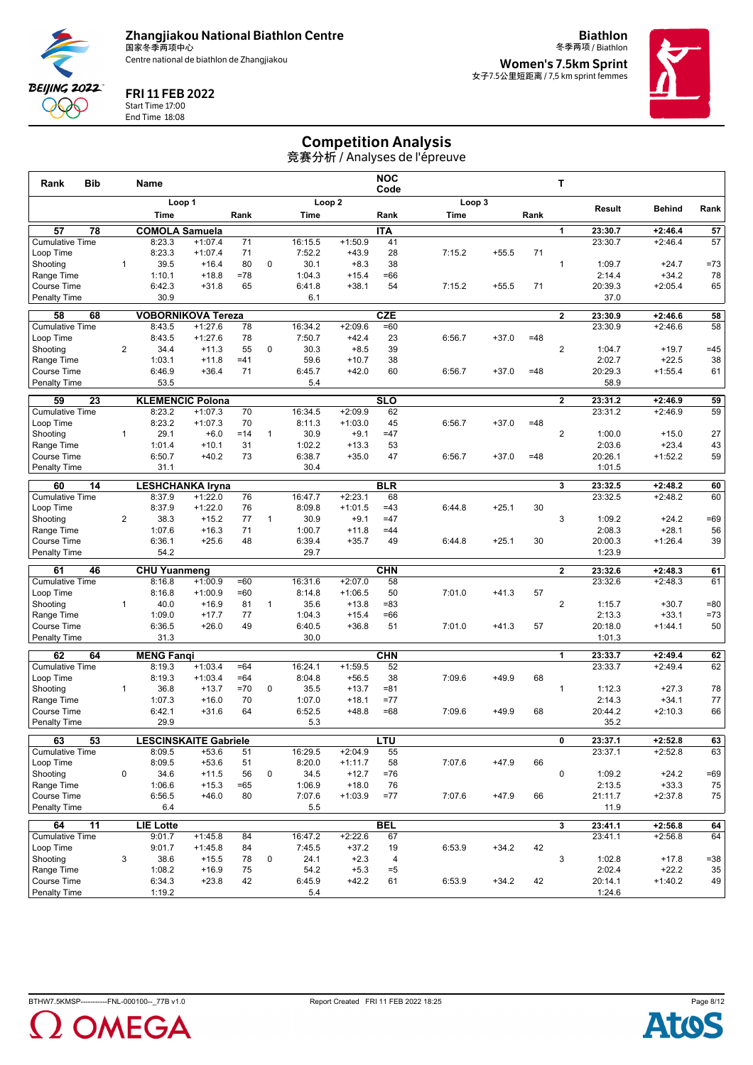

FRI 11 FEB 2022 Start Time 17:00 End Time 18:08

**BEIJING 2022** POQ C

**Biathlon**



冬季两项 / Biathlon **Women's 7.5km Sprint** 女子7.5公里短距离 / 7,5 km sprint femmes



# Competition Analysis

| Loop <sub>2</sub><br>Loop 3<br>Loop 1<br>Result<br><b>Behind</b><br>Rank<br>Time<br>Rank<br>Rank<br>Time<br>Rank<br>Time<br>57<br>78<br><b>COMOLA Samuela</b><br><b>ITA</b><br>57<br>23:30.7<br>$+2:46.4$<br>1<br>57<br><b>Cumulative Time</b><br>8:23.3<br>71<br>$+1:50.9$<br>41<br>23:30.7<br>$+2:46.4$<br>$+1:07.4$<br>16:15.5<br>8:23.3<br>71<br>7:52.2<br>28<br>7:15.2<br>$+55.5$<br>71<br>Loop Time<br>$+1:07.4$<br>$+43.9$<br>39.5<br>$+16.4$<br>80<br>$\mathbf 0$<br>30.1<br>38<br>$=73$<br>Shooting<br>$\mathbf{1}$<br>$+8.3$<br>$\mathbf{1}$<br>1:09.7<br>$+24.7$<br>1:10.1<br>$=78$<br>1:04.3<br>$+34.2$<br>78<br>Range Time<br>$+18.8$<br>$+15.4$<br>$=66$<br>2:14.4<br>6:42.3<br>20:39.3<br>$+2:05.4$<br>65<br>Course Time<br>$+31.8$<br>65<br>6:41.8<br>$+38.1$<br>54<br>7:15.2<br>$+55.5$<br>71<br>Penalty Time<br>30.9<br>6.1<br>37.0<br>68<br><b>VOBORNIKOVA Tereza</b><br><b>CZE</b><br>$\overline{2}$<br>58<br>58<br>23:30.9<br>$+2:46.6$<br><b>Cumulative Time</b><br>8:43.5<br>$+1:27.6$<br>78<br>16:34.2<br>$+2:09.6$<br>$=60$<br>23:30.9<br>$+2:46.6$<br>58<br>8:43.5<br>$+1:27.6$<br>78<br>7:50.7<br>$+42.4$<br>23<br>6:56.7<br>$=48$<br>Loop Time<br>$+37.0$<br>$\overline{2}$<br>55<br>0<br>39<br>$\overline{2}$<br>$+19.7$<br>$=45$<br>Shooting<br>34.4<br>$+11.3$<br>30.3<br>$+8.5$<br>1:04.7<br>2:02.7<br>$+22.5$<br>38<br>Range Time<br>1:03.1<br>$+11.8$<br>$=41$<br>59.6<br>$+10.7$<br>38<br>71<br>Course Time<br>6:46.9<br>$+36.4$<br>6:45.7<br>$+42.0$<br>60<br>6:56.7<br>$+37.0$<br>$=48$<br>20:29.3<br>$+1:55.4$<br>61<br><b>Penalty Time</b><br>53.5<br>5.4<br>58.9<br>SLO<br>59<br>23<br><b>KLEMENCIC Polona</b><br>$\overline{2}$<br>23:31.2<br>$+2:46.9$<br>59<br>8:23.2<br>$+1:07.3$<br>70<br>16:34.5<br>$+2:09.9$<br>62<br>23:31.2<br>$+2:46.9$<br>59<br><b>Cumulative Time</b><br>8:23.2<br>$+1:07.3$<br>70<br>$+1:03.0$<br>45<br>$+37.0$<br>Loop Time<br>8:11.3<br>6:56.7<br>$=48$<br>$\overline{2}$<br>29.1<br>30.9<br>27<br>Shooting<br>$\mathbf{1}$<br>$+6.0$<br>$=14$<br>$\mathbf{1}$<br>$+9.1$<br>$=47$<br>1:00.0<br>$+15.0$<br>31<br>1:02.2<br>53<br>2:03.6<br>$+23.4$<br>43<br>Range Time<br>1:01.4<br>$+10.1$<br>$+13.3$<br>$+40.2$<br>73<br>6:38.7<br>$+1:52.2$<br>59<br>Course Time<br>6:50.7<br>$+35.0$<br>47<br>6:56.7<br>$+37.0$<br>$=48$<br>20:26.1<br>30.4<br>31.1<br>1:01.5<br>Penalty Time<br><b>BLR</b><br>60<br>14<br><b>LESHCHANKA Iryna</b><br>3<br>23:32.5<br>$+2:48.2$<br>60<br><b>Cumulative Time</b><br>76<br>$+2:23.1$<br>68<br>$+2:48.2$<br>60<br>8:37.9<br>$+1:22.0$<br>16:47.7<br>23:32.5<br>76<br>8:09.8<br>$+1:01.5$<br>Loop Time<br>8:37.9<br>$+1:22.0$<br>$=43$<br>6:44.8<br>$+25.1$<br>30<br>3<br>38.3<br>77<br>30.9<br>$=47$<br>$=69$<br>Shooting<br>2<br>$+15.2$<br>$\mathbf{1}$<br>$+9.1$<br>1:09.2<br>$+24.2$<br>1:07.6<br>71<br>1:00.7<br>2:08.3<br>$+28.1$<br>56<br>Range Time<br>$+16.3$<br>$+11.8$<br>$=44$<br>$+25.6$<br>48<br>49<br>$+25.1$<br>30<br>39<br><b>Course Time</b><br>6:36.1<br>6:39.4<br>$+35.7$<br>6:44.8<br>20:00.3<br>$+1:26.4$<br>54.2<br>29.7<br>1:23.9<br>Penalty Time<br>61<br>46<br><b>CHN</b><br>$\overline{2}$<br><b>CHU Yuanmeng</b><br>23:32.6<br>$+2:48.3$<br>61<br><b>Cumulative Time</b><br>8:16.8<br>$+2:07.0$<br>58<br>23:32.6<br>$+2:48.3$<br>$+1:00.9$<br>$=60$<br>16:31.6<br>61<br>8:16.8<br>$+1:00.9$<br>8:14.8<br>$+1:06.5$<br>7:01.0<br>57<br>Loop Time<br>$=60$<br>50<br>$+41.3$<br>$\overline{2}$<br>40.0<br>81<br>$\mathbf{1}$<br>35.6<br>$= 80$<br>Shooting<br>$\mathbf{1}$<br>$+16.9$<br>$+13.8$<br>$= 83$<br>1:15.7<br>$+30.7$<br>1:09.0<br>$+17.7$<br>77<br>$+15.4$<br>2:13.3<br>$+33.1$<br>$=73$<br>Range Time<br>1:04.3<br>$=66$<br>6:36.5<br>$+26.0$<br>49<br>6:40.5<br>51<br>7:01.0<br>50<br>Course Time<br>$+36.8$<br>$+41.3$<br>57<br>20:18.0<br>$+1:44.1$<br><b>Penalty Time</b><br>31.3<br>30.0<br>1:01.3<br>62<br><b>CHN</b><br>64<br><b>MENG Fangi</b><br>23:33.7<br>$+2:49.4$<br>62<br>1<br>62<br><b>Cumulative Time</b><br>$+1:03.4$<br>16:24.1<br>$+1:59.5$<br>52<br>23:33.7<br>$+2:49.4$<br>8:19.3<br>$=64$<br>8:19.3<br>$+1:03.4$<br>$=64$<br>8:04.8<br>$+56.5$<br>38<br>7:09.6<br>$+49.9$<br>68<br>Loop Time<br>36.8<br>$=70$<br>$\mathbf 0$<br>35.5<br>$+13.7$<br>78<br>Shooting<br>$\mathbf{1}$<br>$+13.7$<br>$= 81$<br>$\mathbf{1}$<br>1:12.3<br>$+27.3$<br>1:07.3<br>1:07.0<br>$+34.1$<br>77<br>Range Time<br>$+16.0$<br>70<br>$+18.1$<br>$= 77$<br>2:14.3<br>6:42.1<br>66<br>Course Time<br>$+31.6$<br>64<br>6:52.5<br>$+48.8$<br>$=68$<br>7:09.6<br>$+49.9$<br>68<br>20:44.2<br>$+2:10.3$<br>29.9<br><b>Penalty Time</b><br>5.3<br>35.2<br><b>LESCINSKAITE Gabriele</b><br>63<br>53<br>LTU<br>$\overline{0}$<br>23:37.1<br>$+2:52.8$<br>63<br><b>Cumulative Time</b><br>16:29.5<br>23:37.1<br>$+2:52.8$<br>63<br>8:09.5<br>$+53.6$<br>$+2:04.9$<br>55<br>51<br>8:09.5<br>$+53.6$<br>51<br>8:20.0<br>$+1:11.7$<br>58<br>7:07.6<br>$+47.9$<br>66<br>Loop Time<br>$+11.5$<br>56<br>0<br>0<br>$=69$<br>Shooting<br>0<br>34.6<br>34.5<br>$+12.7$<br>$=76$<br>1:09.2<br>$+24.2$<br>$=65$<br>2:13.5<br>$+33.3$<br>Range Time<br>1:06.6<br>$+15.3$<br>1:06.9<br>$+18.0$<br>76<br>75<br>Course Time<br>$+47.9$<br>6:56.5<br>$+46.0$<br>80<br>7:07.6<br>$+1:03.9$<br>$= 77$<br>7:07.6<br>66<br>21:11.7<br>$+2:37.8$<br>75<br>Penalty Time<br>6.4<br>5.5<br>11.9 | Bib<br>Rank | Name |  |  | <b>NOC</b><br>Code |  | т |  |    |
|---------------------------------------------------------------------------------------------------------------------------------------------------------------------------------------------------------------------------------------------------------------------------------------------------------------------------------------------------------------------------------------------------------------------------------------------------------------------------------------------------------------------------------------------------------------------------------------------------------------------------------------------------------------------------------------------------------------------------------------------------------------------------------------------------------------------------------------------------------------------------------------------------------------------------------------------------------------------------------------------------------------------------------------------------------------------------------------------------------------------------------------------------------------------------------------------------------------------------------------------------------------------------------------------------------------------------------------------------------------------------------------------------------------------------------------------------------------------------------------------------------------------------------------------------------------------------------------------------------------------------------------------------------------------------------------------------------------------------------------------------------------------------------------------------------------------------------------------------------------------------------------------------------------------------------------------------------------------------------------------------------------------------------------------------------------------------------------------------------------------------------------------------------------------------------------------------------------------------------------------------------------------------------------------------------------------------------------------------------------------------------------------------------------------------------------------------------------------------------------------------------------------------------------------------------------------------------------------------------------------------------------------------------------------------------------------------------------------------------------------------------------------------------------------------------------------------------------------------------------------------------------------------------------------------------------------------------------------------------------------------------------------------------------------------------------------------------------------------------------------------------------------------------------------------------------------------------------------------------------------------------------------------------------------------------------------------------------------------------------------------------------------------------------------------------------------------------------------------------------------------------------------------------------------------------------------------------------------------------------------------------------------------------------------------------------------------------------------------------------------------------------------------------------------------------------------------------------------------------------------------------------------------------------------------------------------------------------------------------------------------------------------------------------------------------------------------------------------------------------------------------------------------------------------------------------------------------------------------------------------------------------------------------------------------------------------------------------------------------------------------------------------------------------------------------------------------------------------------------------------------------------------------------------------------------------------------------------------------------------------------------------------------------------------------------------------------------------------------------------------------------------------------------------------------------------------------------------------------------------------------------------------------------------------------------------------------------------------------------------------------------------------------------------------------------------------------------------------------------------------------------------------------------------------------------------------------------------------------------------------------------------------------------------------------------------|-------------|------|--|--|--------------------|--|---|--|----|
|                                                                                                                                                                                                                                                                                                                                                                                                                                                                                                                                                                                                                                                                                                                                                                                                                                                                                                                                                                                                                                                                                                                                                                                                                                                                                                                                                                                                                                                                                                                                                                                                                                                                                                                                                                                                                                                                                                                                                                                                                                                                                                                                                                                                                                                                                                                                                                                                                                                                                                                                                                                                                                                                                                                                                                                                                                                                                                                                                                                                                                                                                                                                                                                                                                                                                                                                                                                                                                                                                                                                                                                                                                                                                                                                                                                                                                                                                                                                                                                                                                                                                                                                                                                                                                                                                                                                                                                                                                                                                                                                                                                                                                                                                                                                                                                                                                                                                                                                                                                                                                                                                                                                                                                                                                                                                                               |             |      |  |  |                    |  |   |  |    |
|                                                                                                                                                                                                                                                                                                                                                                                                                                                                                                                                                                                                                                                                                                                                                                                                                                                                                                                                                                                                                                                                                                                                                                                                                                                                                                                                                                                                                                                                                                                                                                                                                                                                                                                                                                                                                                                                                                                                                                                                                                                                                                                                                                                                                                                                                                                                                                                                                                                                                                                                                                                                                                                                                                                                                                                                                                                                                                                                                                                                                                                                                                                                                                                                                                                                                                                                                                                                                                                                                                                                                                                                                                                                                                                                                                                                                                                                                                                                                                                                                                                                                                                                                                                                                                                                                                                                                                                                                                                                                                                                                                                                                                                                                                                                                                                                                                                                                                                                                                                                                                                                                                                                                                                                                                                                                                               |             |      |  |  |                    |  |   |  |    |
|                                                                                                                                                                                                                                                                                                                                                                                                                                                                                                                                                                                                                                                                                                                                                                                                                                                                                                                                                                                                                                                                                                                                                                                                                                                                                                                                                                                                                                                                                                                                                                                                                                                                                                                                                                                                                                                                                                                                                                                                                                                                                                                                                                                                                                                                                                                                                                                                                                                                                                                                                                                                                                                                                                                                                                                                                                                                                                                                                                                                                                                                                                                                                                                                                                                                                                                                                                                                                                                                                                                                                                                                                                                                                                                                                                                                                                                                                                                                                                                                                                                                                                                                                                                                                                                                                                                                                                                                                                                                                                                                                                                                                                                                                                                                                                                                                                                                                                                                                                                                                                                                                                                                                                                                                                                                                                               |             |      |  |  |                    |  |   |  |    |
|                                                                                                                                                                                                                                                                                                                                                                                                                                                                                                                                                                                                                                                                                                                                                                                                                                                                                                                                                                                                                                                                                                                                                                                                                                                                                                                                                                                                                                                                                                                                                                                                                                                                                                                                                                                                                                                                                                                                                                                                                                                                                                                                                                                                                                                                                                                                                                                                                                                                                                                                                                                                                                                                                                                                                                                                                                                                                                                                                                                                                                                                                                                                                                                                                                                                                                                                                                                                                                                                                                                                                                                                                                                                                                                                                                                                                                                                                                                                                                                                                                                                                                                                                                                                                                                                                                                                                                                                                                                                                                                                                                                                                                                                                                                                                                                                                                                                                                                                                                                                                                                                                                                                                                                                                                                                                                               |             |      |  |  |                    |  |   |  |    |
|                                                                                                                                                                                                                                                                                                                                                                                                                                                                                                                                                                                                                                                                                                                                                                                                                                                                                                                                                                                                                                                                                                                                                                                                                                                                                                                                                                                                                                                                                                                                                                                                                                                                                                                                                                                                                                                                                                                                                                                                                                                                                                                                                                                                                                                                                                                                                                                                                                                                                                                                                                                                                                                                                                                                                                                                                                                                                                                                                                                                                                                                                                                                                                                                                                                                                                                                                                                                                                                                                                                                                                                                                                                                                                                                                                                                                                                                                                                                                                                                                                                                                                                                                                                                                                                                                                                                                                                                                                                                                                                                                                                                                                                                                                                                                                                                                                                                                                                                                                                                                                                                                                                                                                                                                                                                                                               |             |      |  |  |                    |  |   |  |    |
|                                                                                                                                                                                                                                                                                                                                                                                                                                                                                                                                                                                                                                                                                                                                                                                                                                                                                                                                                                                                                                                                                                                                                                                                                                                                                                                                                                                                                                                                                                                                                                                                                                                                                                                                                                                                                                                                                                                                                                                                                                                                                                                                                                                                                                                                                                                                                                                                                                                                                                                                                                                                                                                                                                                                                                                                                                                                                                                                                                                                                                                                                                                                                                                                                                                                                                                                                                                                                                                                                                                                                                                                                                                                                                                                                                                                                                                                                                                                                                                                                                                                                                                                                                                                                                                                                                                                                                                                                                                                                                                                                                                                                                                                                                                                                                                                                                                                                                                                                                                                                                                                                                                                                                                                                                                                                                               |             |      |  |  |                    |  |   |  |    |
|                                                                                                                                                                                                                                                                                                                                                                                                                                                                                                                                                                                                                                                                                                                                                                                                                                                                                                                                                                                                                                                                                                                                                                                                                                                                                                                                                                                                                                                                                                                                                                                                                                                                                                                                                                                                                                                                                                                                                                                                                                                                                                                                                                                                                                                                                                                                                                                                                                                                                                                                                                                                                                                                                                                                                                                                                                                                                                                                                                                                                                                                                                                                                                                                                                                                                                                                                                                                                                                                                                                                                                                                                                                                                                                                                                                                                                                                                                                                                                                                                                                                                                                                                                                                                                                                                                                                                                                                                                                                                                                                                                                                                                                                                                                                                                                                                                                                                                                                                                                                                                                                                                                                                                                                                                                                                                               |             |      |  |  |                    |  |   |  |    |
|                                                                                                                                                                                                                                                                                                                                                                                                                                                                                                                                                                                                                                                                                                                                                                                                                                                                                                                                                                                                                                                                                                                                                                                                                                                                                                                                                                                                                                                                                                                                                                                                                                                                                                                                                                                                                                                                                                                                                                                                                                                                                                                                                                                                                                                                                                                                                                                                                                                                                                                                                                                                                                                                                                                                                                                                                                                                                                                                                                                                                                                                                                                                                                                                                                                                                                                                                                                                                                                                                                                                                                                                                                                                                                                                                                                                                                                                                                                                                                                                                                                                                                                                                                                                                                                                                                                                                                                                                                                                                                                                                                                                                                                                                                                                                                                                                                                                                                                                                                                                                                                                                                                                                                                                                                                                                                               |             |      |  |  |                    |  |   |  |    |
|                                                                                                                                                                                                                                                                                                                                                                                                                                                                                                                                                                                                                                                                                                                                                                                                                                                                                                                                                                                                                                                                                                                                                                                                                                                                                                                                                                                                                                                                                                                                                                                                                                                                                                                                                                                                                                                                                                                                                                                                                                                                                                                                                                                                                                                                                                                                                                                                                                                                                                                                                                                                                                                                                                                                                                                                                                                                                                                                                                                                                                                                                                                                                                                                                                                                                                                                                                                                                                                                                                                                                                                                                                                                                                                                                                                                                                                                                                                                                                                                                                                                                                                                                                                                                                                                                                                                                                                                                                                                                                                                                                                                                                                                                                                                                                                                                                                                                                                                                                                                                                                                                                                                                                                                                                                                                                               |             |      |  |  |                    |  |   |  |    |
|                                                                                                                                                                                                                                                                                                                                                                                                                                                                                                                                                                                                                                                                                                                                                                                                                                                                                                                                                                                                                                                                                                                                                                                                                                                                                                                                                                                                                                                                                                                                                                                                                                                                                                                                                                                                                                                                                                                                                                                                                                                                                                                                                                                                                                                                                                                                                                                                                                                                                                                                                                                                                                                                                                                                                                                                                                                                                                                                                                                                                                                                                                                                                                                                                                                                                                                                                                                                                                                                                                                                                                                                                                                                                                                                                                                                                                                                                                                                                                                                                                                                                                                                                                                                                                                                                                                                                                                                                                                                                                                                                                                                                                                                                                                                                                                                                                                                                                                                                                                                                                                                                                                                                                                                                                                                                                               |             |      |  |  |                    |  |   |  |    |
|                                                                                                                                                                                                                                                                                                                                                                                                                                                                                                                                                                                                                                                                                                                                                                                                                                                                                                                                                                                                                                                                                                                                                                                                                                                                                                                                                                                                                                                                                                                                                                                                                                                                                                                                                                                                                                                                                                                                                                                                                                                                                                                                                                                                                                                                                                                                                                                                                                                                                                                                                                                                                                                                                                                                                                                                                                                                                                                                                                                                                                                                                                                                                                                                                                                                                                                                                                                                                                                                                                                                                                                                                                                                                                                                                                                                                                                                                                                                                                                                                                                                                                                                                                                                                                                                                                                                                                                                                                                                                                                                                                                                                                                                                                                                                                                                                                                                                                                                                                                                                                                                                                                                                                                                                                                                                                               |             |      |  |  |                    |  |   |  |    |
|                                                                                                                                                                                                                                                                                                                                                                                                                                                                                                                                                                                                                                                                                                                                                                                                                                                                                                                                                                                                                                                                                                                                                                                                                                                                                                                                                                                                                                                                                                                                                                                                                                                                                                                                                                                                                                                                                                                                                                                                                                                                                                                                                                                                                                                                                                                                                                                                                                                                                                                                                                                                                                                                                                                                                                                                                                                                                                                                                                                                                                                                                                                                                                                                                                                                                                                                                                                                                                                                                                                                                                                                                                                                                                                                                                                                                                                                                                                                                                                                                                                                                                                                                                                                                                                                                                                                                                                                                                                                                                                                                                                                                                                                                                                                                                                                                                                                                                                                                                                                                                                                                                                                                                                                                                                                                                               |             |      |  |  |                    |  |   |  |    |
|                                                                                                                                                                                                                                                                                                                                                                                                                                                                                                                                                                                                                                                                                                                                                                                                                                                                                                                                                                                                                                                                                                                                                                                                                                                                                                                                                                                                                                                                                                                                                                                                                                                                                                                                                                                                                                                                                                                                                                                                                                                                                                                                                                                                                                                                                                                                                                                                                                                                                                                                                                                                                                                                                                                                                                                                                                                                                                                                                                                                                                                                                                                                                                                                                                                                                                                                                                                                                                                                                                                                                                                                                                                                                                                                                                                                                                                                                                                                                                                                                                                                                                                                                                                                                                                                                                                                                                                                                                                                                                                                                                                                                                                                                                                                                                                                                                                                                                                                                                                                                                                                                                                                                                                                                                                                                                               |             |      |  |  |                    |  |   |  |    |
|                                                                                                                                                                                                                                                                                                                                                                                                                                                                                                                                                                                                                                                                                                                                                                                                                                                                                                                                                                                                                                                                                                                                                                                                                                                                                                                                                                                                                                                                                                                                                                                                                                                                                                                                                                                                                                                                                                                                                                                                                                                                                                                                                                                                                                                                                                                                                                                                                                                                                                                                                                                                                                                                                                                                                                                                                                                                                                                                                                                                                                                                                                                                                                                                                                                                                                                                                                                                                                                                                                                                                                                                                                                                                                                                                                                                                                                                                                                                                                                                                                                                                                                                                                                                                                                                                                                                                                                                                                                                                                                                                                                                                                                                                                                                                                                                                                                                                                                                                                                                                                                                                                                                                                                                                                                                                                               |             |      |  |  |                    |  |   |  |    |
|                                                                                                                                                                                                                                                                                                                                                                                                                                                                                                                                                                                                                                                                                                                                                                                                                                                                                                                                                                                                                                                                                                                                                                                                                                                                                                                                                                                                                                                                                                                                                                                                                                                                                                                                                                                                                                                                                                                                                                                                                                                                                                                                                                                                                                                                                                                                                                                                                                                                                                                                                                                                                                                                                                                                                                                                                                                                                                                                                                                                                                                                                                                                                                                                                                                                                                                                                                                                                                                                                                                                                                                                                                                                                                                                                                                                                                                                                                                                                                                                                                                                                                                                                                                                                                                                                                                                                                                                                                                                                                                                                                                                                                                                                                                                                                                                                                                                                                                                                                                                                                                                                                                                                                                                                                                                                                               |             |      |  |  |                    |  |   |  |    |
|                                                                                                                                                                                                                                                                                                                                                                                                                                                                                                                                                                                                                                                                                                                                                                                                                                                                                                                                                                                                                                                                                                                                                                                                                                                                                                                                                                                                                                                                                                                                                                                                                                                                                                                                                                                                                                                                                                                                                                                                                                                                                                                                                                                                                                                                                                                                                                                                                                                                                                                                                                                                                                                                                                                                                                                                                                                                                                                                                                                                                                                                                                                                                                                                                                                                                                                                                                                                                                                                                                                                                                                                                                                                                                                                                                                                                                                                                                                                                                                                                                                                                                                                                                                                                                                                                                                                                                                                                                                                                                                                                                                                                                                                                                                                                                                                                                                                                                                                                                                                                                                                                                                                                                                                                                                                                                               |             |      |  |  |                    |  |   |  |    |
|                                                                                                                                                                                                                                                                                                                                                                                                                                                                                                                                                                                                                                                                                                                                                                                                                                                                                                                                                                                                                                                                                                                                                                                                                                                                                                                                                                                                                                                                                                                                                                                                                                                                                                                                                                                                                                                                                                                                                                                                                                                                                                                                                                                                                                                                                                                                                                                                                                                                                                                                                                                                                                                                                                                                                                                                                                                                                                                                                                                                                                                                                                                                                                                                                                                                                                                                                                                                                                                                                                                                                                                                                                                                                                                                                                                                                                                                                                                                                                                                                                                                                                                                                                                                                                                                                                                                                                                                                                                                                                                                                                                                                                                                                                                                                                                                                                                                                                                                                                                                                                                                                                                                                                                                                                                                                                               |             |      |  |  |                    |  |   |  |    |
|                                                                                                                                                                                                                                                                                                                                                                                                                                                                                                                                                                                                                                                                                                                                                                                                                                                                                                                                                                                                                                                                                                                                                                                                                                                                                                                                                                                                                                                                                                                                                                                                                                                                                                                                                                                                                                                                                                                                                                                                                                                                                                                                                                                                                                                                                                                                                                                                                                                                                                                                                                                                                                                                                                                                                                                                                                                                                                                                                                                                                                                                                                                                                                                                                                                                                                                                                                                                                                                                                                                                                                                                                                                                                                                                                                                                                                                                                                                                                                                                                                                                                                                                                                                                                                                                                                                                                                                                                                                                                                                                                                                                                                                                                                                                                                                                                                                                                                                                                                                                                                                                                                                                                                                                                                                                                                               |             |      |  |  |                    |  |   |  |    |
|                                                                                                                                                                                                                                                                                                                                                                                                                                                                                                                                                                                                                                                                                                                                                                                                                                                                                                                                                                                                                                                                                                                                                                                                                                                                                                                                                                                                                                                                                                                                                                                                                                                                                                                                                                                                                                                                                                                                                                                                                                                                                                                                                                                                                                                                                                                                                                                                                                                                                                                                                                                                                                                                                                                                                                                                                                                                                                                                                                                                                                                                                                                                                                                                                                                                                                                                                                                                                                                                                                                                                                                                                                                                                                                                                                                                                                                                                                                                                                                                                                                                                                                                                                                                                                                                                                                                                                                                                                                                                                                                                                                                                                                                                                                                                                                                                                                                                                                                                                                                                                                                                                                                                                                                                                                                                                               |             |      |  |  |                    |  |   |  |    |
|                                                                                                                                                                                                                                                                                                                                                                                                                                                                                                                                                                                                                                                                                                                                                                                                                                                                                                                                                                                                                                                                                                                                                                                                                                                                                                                                                                                                                                                                                                                                                                                                                                                                                                                                                                                                                                                                                                                                                                                                                                                                                                                                                                                                                                                                                                                                                                                                                                                                                                                                                                                                                                                                                                                                                                                                                                                                                                                                                                                                                                                                                                                                                                                                                                                                                                                                                                                                                                                                                                                                                                                                                                                                                                                                                                                                                                                                                                                                                                                                                                                                                                                                                                                                                                                                                                                                                                                                                                                                                                                                                                                                                                                                                                                                                                                                                                                                                                                                                                                                                                                                                                                                                                                                                                                                                                               |             |      |  |  |                    |  |   |  |    |
|                                                                                                                                                                                                                                                                                                                                                                                                                                                                                                                                                                                                                                                                                                                                                                                                                                                                                                                                                                                                                                                                                                                                                                                                                                                                                                                                                                                                                                                                                                                                                                                                                                                                                                                                                                                                                                                                                                                                                                                                                                                                                                                                                                                                                                                                                                                                                                                                                                                                                                                                                                                                                                                                                                                                                                                                                                                                                                                                                                                                                                                                                                                                                                                                                                                                                                                                                                                                                                                                                                                                                                                                                                                                                                                                                                                                                                                                                                                                                                                                                                                                                                                                                                                                                                                                                                                                                                                                                                                                                                                                                                                                                                                                                                                                                                                                                                                                                                                                                                                                                                                                                                                                                                                                                                                                                                               |             |      |  |  |                    |  |   |  |    |
|                                                                                                                                                                                                                                                                                                                                                                                                                                                                                                                                                                                                                                                                                                                                                                                                                                                                                                                                                                                                                                                                                                                                                                                                                                                                                                                                                                                                                                                                                                                                                                                                                                                                                                                                                                                                                                                                                                                                                                                                                                                                                                                                                                                                                                                                                                                                                                                                                                                                                                                                                                                                                                                                                                                                                                                                                                                                                                                                                                                                                                                                                                                                                                                                                                                                                                                                                                                                                                                                                                                                                                                                                                                                                                                                                                                                                                                                                                                                                                                                                                                                                                                                                                                                                                                                                                                                                                                                                                                                                                                                                                                                                                                                                                                                                                                                                                                                                                                                                                                                                                                                                                                                                                                                                                                                                                               |             |      |  |  |                    |  |   |  |    |
|                                                                                                                                                                                                                                                                                                                                                                                                                                                                                                                                                                                                                                                                                                                                                                                                                                                                                                                                                                                                                                                                                                                                                                                                                                                                                                                                                                                                                                                                                                                                                                                                                                                                                                                                                                                                                                                                                                                                                                                                                                                                                                                                                                                                                                                                                                                                                                                                                                                                                                                                                                                                                                                                                                                                                                                                                                                                                                                                                                                                                                                                                                                                                                                                                                                                                                                                                                                                                                                                                                                                                                                                                                                                                                                                                                                                                                                                                                                                                                                                                                                                                                                                                                                                                                                                                                                                                                                                                                                                                                                                                                                                                                                                                                                                                                                                                                                                                                                                                                                                                                                                                                                                                                                                                                                                                                               |             |      |  |  |                    |  |   |  |    |
|                                                                                                                                                                                                                                                                                                                                                                                                                                                                                                                                                                                                                                                                                                                                                                                                                                                                                                                                                                                                                                                                                                                                                                                                                                                                                                                                                                                                                                                                                                                                                                                                                                                                                                                                                                                                                                                                                                                                                                                                                                                                                                                                                                                                                                                                                                                                                                                                                                                                                                                                                                                                                                                                                                                                                                                                                                                                                                                                                                                                                                                                                                                                                                                                                                                                                                                                                                                                                                                                                                                                                                                                                                                                                                                                                                                                                                                                                                                                                                                                                                                                                                                                                                                                                                                                                                                                                                                                                                                                                                                                                                                                                                                                                                                                                                                                                                                                                                                                                                                                                                                                                                                                                                                                                                                                                                               |             |      |  |  |                    |  |   |  |    |
|                                                                                                                                                                                                                                                                                                                                                                                                                                                                                                                                                                                                                                                                                                                                                                                                                                                                                                                                                                                                                                                                                                                                                                                                                                                                                                                                                                                                                                                                                                                                                                                                                                                                                                                                                                                                                                                                                                                                                                                                                                                                                                                                                                                                                                                                                                                                                                                                                                                                                                                                                                                                                                                                                                                                                                                                                                                                                                                                                                                                                                                                                                                                                                                                                                                                                                                                                                                                                                                                                                                                                                                                                                                                                                                                                                                                                                                                                                                                                                                                                                                                                                                                                                                                                                                                                                                                                                                                                                                                                                                                                                                                                                                                                                                                                                                                                                                                                                                                                                                                                                                                                                                                                                                                                                                                                                               |             |      |  |  |                    |  |   |  |    |
|                                                                                                                                                                                                                                                                                                                                                                                                                                                                                                                                                                                                                                                                                                                                                                                                                                                                                                                                                                                                                                                                                                                                                                                                                                                                                                                                                                                                                                                                                                                                                                                                                                                                                                                                                                                                                                                                                                                                                                                                                                                                                                                                                                                                                                                                                                                                                                                                                                                                                                                                                                                                                                                                                                                                                                                                                                                                                                                                                                                                                                                                                                                                                                                                                                                                                                                                                                                                                                                                                                                                                                                                                                                                                                                                                                                                                                                                                                                                                                                                                                                                                                                                                                                                                                                                                                                                                                                                                                                                                                                                                                                                                                                                                                                                                                                                                                                                                                                                                                                                                                                                                                                                                                                                                                                                                                               |             |      |  |  |                    |  |   |  |    |
|                                                                                                                                                                                                                                                                                                                                                                                                                                                                                                                                                                                                                                                                                                                                                                                                                                                                                                                                                                                                                                                                                                                                                                                                                                                                                                                                                                                                                                                                                                                                                                                                                                                                                                                                                                                                                                                                                                                                                                                                                                                                                                                                                                                                                                                                                                                                                                                                                                                                                                                                                                                                                                                                                                                                                                                                                                                                                                                                                                                                                                                                                                                                                                                                                                                                                                                                                                                                                                                                                                                                                                                                                                                                                                                                                                                                                                                                                                                                                                                                                                                                                                                                                                                                                                                                                                                                                                                                                                                                                                                                                                                                                                                                                                                                                                                                                                                                                                                                                                                                                                                                                                                                                                                                                                                                                                               |             |      |  |  |                    |  |   |  |    |
|                                                                                                                                                                                                                                                                                                                                                                                                                                                                                                                                                                                                                                                                                                                                                                                                                                                                                                                                                                                                                                                                                                                                                                                                                                                                                                                                                                                                                                                                                                                                                                                                                                                                                                                                                                                                                                                                                                                                                                                                                                                                                                                                                                                                                                                                                                                                                                                                                                                                                                                                                                                                                                                                                                                                                                                                                                                                                                                                                                                                                                                                                                                                                                                                                                                                                                                                                                                                                                                                                                                                                                                                                                                                                                                                                                                                                                                                                                                                                                                                                                                                                                                                                                                                                                                                                                                                                                                                                                                                                                                                                                                                                                                                                                                                                                                                                                                                                                                                                                                                                                                                                                                                                                                                                                                                                                               |             |      |  |  |                    |  |   |  |    |
|                                                                                                                                                                                                                                                                                                                                                                                                                                                                                                                                                                                                                                                                                                                                                                                                                                                                                                                                                                                                                                                                                                                                                                                                                                                                                                                                                                                                                                                                                                                                                                                                                                                                                                                                                                                                                                                                                                                                                                                                                                                                                                                                                                                                                                                                                                                                                                                                                                                                                                                                                                                                                                                                                                                                                                                                                                                                                                                                                                                                                                                                                                                                                                                                                                                                                                                                                                                                                                                                                                                                                                                                                                                                                                                                                                                                                                                                                                                                                                                                                                                                                                                                                                                                                                                                                                                                                                                                                                                                                                                                                                                                                                                                                                                                                                                                                                                                                                                                                                                                                                                                                                                                                                                                                                                                                                               |             |      |  |  |                    |  |   |  |    |
|                                                                                                                                                                                                                                                                                                                                                                                                                                                                                                                                                                                                                                                                                                                                                                                                                                                                                                                                                                                                                                                                                                                                                                                                                                                                                                                                                                                                                                                                                                                                                                                                                                                                                                                                                                                                                                                                                                                                                                                                                                                                                                                                                                                                                                                                                                                                                                                                                                                                                                                                                                                                                                                                                                                                                                                                                                                                                                                                                                                                                                                                                                                                                                                                                                                                                                                                                                                                                                                                                                                                                                                                                                                                                                                                                                                                                                                                                                                                                                                                                                                                                                                                                                                                                                                                                                                                                                                                                                                                                                                                                                                                                                                                                                                                                                                                                                                                                                                                                                                                                                                                                                                                                                                                                                                                                                               |             |      |  |  |                    |  |   |  |    |
|                                                                                                                                                                                                                                                                                                                                                                                                                                                                                                                                                                                                                                                                                                                                                                                                                                                                                                                                                                                                                                                                                                                                                                                                                                                                                                                                                                                                                                                                                                                                                                                                                                                                                                                                                                                                                                                                                                                                                                                                                                                                                                                                                                                                                                                                                                                                                                                                                                                                                                                                                                                                                                                                                                                                                                                                                                                                                                                                                                                                                                                                                                                                                                                                                                                                                                                                                                                                                                                                                                                                                                                                                                                                                                                                                                                                                                                                                                                                                                                                                                                                                                                                                                                                                                                                                                                                                                                                                                                                                                                                                                                                                                                                                                                                                                                                                                                                                                                                                                                                                                                                                                                                                                                                                                                                                                               |             |      |  |  |                    |  |   |  |    |
|                                                                                                                                                                                                                                                                                                                                                                                                                                                                                                                                                                                                                                                                                                                                                                                                                                                                                                                                                                                                                                                                                                                                                                                                                                                                                                                                                                                                                                                                                                                                                                                                                                                                                                                                                                                                                                                                                                                                                                                                                                                                                                                                                                                                                                                                                                                                                                                                                                                                                                                                                                                                                                                                                                                                                                                                                                                                                                                                                                                                                                                                                                                                                                                                                                                                                                                                                                                                                                                                                                                                                                                                                                                                                                                                                                                                                                                                                                                                                                                                                                                                                                                                                                                                                                                                                                                                                                                                                                                                                                                                                                                                                                                                                                                                                                                                                                                                                                                                                                                                                                                                                                                                                                                                                                                                                                               |             |      |  |  |                    |  |   |  |    |
|                                                                                                                                                                                                                                                                                                                                                                                                                                                                                                                                                                                                                                                                                                                                                                                                                                                                                                                                                                                                                                                                                                                                                                                                                                                                                                                                                                                                                                                                                                                                                                                                                                                                                                                                                                                                                                                                                                                                                                                                                                                                                                                                                                                                                                                                                                                                                                                                                                                                                                                                                                                                                                                                                                                                                                                                                                                                                                                                                                                                                                                                                                                                                                                                                                                                                                                                                                                                                                                                                                                                                                                                                                                                                                                                                                                                                                                                                                                                                                                                                                                                                                                                                                                                                                                                                                                                                                                                                                                                                                                                                                                                                                                                                                                                                                                                                                                                                                                                                                                                                                                                                                                                                                                                                                                                                                               |             |      |  |  |                    |  |   |  |    |
|                                                                                                                                                                                                                                                                                                                                                                                                                                                                                                                                                                                                                                                                                                                                                                                                                                                                                                                                                                                                                                                                                                                                                                                                                                                                                                                                                                                                                                                                                                                                                                                                                                                                                                                                                                                                                                                                                                                                                                                                                                                                                                                                                                                                                                                                                                                                                                                                                                                                                                                                                                                                                                                                                                                                                                                                                                                                                                                                                                                                                                                                                                                                                                                                                                                                                                                                                                                                                                                                                                                                                                                                                                                                                                                                                                                                                                                                                                                                                                                                                                                                                                                                                                                                                                                                                                                                                                                                                                                                                                                                                                                                                                                                                                                                                                                                                                                                                                                                                                                                                                                                                                                                                                                                                                                                                                               |             |      |  |  |                    |  |   |  |    |
|                                                                                                                                                                                                                                                                                                                                                                                                                                                                                                                                                                                                                                                                                                                                                                                                                                                                                                                                                                                                                                                                                                                                                                                                                                                                                                                                                                                                                                                                                                                                                                                                                                                                                                                                                                                                                                                                                                                                                                                                                                                                                                                                                                                                                                                                                                                                                                                                                                                                                                                                                                                                                                                                                                                                                                                                                                                                                                                                                                                                                                                                                                                                                                                                                                                                                                                                                                                                                                                                                                                                                                                                                                                                                                                                                                                                                                                                                                                                                                                                                                                                                                                                                                                                                                                                                                                                                                                                                                                                                                                                                                                                                                                                                                                                                                                                                                                                                                                                                                                                                                                                                                                                                                                                                                                                                                               |             |      |  |  |                    |  |   |  |    |
|                                                                                                                                                                                                                                                                                                                                                                                                                                                                                                                                                                                                                                                                                                                                                                                                                                                                                                                                                                                                                                                                                                                                                                                                                                                                                                                                                                                                                                                                                                                                                                                                                                                                                                                                                                                                                                                                                                                                                                                                                                                                                                                                                                                                                                                                                                                                                                                                                                                                                                                                                                                                                                                                                                                                                                                                                                                                                                                                                                                                                                                                                                                                                                                                                                                                                                                                                                                                                                                                                                                                                                                                                                                                                                                                                                                                                                                                                                                                                                                                                                                                                                                                                                                                                                                                                                                                                                                                                                                                                                                                                                                                                                                                                                                                                                                                                                                                                                                                                                                                                                                                                                                                                                                                                                                                                                               |             |      |  |  |                    |  |   |  |    |
|                                                                                                                                                                                                                                                                                                                                                                                                                                                                                                                                                                                                                                                                                                                                                                                                                                                                                                                                                                                                                                                                                                                                                                                                                                                                                                                                                                                                                                                                                                                                                                                                                                                                                                                                                                                                                                                                                                                                                                                                                                                                                                                                                                                                                                                                                                                                                                                                                                                                                                                                                                                                                                                                                                                                                                                                                                                                                                                                                                                                                                                                                                                                                                                                                                                                                                                                                                                                                                                                                                                                                                                                                                                                                                                                                                                                                                                                                                                                                                                                                                                                                                                                                                                                                                                                                                                                                                                                                                                                                                                                                                                                                                                                                                                                                                                                                                                                                                                                                                                                                                                                                                                                                                                                                                                                                                               |             |      |  |  |                    |  |   |  |    |
|                                                                                                                                                                                                                                                                                                                                                                                                                                                                                                                                                                                                                                                                                                                                                                                                                                                                                                                                                                                                                                                                                                                                                                                                                                                                                                                                                                                                                                                                                                                                                                                                                                                                                                                                                                                                                                                                                                                                                                                                                                                                                                                                                                                                                                                                                                                                                                                                                                                                                                                                                                                                                                                                                                                                                                                                                                                                                                                                                                                                                                                                                                                                                                                                                                                                                                                                                                                                                                                                                                                                                                                                                                                                                                                                                                                                                                                                                                                                                                                                                                                                                                                                                                                                                                                                                                                                                                                                                                                                                                                                                                                                                                                                                                                                                                                                                                                                                                                                                                                                                                                                                                                                                                                                                                                                                                               |             |      |  |  |                    |  |   |  |    |
|                                                                                                                                                                                                                                                                                                                                                                                                                                                                                                                                                                                                                                                                                                                                                                                                                                                                                                                                                                                                                                                                                                                                                                                                                                                                                                                                                                                                                                                                                                                                                                                                                                                                                                                                                                                                                                                                                                                                                                                                                                                                                                                                                                                                                                                                                                                                                                                                                                                                                                                                                                                                                                                                                                                                                                                                                                                                                                                                                                                                                                                                                                                                                                                                                                                                                                                                                                                                                                                                                                                                                                                                                                                                                                                                                                                                                                                                                                                                                                                                                                                                                                                                                                                                                                                                                                                                                                                                                                                                                                                                                                                                                                                                                                                                                                                                                                                                                                                                                                                                                                                                                                                                                                                                                                                                                                               |             |      |  |  |                    |  |   |  |    |
|                                                                                                                                                                                                                                                                                                                                                                                                                                                                                                                                                                                                                                                                                                                                                                                                                                                                                                                                                                                                                                                                                                                                                                                                                                                                                                                                                                                                                                                                                                                                                                                                                                                                                                                                                                                                                                                                                                                                                                                                                                                                                                                                                                                                                                                                                                                                                                                                                                                                                                                                                                                                                                                                                                                                                                                                                                                                                                                                                                                                                                                                                                                                                                                                                                                                                                                                                                                                                                                                                                                                                                                                                                                                                                                                                                                                                                                                                                                                                                                                                                                                                                                                                                                                                                                                                                                                                                                                                                                                                                                                                                                                                                                                                                                                                                                                                                                                                                                                                                                                                                                                                                                                                                                                                                                                                                               |             |      |  |  |                    |  |   |  |    |
|                                                                                                                                                                                                                                                                                                                                                                                                                                                                                                                                                                                                                                                                                                                                                                                                                                                                                                                                                                                                                                                                                                                                                                                                                                                                                                                                                                                                                                                                                                                                                                                                                                                                                                                                                                                                                                                                                                                                                                                                                                                                                                                                                                                                                                                                                                                                                                                                                                                                                                                                                                                                                                                                                                                                                                                                                                                                                                                                                                                                                                                                                                                                                                                                                                                                                                                                                                                                                                                                                                                                                                                                                                                                                                                                                                                                                                                                                                                                                                                                                                                                                                                                                                                                                                                                                                                                                                                                                                                                                                                                                                                                                                                                                                                                                                                                                                                                                                                                                                                                                                                                                                                                                                                                                                                                                                               |             |      |  |  |                    |  |   |  |    |
|                                                                                                                                                                                                                                                                                                                                                                                                                                                                                                                                                                                                                                                                                                                                                                                                                                                                                                                                                                                                                                                                                                                                                                                                                                                                                                                                                                                                                                                                                                                                                                                                                                                                                                                                                                                                                                                                                                                                                                                                                                                                                                                                                                                                                                                                                                                                                                                                                                                                                                                                                                                                                                                                                                                                                                                                                                                                                                                                                                                                                                                                                                                                                                                                                                                                                                                                                                                                                                                                                                                                                                                                                                                                                                                                                                                                                                                                                                                                                                                                                                                                                                                                                                                                                                                                                                                                                                                                                                                                                                                                                                                                                                                                                                                                                                                                                                                                                                                                                                                                                                                                                                                                                                                                                                                                                                               |             |      |  |  |                    |  |   |  |    |
|                                                                                                                                                                                                                                                                                                                                                                                                                                                                                                                                                                                                                                                                                                                                                                                                                                                                                                                                                                                                                                                                                                                                                                                                                                                                                                                                                                                                                                                                                                                                                                                                                                                                                                                                                                                                                                                                                                                                                                                                                                                                                                                                                                                                                                                                                                                                                                                                                                                                                                                                                                                                                                                                                                                                                                                                                                                                                                                                                                                                                                                                                                                                                                                                                                                                                                                                                                                                                                                                                                                                                                                                                                                                                                                                                                                                                                                                                                                                                                                                                                                                                                                                                                                                                                                                                                                                                                                                                                                                                                                                                                                                                                                                                                                                                                                                                                                                                                                                                                                                                                                                                                                                                                                                                                                                                                               |             |      |  |  |                    |  |   |  |    |
|                                                                                                                                                                                                                                                                                                                                                                                                                                                                                                                                                                                                                                                                                                                                                                                                                                                                                                                                                                                                                                                                                                                                                                                                                                                                                                                                                                                                                                                                                                                                                                                                                                                                                                                                                                                                                                                                                                                                                                                                                                                                                                                                                                                                                                                                                                                                                                                                                                                                                                                                                                                                                                                                                                                                                                                                                                                                                                                                                                                                                                                                                                                                                                                                                                                                                                                                                                                                                                                                                                                                                                                                                                                                                                                                                                                                                                                                                                                                                                                                                                                                                                                                                                                                                                                                                                                                                                                                                                                                                                                                                                                                                                                                                                                                                                                                                                                                                                                                                                                                                                                                                                                                                                                                                                                                                                               |             |      |  |  |                    |  |   |  |    |
|                                                                                                                                                                                                                                                                                                                                                                                                                                                                                                                                                                                                                                                                                                                                                                                                                                                                                                                                                                                                                                                                                                                                                                                                                                                                                                                                                                                                                                                                                                                                                                                                                                                                                                                                                                                                                                                                                                                                                                                                                                                                                                                                                                                                                                                                                                                                                                                                                                                                                                                                                                                                                                                                                                                                                                                                                                                                                                                                                                                                                                                                                                                                                                                                                                                                                                                                                                                                                                                                                                                                                                                                                                                                                                                                                                                                                                                                                                                                                                                                                                                                                                                                                                                                                                                                                                                                                                                                                                                                                                                                                                                                                                                                                                                                                                                                                                                                                                                                                                                                                                                                                                                                                                                                                                                                                                               |             |      |  |  |                    |  |   |  |    |
|                                                                                                                                                                                                                                                                                                                                                                                                                                                                                                                                                                                                                                                                                                                                                                                                                                                                                                                                                                                                                                                                                                                                                                                                                                                                                                                                                                                                                                                                                                                                                                                                                                                                                                                                                                                                                                                                                                                                                                                                                                                                                                                                                                                                                                                                                                                                                                                                                                                                                                                                                                                                                                                                                                                                                                                                                                                                                                                                                                                                                                                                                                                                                                                                                                                                                                                                                                                                                                                                                                                                                                                                                                                                                                                                                                                                                                                                                                                                                                                                                                                                                                                                                                                                                                                                                                                                                                                                                                                                                                                                                                                                                                                                                                                                                                                                                                                                                                                                                                                                                                                                                                                                                                                                                                                                                                               |             |      |  |  |                    |  |   |  |    |
|                                                                                                                                                                                                                                                                                                                                                                                                                                                                                                                                                                                                                                                                                                                                                                                                                                                                                                                                                                                                                                                                                                                                                                                                                                                                                                                                                                                                                                                                                                                                                                                                                                                                                                                                                                                                                                                                                                                                                                                                                                                                                                                                                                                                                                                                                                                                                                                                                                                                                                                                                                                                                                                                                                                                                                                                                                                                                                                                                                                                                                                                                                                                                                                                                                                                                                                                                                                                                                                                                                                                                                                                                                                                                                                                                                                                                                                                                                                                                                                                                                                                                                                                                                                                                                                                                                                                                                                                                                                                                                                                                                                                                                                                                                                                                                                                                                                                                                                                                                                                                                                                                                                                                                                                                                                                                                               |             |      |  |  |                    |  |   |  |    |
|                                                                                                                                                                                                                                                                                                                                                                                                                                                                                                                                                                                                                                                                                                                                                                                                                                                                                                                                                                                                                                                                                                                                                                                                                                                                                                                                                                                                                                                                                                                                                                                                                                                                                                                                                                                                                                                                                                                                                                                                                                                                                                                                                                                                                                                                                                                                                                                                                                                                                                                                                                                                                                                                                                                                                                                                                                                                                                                                                                                                                                                                                                                                                                                                                                                                                                                                                                                                                                                                                                                                                                                                                                                                                                                                                                                                                                                                                                                                                                                                                                                                                                                                                                                                                                                                                                                                                                                                                                                                                                                                                                                                                                                                                                                                                                                                                                                                                                                                                                                                                                                                                                                                                                                                                                                                                                               |             |      |  |  |                    |  |   |  |    |
| $\overline{11}$<br><b>BEL</b><br>64<br><b>LIE Lotte</b><br>3<br>23:41.1<br>$+2:56.8$                                                                                                                                                                                                                                                                                                                                                                                                                                                                                                                                                                                                                                                                                                                                                                                                                                                                                                                                                                                                                                                                                                                                                                                                                                                                                                                                                                                                                                                                                                                                                                                                                                                                                                                                                                                                                                                                                                                                                                                                                                                                                                                                                                                                                                                                                                                                                                                                                                                                                                                                                                                                                                                                                                                                                                                                                                                                                                                                                                                                                                                                                                                                                                                                                                                                                                                                                                                                                                                                                                                                                                                                                                                                                                                                                                                                                                                                                                                                                                                                                                                                                                                                                                                                                                                                                                                                                                                                                                                                                                                                                                                                                                                                                                                                                                                                                                                                                                                                                                                                                                                                                                                                                                                                                          |             |      |  |  |                    |  |   |  | 64 |
| <b>Cumulative Time</b><br>$+1:45.8$<br>84<br>16:47.2<br>$+2:22.6$<br>67<br>23:41.1<br>$+2:56.8$<br>64<br>9:01.7<br>$+1:45.8$<br>7:45.5<br>$+37.2$<br>$+34.2$<br>42<br>Loop Time<br>9:01.7<br>84<br>6:53.9                                                                                                                                                                                                                                                                                                                                                                                                                                                                                                                                                                                                                                                                                                                                                                                                                                                                                                                                                                                                                                                                                                                                                                                                                                                                                                                                                                                                                                                                                                                                                                                                                                                                                                                                                                                                                                                                                                                                                                                                                                                                                                                                                                                                                                                                                                                                                                                                                                                                                                                                                                                                                                                                                                                                                                                                                                                                                                                                                                                                                                                                                                                                                                                                                                                                                                                                                                                                                                                                                                                                                                                                                                                                                                                                                                                                                                                                                                                                                                                                                                                                                                                                                                                                                                                                                                                                                                                                                                                                                                                                                                                                                                                                                                                                                                                                                                                                                                                                                                                                                                                                                                     |             |      |  |  |                    |  |   |  |    |
| 19<br>3<br>0<br>Shooting<br>3<br>38.6<br>$+15.5$<br>78<br>24.1<br>$+2.3$<br>4<br>1:02.8<br>$+17.8$<br>$= 38$                                                                                                                                                                                                                                                                                                                                                                                                                                                                                                                                                                                                                                                                                                                                                                                                                                                                                                                                                                                                                                                                                                                                                                                                                                                                                                                                                                                                                                                                                                                                                                                                                                                                                                                                                                                                                                                                                                                                                                                                                                                                                                                                                                                                                                                                                                                                                                                                                                                                                                                                                                                                                                                                                                                                                                                                                                                                                                                                                                                                                                                                                                                                                                                                                                                                                                                                                                                                                                                                                                                                                                                                                                                                                                                                                                                                                                                                                                                                                                                                                                                                                                                                                                                                                                                                                                                                                                                                                                                                                                                                                                                                                                                                                                                                                                                                                                                                                                                                                                                                                                                                                                                                                                                                  |             |      |  |  |                    |  |   |  |    |
| 2:02.4<br>Range Time<br>1:08.2<br>75<br>$+5.3$<br>$+22.2$<br>35<br>$+16.9$<br>54.2<br>$= 5$                                                                                                                                                                                                                                                                                                                                                                                                                                                                                                                                                                                                                                                                                                                                                                                                                                                                                                                                                                                                                                                                                                                                                                                                                                                                                                                                                                                                                                                                                                                                                                                                                                                                                                                                                                                                                                                                                                                                                                                                                                                                                                                                                                                                                                                                                                                                                                                                                                                                                                                                                                                                                                                                                                                                                                                                                                                                                                                                                                                                                                                                                                                                                                                                                                                                                                                                                                                                                                                                                                                                                                                                                                                                                                                                                                                                                                                                                                                                                                                                                                                                                                                                                                                                                                                                                                                                                                                                                                                                                                                                                                                                                                                                                                                                                                                                                                                                                                                                                                                                                                                                                                                                                                                                                   |             |      |  |  |                    |  |   |  |    |
| Course Time<br>$+23.8$<br>$+42.2$<br>6:34.3<br>42<br>6:45.9<br>61<br>6:53.9<br>$+34.2$<br>42<br>20:14.1<br>$+1:40.2$                                                                                                                                                                                                                                                                                                                                                                                                                                                                                                                                                                                                                                                                                                                                                                                                                                                                                                                                                                                                                                                                                                                                                                                                                                                                                                                                                                                                                                                                                                                                                                                                                                                                                                                                                                                                                                                                                                                                                                                                                                                                                                                                                                                                                                                                                                                                                                                                                                                                                                                                                                                                                                                                                                                                                                                                                                                                                                                                                                                                                                                                                                                                                                                                                                                                                                                                                                                                                                                                                                                                                                                                                                                                                                                                                                                                                                                                                                                                                                                                                                                                                                                                                                                                                                                                                                                                                                                                                                                                                                                                                                                                                                                                                                                                                                                                                                                                                                                                                                                                                                                                                                                                                                                          |             |      |  |  |                    |  |   |  | 49 |
| 1:24.6<br><b>Penalty Time</b><br>1:19.2<br>5.4                                                                                                                                                                                                                                                                                                                                                                                                                                                                                                                                                                                                                                                                                                                                                                                                                                                                                                                                                                                                                                                                                                                                                                                                                                                                                                                                                                                                                                                                                                                                                                                                                                                                                                                                                                                                                                                                                                                                                                                                                                                                                                                                                                                                                                                                                                                                                                                                                                                                                                                                                                                                                                                                                                                                                                                                                                                                                                                                                                                                                                                                                                                                                                                                                                                                                                                                                                                                                                                                                                                                                                                                                                                                                                                                                                                                                                                                                                                                                                                                                                                                                                                                                                                                                                                                                                                                                                                                                                                                                                                                                                                                                                                                                                                                                                                                                                                                                                                                                                                                                                                                                                                                                                                                                                                                |             |      |  |  |                    |  |   |  |    |



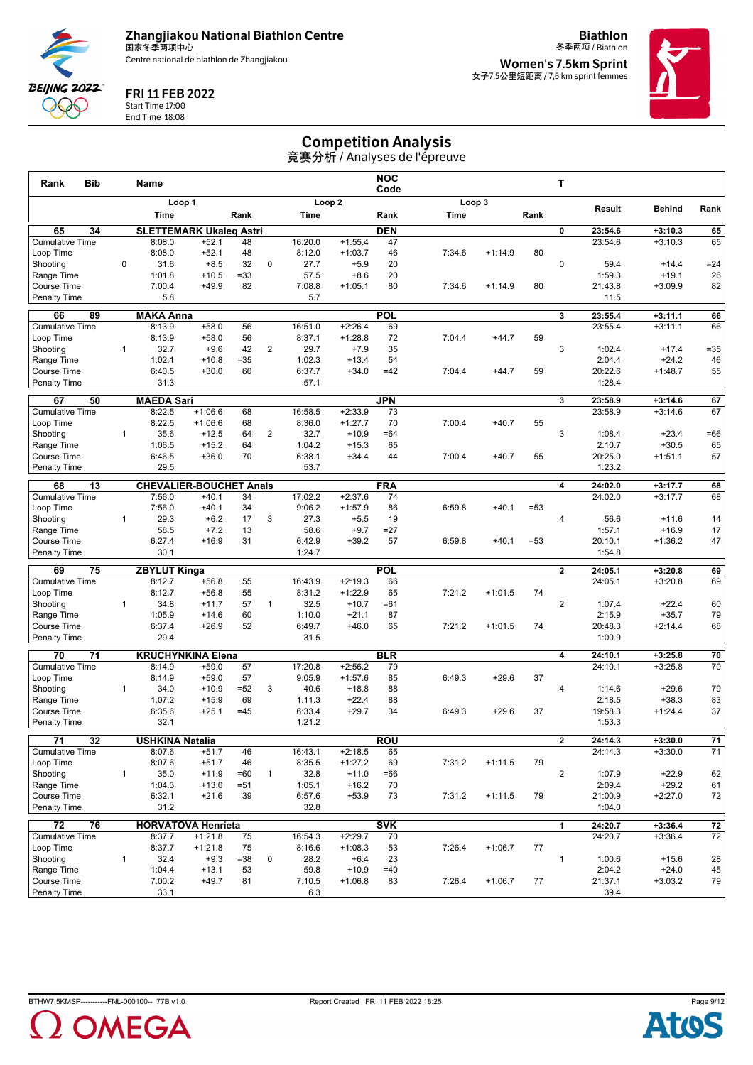

**Biathlon**



FRI 11 FEB 2022

Start Time 17:00 End Time 18:08

冬季两项 / Biathlon **Women's 7.5km Sprint** 女子7.5公里短距离 / 7,5 km sprint femmes



#### Competition Analysis

| <b>Bib</b><br>Rank                        |              | <b>Name</b>                         |                        |              |                |                   |                        | <b>NOC</b><br>Code |        |           |        | т              |                    |                        |                  |
|-------------------------------------------|--------------|-------------------------------------|------------------------|--------------|----------------|-------------------|------------------------|--------------------|--------|-----------|--------|----------------|--------------------|------------------------|------------------|
|                                           |              |                                     | Loop 1                 |              |                |                   | Loop <sub>2</sub>      |                    |        | Loop 3    |        |                | Result             | <b>Behind</b>          | Rank             |
|                                           |              | Time                                |                        | Rank         |                | Time              |                        | Rank               | Time   |           | Rank   |                |                    |                        |                  |
| 65<br>34                                  |              | <b>SLETTEMARK Ukaleq Astri</b>      |                        |              |                |                   |                        | <b>DEN</b>         |        |           |        | 0              | 23:54.6            | $+3:10.3$              | 65               |
| <b>Cumulative Time</b>                    |              | 8:08.0                              | $+52.1$                | 48           |                | 16:20.0           | $+1:55.4$              | 47                 |        |           |        |                | 23:54.6            | $+3:10.3$              | 65               |
| Loop Time                                 |              | 8:08.0                              | $+52.1$                | 48           |                | 8:12.0            | $+1:03.7$              | 46                 | 7:34.6 | $+1:14.9$ | 80     |                |                    |                        |                  |
| Shooting                                  | $\mathbf 0$  | 31.6<br>1:01.8                      | $+8.5$<br>$+10.5$      | 32<br>$= 33$ | 0              | 27.7<br>57.5      | $+5.9$<br>$+8.6$       | 20<br>20           |        |           |        | $\mathbf 0$    | 59.4<br>1:59.3     | $+14.4$<br>$+19.1$     | $= 24$<br>26     |
| Range Time<br>Course Time                 |              | 7:00.4                              | $+49.9$                | 82           |                | 7:08.8            | $+1:05.1$              | 80                 | 7:34.6 | $+1:14.9$ | 80     |                | 21:43.8            | $+3:09.9$              | 82               |
| Penalty Time                              |              | 5.8                                 |                        |              |                | 5.7               |                        |                    |        |           |        |                | 11.5               |                        |                  |
|                                           |              |                                     |                        |              |                |                   |                        |                    |        |           |        |                |                    |                        |                  |
| 66<br>89<br><b>Cumulative Time</b>        |              | <b>MAKA Anna</b><br>8:13.9          | $+58.0$                | 56           |                | 16:51.0           | $+2:26.4$              | <b>POL</b><br>69   |        |           |        | 3              | 23:55.4<br>23:55.4 | $+3:11.1$<br>$+3:11.1$ | 66<br>66         |
| Loop Time                                 |              | 8:13.9                              | $+58.0$                | 56           |                | 8:37.1            | $+1:28.8$              | 72                 | 7:04.4 | $+44.7$   | 59     |                |                    |                        |                  |
| Shooting                                  | $\mathbf{1}$ | 32.7                                | $+9.6$                 | 42           | $\overline{2}$ | 29.7              | $+7.9$                 | 35                 |        |           |        | 3              | 1:02.4             | $+17.4$                | $= 35$           |
| Range Time                                |              | 1:02.1                              | $+10.8$                | $= 35$       |                | 1:02.3            | $+13.4$                | 54                 |        |           |        |                | 2:04.4             | $+24.2$                | 46               |
| Course Time                               |              | 6:40.5                              | $+30.0$                | 60           |                | 6:37.7            | $+34.0$                | $=42$              | 7:04.4 | $+44.7$   | 59     |                | 20:22.6            | $+1:48.7$              | 55               |
| <b>Penalty Time</b>                       |              | 31.3                                |                        |              |                | 57.1              |                        |                    |        |           |        |                | 1:28.4             |                        |                  |
| 50<br>67                                  |              | <b>MAEDA Sari</b>                   |                        |              |                |                   |                        | <b>JPN</b>         |        |           |        | 3              | 23:58.9            | $+3:14.6$              | 67               |
| <b>Cumulative Time</b>                    |              | 8:22.5                              | $+1:06.6$              | 68           |                | 16:58.5           | $+2:33.9$              | 73                 |        |           |        |                | 23:58.9            | $+3:14.6$              | 67               |
| Loop Time                                 |              | 8:22.5                              | $+1:06.6$              | 68           |                | 8:36.0            | $+1:27.7$              | 70                 | 7:00.4 | $+40.7$   | 55     |                |                    |                        |                  |
| Shooting                                  | $\mathbf{1}$ | 35.6                                | $+12.5$                | 64           | $\overline{2}$ | 32.7              | $+10.9$                | =64                |        |           |        | 3              | 1:08.4             | $+23.4$                | $=66$            |
| Range Time                                |              | 1:06.5                              | $+15.2$                | 64           |                | 1:04.2            | $+15.3$                | 65                 |        |           |        |                | 2:10.7             | $+30.5$                | 65               |
| <b>Course Time</b>                        |              | 6:46.5                              | $+36.0$                | 70           |                | 6:38.1            | $+34.4$                | 44                 | 7:00.4 | $+40.7$   | 55     |                | 20:25.0            | $+1:51.1$              | 57               |
| <b>Penalty Time</b>                       |              | 29.5                                |                        |              |                | 53.7              |                        |                    |        |           |        |                | 1:23.2             |                        |                  |
| 68<br>13                                  |              | <b>CHEVALIER-BOUCHET Anais</b>      |                        |              |                |                   |                        | <b>FRA</b>         |        |           |        | 4              | 24:02.0            | $+3:17.7$              | 68               |
| <b>Cumulative Time</b>                    |              | 7:56.0                              | $+40.1$                | 34           |                | 17:02.2           | $+2:37.6$              | 74                 |        |           |        |                | 24:02.0            | $+3:17.7$              | 68               |
| Loop Time                                 |              | 7:56.0                              | $+40.1$                | 34           |                | 9:06.2            | $+1:57.9$              | 86                 | 6:59.8 | $+40.1$   | $= 53$ |                |                    |                        |                  |
| Shooting                                  | $\mathbf{1}$ | 29.3                                | $+6.2$                 | 17           | 3              | 27.3              | $+5.5$                 | 19                 |        |           |        | 4              | 56.6               | $+11.6$                | 14               |
| Range Time                                |              | 58.5                                | $+7.2$                 | 13           |                | 58.6              | $+9.7$                 | =27                |        |           |        |                | 1:57.1             | $+16.9$                | 17               |
| <b>Course Time</b><br><b>Penalty Time</b> |              | 6:27.4<br>30.1                      | $+16.9$                | 31           |                | 6:42.9<br>1:24.7  | $+39.2$                | 57                 | 6:59.8 | $+40.1$   | $= 53$ |                | 20:10.1<br>1:54.8  | $+1:36.2$              | 47               |
|                                           |              |                                     |                        |              |                |                   |                        |                    |        |           |        |                |                    |                        |                  |
| 69<br>75                                  |              | <b>ZBYLUT Kinga</b>                 |                        |              |                |                   |                        | <b>POL</b>         |        |           |        | $\overline{2}$ | 24:05.1            | $+3:20.8$              | 69               |
| <b>Cumulative Time</b>                    |              | 8:12.7<br>8:12.7                    | $+56.8$<br>$+56.8$     | 55<br>55     |                | 16:43.9<br>8:31.2 | $+2:19.3$<br>$+1:22.9$ | 66<br>65           | 7:21.2 | $+1:01.5$ | 74     |                | 24:05.1            | $+3:20.8$              | 69               |
| Loop Time<br>Shooting                     | $\mathbf{1}$ | 34.8                                | $+11.7$                | 57           | $\mathbf{1}$   | 32.5              | $+10.7$                | =61                |        |           |        | $\overline{2}$ | 1:07.4             | $+22.4$                | 60               |
| Range Time                                |              | 1:05.9                              | $+14.6$                | 60           |                | 1:10.0            | $+21.1$                | 87                 |        |           |        |                | 2:15.9             | $+35.7$                | 79               |
| Course Time                               |              | 6:37.4                              | $+26.9$                | 52           |                | 6:49.7            | $+46.0$                | 65                 | 7:21.2 | $+1:01.5$ | 74     |                | 20:48.3            | $+2:14.4$              | 68               |
| <b>Penalty Time</b>                       |              | 29.4                                |                        |              |                | 31.5              |                        |                    |        |           |        |                | 1:00.9             |                        |                  |
| 70<br>71                                  |              | <b>KRUCHYNKINA Elena</b>            |                        |              |                |                   |                        | <b>BLR</b>         |        |           |        | 4              | 24:10.1            | $+3:25.8$              | 70               |
| <b>Cumulative Time</b>                    |              | 8:14.9                              | $+59.0$                | 57           |                | 17:20.8           | $+2:56.2$              | 79                 |        |           |        |                | 24:10.1            | $+3:25.8$              | 70               |
| Loop Time                                 |              | 8:14.9                              | $+59.0$                | 57           |                | 9:05.9            | $+1:57.6$              | 85                 | 6:49.3 | $+29.6$   | 37     |                |                    |                        |                  |
| Shooting                                  | $\mathbf{1}$ | 34.0                                | $+10.9$                | $=52$        | 3              | 40.6              | $+18.8$                | 88                 |        |           |        | 4              | 1:14.6             | $+29.6$                | 79               |
| Range Time                                |              | 1:07.2                              | $+15.9$                | 69           |                | 1:11.3            | $+22.4$                | 88                 |        |           |        |                | 2:18.5             | $+38.3$                | 83               |
| Course Time                               |              | 6:35.6                              | $+25.1$                | $=45$        |                | 6:33.4            | $+29.7$                | 34                 | 6:49.3 | $+29.6$   | 37     |                | 19:58.3            | $+1:24.4$              | 37               |
| <b>Penalty Time</b>                       |              | 32.1                                |                        |              |                | 1:21.2            |                        |                    |        |           |        |                | 1:53.3             |                        |                  |
| $\overline{71}$<br>$\overline{32}$        |              | <b>USHKINA Natalia</b>              |                        |              |                |                   |                        | <b>ROU</b>         |        |           |        | $\mathbf{2}$   | 24:14.3            | $+3:30.0$              | $\overline{71}$  |
| <b>Cumulative Time</b>                    |              | 8:07.6                              | $+51.7$                | 46           |                | 16:43.1           | $+2:18.5$              | 65                 |        |           |        |                | 24:14.3            | $+3:30.0$              | $\overline{71}$  |
| Loop Time                                 |              | 8:07.6                              | $+51.7$                | 46           |                | 8:35.5            | $+1:27.2$              | 69                 | 7:31.2 | $+1:11.5$ | 79     |                |                    |                        |                  |
| Shooting                                  | $\mathbf{1}$ | 35.0                                | $+11.9$                | $=60$        | $\mathbf{1}$   | 32.8              | $+11.0$                | =66                |        |           |        | $\overline{2}$ | 1:07.9             | $+22.9$                | 62               |
| Range Time                                |              | 1:04.3                              | $+13.0$                | $= 51$       |                | 1:05.1            | $+16.2$                | 70                 |        |           |        |                | 2:09.4             | $+29.2$                | 61               |
| Course Time<br><b>Penalty Time</b>        |              | 6:32.1<br>31.2                      | $+21.6$                | 39           |                | 6:57.6<br>32.8    | $+53.9$                | 73                 | 7:31.2 | $+1:11.5$ | 79     |                | 21:00.9<br>1:04.0  | $+2:27.0$              | 72               |
|                                           |              |                                     |                        |              |                |                   |                        |                    |        |           |        |                |                    |                        |                  |
| 76<br>72<br><b>Cumulative Time</b>        |              | <b>HORVATOVA Henrieta</b><br>8:37.7 |                        | 75           |                | 16:54.3           | $+2:29.7$              | <b>SVK</b><br>70   |        |           |        | 1              | 24:20.7<br>24:20.7 | $+3:36.4$<br>$+3:36.4$ | ${\bf 72}$<br>72 |
| Loop Time                                 |              | 8:37.7                              | $+1:21.8$<br>$+1:21.8$ | 75           |                | 8:16.6            | $+1:08.3$              | 53                 | 7:26.4 | $+1:06.7$ | 77     |                |                    |                        |                  |
| Shootina                                  | $\mathbf{1}$ | 32.4                                | $+9.3$                 | $= 38$       | 0              | 28.2              | $+6.4$                 | 23                 |        |           |        | $\mathbf{1}$   | 1:00.6             | $+15.6$                | 28               |
| Range Time                                |              | 1:04.4                              | $+13.1$                | 53           |                | 59.8              | $+10.9$                | $=40$              |        |           |        |                | 2:04.2             | $+24.0$                | 45               |
| Course Time                               |              | 7:00.2                              | $+49.7$                | 81           |                | 7:10.5            | $+1:06.8$              | 83                 | 7:26.4 | $+1:06.7$ | 77     |                | 21:37.1            | $+3:03.2$              | 79               |
| Penalty Time                              |              | 33.1                                |                        |              |                | 6.3               |                        |                    |        |           |        |                | 39.4               |                        |                  |



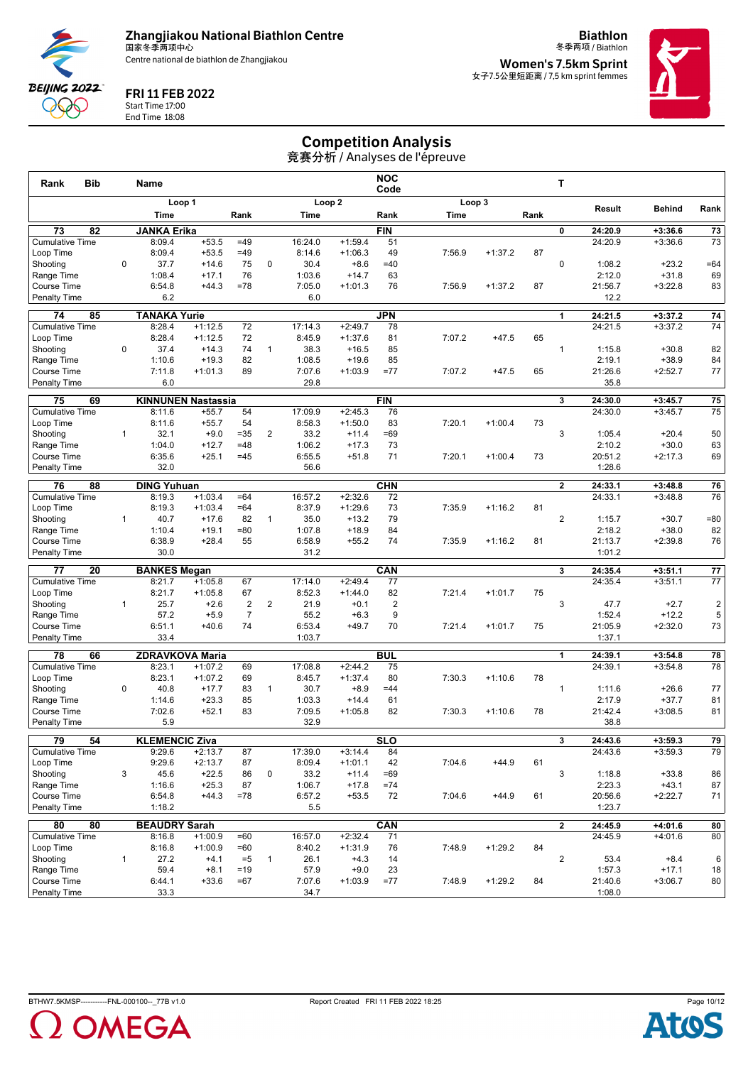

**Biathlon** 冬季两项 / Biathlon

**Women's 7.5km Sprint** 女子7.5公里短距离 / 7,5 km sprint femmes

#### FRI 11 FEB 2022

Start Time 17:00 End Time 18:08

**BEIJING 2022** QQQ

#### Competition Analysis

| Rank                                      | <b>Bib</b>      |              | Name                          |                        |                         |                |                   |                        | <b>NOC</b><br>Code |             |           |      | Т                       |                    |                        |                         |
|-------------------------------------------|-----------------|--------------|-------------------------------|------------------------|-------------------------|----------------|-------------------|------------------------|--------------------|-------------|-----------|------|-------------------------|--------------------|------------------------|-------------------------|
|                                           |                 |              |                               | Loop 1                 |                         |                |                   | Loop <sub>2</sub>      |                    |             | Loop 3    |      |                         | Result             | <b>Behind</b>          | Rank                    |
|                                           |                 |              | Time                          |                        | Rank                    |                | Time              |                        | Rank               | <b>Time</b> |           | Rank |                         |                    |                        |                         |
| 73                                        | 82              |              | <b>JANKA Erika</b>            |                        |                         |                |                   |                        | <b>FIN</b>         |             |           |      | 0                       | 24:20.9            | $+3:36.6$              | 73                      |
| <b>Cumulative Time</b>                    |                 |              | 8:09.4                        | $+53.5$                | $=49$                   |                | 16:24.0           | $+1:59.4$              | 51                 |             |           |      |                         | 24:20.9            | $+3:36.6$              | 73                      |
| Loop Time                                 |                 |              | 8:09.4                        | $+53.5$                | $=49$                   |                | 8:14.6            | $+1:06.3$              | 49                 | 7:56.9      | $+1:37.2$ | 87   |                         |                    |                        |                         |
| Shooting                                  |                 | 0            | 37.7                          | $+14.6$                | 75                      | $\mathbf 0$    | 30.4              | $+8.6$                 | $=40$              |             |           |      | 0                       | 1:08.2             | $+23.2$                | $=64$                   |
| Range Time                                |                 |              | 1:08.4                        | $+17.1$                | 76<br>$=78$             |                | 1:03.6            | $+14.7$                | 63<br>76           |             |           |      |                         | 2:12.0             | $+31.8$                | 69                      |
| Course Time<br><b>Penalty Time</b>        |                 |              | 6:54.8<br>6.2                 | $+44.3$                |                         |                | 7:05.0<br>6.0     | $+1:01.3$              |                    | 7:56.9      | $+1:37.2$ | 87   |                         | 21:56.7<br>12.2    | $+3:22.8$              | 83                      |
|                                           |                 |              |                               |                        |                         |                |                   |                        |                    |             |           |      |                         |                    |                        |                         |
| 74                                        | 85              |              | <b>TANAKA Yurie</b>           |                        |                         |                |                   |                        | <b>JPN</b>         |             |           |      | 1                       | 24:21.5            | $+3:37.2$              | 74                      |
| <b>Cumulative Time</b>                    |                 |              | 8:28.4<br>8:28.4              | $+1:12.5$<br>$+1:12.5$ | 72<br>72                |                | 17:14.3<br>8:45.9 | $+2:49.7$<br>$+1:37.6$ | 78<br>81           | 7:07.2      | $+47.5$   | 65   |                         | 24:21.5            | $+3:37.2$              | 74                      |
| Loop Time<br>Shooting                     |                 | 0            | 37.4                          | $+14.3$                | 74                      | $\mathbf{1}$   | 38.3              | $+16.5$                | 85                 |             |           |      | $\mathbf{1}$            | 1:15.8             | $+30.8$                | 82                      |
| Range Time                                |                 |              | 1:10.6                        | $+19.3$                | 82                      |                | 1:08.5            | $+19.6$                | 85                 |             |           |      |                         | 2:19.1             | $+38.9$                | 84                      |
| Course Time                               |                 |              | 7:11.8                        | $+1:01.3$              | 89                      |                | 7:07.6            | $+1:03.9$              | $= 77$             | 7:07.2      | $+47.5$   | 65   |                         | 21:26.6            | $+2:52.7$              | 77                      |
| <b>Penalty Time</b>                       |                 |              | 6.0                           |                        |                         |                | 29.8              |                        |                    |             |           |      |                         | 35.8               |                        |                         |
| 75                                        | 69              |              | <b>KINNUNEN Nastassia</b>     |                        |                         |                |                   |                        | <b>FIN</b>         |             |           |      | 3                       | 24:30.0            | $+3:45.7$              | 75                      |
| <b>Cumulative Time</b>                    |                 |              | 8:11.6                        | $+55.7$                | 54                      |                | 17:09.9           | $+2:45.3$              | 76                 |             |           |      |                         | 24:30.0            | $+3:45.7$              | 75                      |
| Loop Time                                 |                 |              | 8:11.6                        | $+55.7$                | 54                      |                | 8:58.3            | $+1:50.0$              | 83                 | 7:20.1      | $+1:00.4$ | 73   |                         |                    |                        |                         |
| Shooting                                  |                 | 1            | 32.1                          | $+9.0$                 | $= 35$                  | $\overline{2}$ | 33.2              | $+11.4$                | $=69$              |             |           |      | 3                       | 1:05.4             | $+20.4$                | 50                      |
| Range Time                                |                 |              | 1:04.0                        | $+12.7$                | $=48$                   |                | 1:06.2            | $+17.3$                | 73                 |             |           |      |                         | 2:10.2             | $+30.0$                | 63                      |
| Course Time                               |                 |              | 6:35.6                        | $+25.1$                | $=45$                   |                | 6:55.5            | $+51.8$                | 71                 | 7:20.1      | $+1:00.4$ | 73   |                         | 20:51.2            | $+2:17.3$              | 69                      |
| Penalty Time                              |                 |              | 32.0                          |                        |                         |                | 56.6              |                        |                    |             |           |      |                         | 1:28.6             |                        |                         |
| 76                                        | 88              |              | <b>DING Yuhuan</b>            |                        |                         |                |                   |                        | <b>CHN</b>         |             |           |      | $\mathbf{2}$            | 24:33.1            | $+3:48.8$              | 76                      |
| <b>Cumulative Time</b>                    |                 |              | 8:19.3                        | $+1:03.4$              | $=64$                   |                | 16:57.2           | $+2:32.6$              | 72                 |             |           |      |                         | 24:33.1            | $+3:48.8$              | 76                      |
| Loop Time                                 |                 |              | 8:19.3                        | $+1:03.4$              | $=64$                   |                | 8:37.9            | $+1:29.6$              | 73                 | 7:35.9      | $+1:16.2$ | 81   |                         |                    |                        |                         |
| Shooting                                  |                 | $\mathbf{1}$ | 40.7                          | $+17.6$                | 82                      | $\mathbf{1}$   | 35.0              | $+13.2$                | 79                 |             |           |      | $\overline{2}$          | 1:15.7             | $+30.7$                | $= 80$                  |
| Range Time<br><b>Course Time</b>          |                 |              | 1:10.4<br>6:38.9              | $+19.1$<br>$+28.4$     | $= 80$<br>55            |                | 1:07.8<br>6:58.9  | $+18.9$<br>$+55.2$     | 84<br>74           | 7:35.9      | $+1:16.2$ | 81   |                         | 2:18.2<br>21:13.7  | $+38.0$<br>$+2:39.8$   | 82<br>76                |
| <b>Penalty Time</b>                       |                 |              | 30.0                          |                        |                         |                | 31.2              |                        |                    |             |           |      |                         | 1:01.2             |                        |                         |
|                                           |                 |              |                               |                        |                         |                |                   |                        |                    |             |           |      |                         |                    |                        |                         |
| $\overline{77}$<br><b>Cumulative Time</b> | 20              |              | <b>BANKES Megan</b><br>8:21.7 | $+1:05.8$              | 67                      |                | 17:14.0           | $+2:49.4$              | CAN<br>77          |             |           |      | $\overline{\mathbf{3}}$ | 24:35.4<br>24:35.4 | $+3:51.1$<br>$+3:51.1$ | 77<br>$\overline{77}$   |
| Loop Time                                 |                 |              | 8:21.7                        | $+1:05.8$              | 67                      |                | 8:52.3            | $+1:44.0$              | 82                 | 7:21.4      | $+1:01.7$ | 75   |                         |                    |                        |                         |
| Shooting                                  |                 | $\mathbf{1}$ | 25.7                          | $+2.6$                 | $\overline{\mathbf{c}}$ | $\overline{2}$ | 21.9              | $+0.1$                 | $\overline{2}$     |             |           |      | 3                       | 47.7               | $+2.7$                 | $\overline{\mathbf{c}}$ |
| Range Time                                |                 |              | 57.2                          | $+5.9$                 | 7                       |                | 55.2              | $+6.3$                 | 9                  |             |           |      |                         | 1:52.4             | $+12.2$                | 5                       |
| Course Time                               |                 |              | 6:51.1                        | $+40.6$                | 74                      |                | 6:53.4            | $+49.7$                | 70                 | 7:21.4      | $+1:01.7$ | 75   |                         | 21:05.9            | $+2:32.0$              | 73                      |
| <b>Penalty Time</b>                       |                 |              | 33.4                          |                        |                         |                | 1:03.7            |                        |                    |             |           |      |                         | 1:37.1             |                        |                         |
| 78                                        | 66              |              | <b>ZDRAVKOVA Maria</b>        |                        |                         |                |                   |                        | <b>BUL</b>         |             |           |      | 1                       | 24:39.1            | $+3:54.8$              | 78                      |
| <b>Cumulative Time</b>                    |                 |              | 8:23.1                        | $+1:07.2$              | 69                      |                | 17:08.8           | $+2:44.2$              | 75                 |             |           |      |                         | 24:39.1            | $+3:54.8$              | 78                      |
| Loop Time                                 |                 |              | 8:23.1                        | $+1:07.2$              | 69                      |                | 8:45.7            | $+1:37.4$              | 80                 | 7:30.3      | $+1:10.6$ | 78   |                         |                    |                        |                         |
| Shooting                                  |                 | 0            | 40.8                          | $+17.7$                | 83                      | $\mathbf{1}$   | 30.7              | $+8.9$                 | $=44$              |             |           |      | $\mathbf{1}$            | 1:11.6             | $+26.6$                | 77                      |
| Range Time                                |                 |              | 1:14.6                        | $+23.3$                | 85                      |                | 1:03.3            | $+14.4$                | 61                 |             |           |      |                         | 2:17.9             | $+37.7$                | 81                      |
| Course Time<br>Penalty Time               |                 |              | 7:02.6<br>5.9                 | $+52.1$                | 83                      |                | 7:09.5<br>32.9    | $+1:05.8$              | 82                 | 7:30.3      | $+1:10.6$ | 78   |                         | 21:42.4<br>38.8    | $+3:08.5$              | 81                      |
|                                           |                 |              |                               |                        |                         |                |                   |                        |                    |             |           |      |                         |                    |                        |                         |
| 79                                        | $\overline{54}$ |              | <b>KLEMENCIC Ziva</b>         |                        |                         |                |                   |                        | <b>SLO</b>         |             |           |      | 3                       | 24:43.6            | $+3:59.3$              | 79                      |
| <b>Cumulative Time</b>                    |                 |              | 9:29.6                        | $+2:13.7$              | 87                      |                | 17:39.0           | $+3:14.4$              | 84                 |             |           |      |                         | 24:43.6            | $+3:59.3$              | 79                      |
| Loop Time                                 |                 |              | 9:29.6                        | $+2:13.7$              | 87                      |                | 8:09.4            | $+1:01.1$              | 42                 | 7:04.6      | $+44.9$   | 61   | 3                       |                    |                        |                         |
| Shooting<br>Range Time                    |                 | 3            | 45.6<br>1:16.6                | $+22.5$<br>$+25.3$     | 86<br>87                | $\pmb{0}$      | 33.2<br>1:06.7    | $+11.4$<br>$+17.8$     | =69<br>$=74$       |             |           |      |                         | 1:18.8<br>2:23.3   | $+33.8$<br>$+43.1$     | 86<br>87                |
| Course Time                               |                 |              | 6:54.8                        | $+44.3$                | $=78$                   |                | 6:57.2            | $+53.5$                | 72                 | 7:04.6      | $+44.9$   | 61   |                         | 20:56.6            | $+2:22.7$              | 71                      |
| Penalty Time                              |                 |              | 1:18.2                        |                        |                         |                | 5.5               |                        |                    |             |           |      |                         | 1:23.7             |                        |                         |
| 80                                        | 80              |              | <b>BEAUDRY Sarah</b>          |                        |                         |                |                   |                        | CAN                |             |           |      | $\mathbf{2}$            | 24:45.9            | $+4:01.6$              | 80                      |
| <b>Cumulative Time</b>                    |                 |              | 8:16.8                        | $+1:00.9$              | $=60$                   |                | 16:57.0           | $+2:32.4$              | 71                 |             |           |      |                         | 24:45.9            | $+4:01.6$              | 80                      |
| Loop Time                                 |                 |              | 8:16.8                        | $+1:00.9$              | $=60$                   |                | 8:40.2            | $+1:31.9$              | 76                 | 7:48.9      | $+1:29.2$ | 84   |                         |                    |                        |                         |
| Shooting                                  |                 | $\mathbf{1}$ | 27.2                          | $+4.1$                 | $= 5$                   | 1              | 26.1              | $+4.3$                 | 14                 |             |           |      | $\overline{2}$          | 53.4               | $+8.4$                 | 6                       |
| Range Time                                |                 |              | 59.4                          | $+8.1$                 | $=19$                   |                | 57.9              | $+9.0$                 | 23                 |             |           |      |                         | 1:57.3             | $+17.1$                | 18                      |
| Course Time                               |                 |              | 6:44.1                        | $+33.6$                | $=67$                   |                | 7:07.6            | $+1:03.9$              | $=77$              | 7:48.9      | $+1:29.2$ | 84   |                         | 21:40.6            | $+3:06.7$              | 80                      |
| <b>Penalty Time</b>                       |                 |              | 33.3                          |                        |                         |                | 34.7              |                        |                    |             |           |      |                         | 1:08.0             |                        |                         |



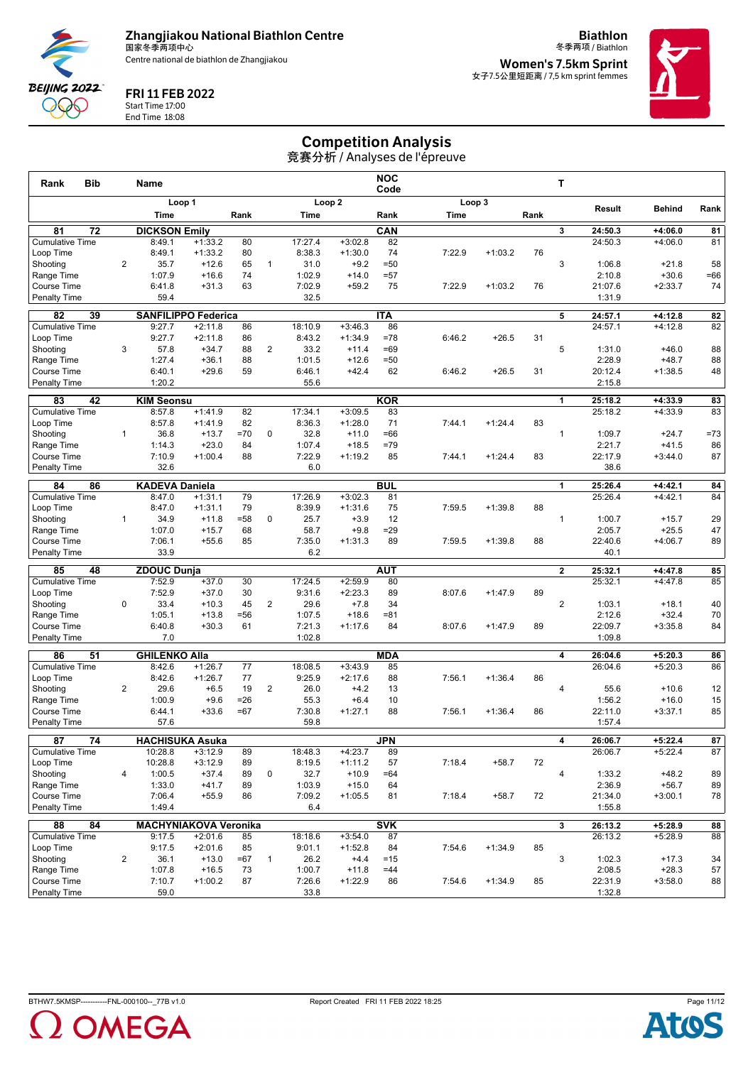

**Biathlon** 冬季两项 / Biathlon



FRI 11 FEB 2022

Start Time 17:00 End Time 18:08 **Women's 7.5km Sprint** 女子7.5公里短距离 / 7,5 km sprint femmes



## Competition Analysis

| <b>Bib</b><br>Rank                  |                | Name                            |                        |              |                |                   |                        | <b>NOC</b><br>Code |        |           |      | т                       |                    |                        |                 |
|-------------------------------------|----------------|---------------------------------|------------------------|--------------|----------------|-------------------|------------------------|--------------------|--------|-----------|------|-------------------------|--------------------|------------------------|-----------------|
|                                     |                |                                 | Loop 1                 |              |                |                   | Loop <sub>2</sub>      |                    | Loop 3 |           |      |                         |                    |                        |                 |
|                                     |                | Time                            |                        | Rank         |                | Time              |                        | Rank               | Time   |           | Rank |                         | Result             | Behind                 | Rank            |
| 81<br>72                            |                | <b>DICKSON Emily</b>            |                        |              |                |                   |                        | CAN                |        |           |      | 3                       | 24:50.3            | $+4:06.0$              | 81              |
| <b>Cumulative Time</b>              |                | 8:49.1                          | $+1:33.2$              | 80           |                | 17:27.4           | $+3:02.8$              | 82                 |        |           |      |                         | 24:50.3            | $+4:06.0$              | 81              |
| Loop Time                           |                | 8:49.1                          | $+1:33.2$              | 80           |                | 8:38.3            | $+1:30.0$              | 74                 | 7:22.9 | $+1:03.2$ | 76   |                         |                    |                        |                 |
| Shooting<br>Range Time              | $\overline{2}$ | 35.7<br>1:07.9                  | $+12.6$<br>$+16.6$     | 65<br>74     | $\mathbf{1}$   | 31.0<br>1:02.9    | $+9.2$<br>$+14.0$      | $=50$<br>$= 57$    |        |           |      | 3                       | 1:06.8<br>2:10.8   | $+21.8$<br>$+30.6$     | 58<br>$=66$     |
| <b>Course Time</b>                  |                | 6:41.8                          | $+31.3$                | 63           |                | 7:02.9            | $+59.2$                | 75                 | 7:22.9 | $+1:03.2$ | 76   |                         | 21:07.6            | $+2:33.7$              | 74              |
| Penalty Time                        |                | 59.4                            |                        |              |                | 32.5              |                        |                    |        |           |      |                         | 1:31.9             |                        |                 |
| 82<br>39                            |                | <b>SANFILIPPO Federica</b>      |                        |              |                |                   |                        | <b>ITA</b>         |        |           |      | 5                       | 24:57.1            | $+4:12.8$              | 82              |
| <b>Cumulative Time</b>              |                | 9:27.7                          | $+2:11.8$              | 86           |                | 18:10.9           | $+3:46.3$              | 86                 |        |           |      |                         | 24:57.1            | $+4:12.8$              | 82              |
| Loop Time                           |                | 9:27.7                          | $+2:11.8$              | 86           |                | 8:43.2            | $+1:34.9$              | $=78$              | 6:46.2 | $+26.5$   | 31   |                         |                    |                        |                 |
| Shooting                            | 3              | 57.8                            | $+34.7$                | 88           | $\overline{2}$ | 33.2              | $+11.4$                | $=69$              |        |           |      | 5                       | 1:31.0             | $+46.0$                | 88              |
| Range Time                          |                | 1:27.4                          | $+36.1$                | 88           |                | 1:01.5            | $+12.6$                | =50                |        |           |      |                         | 2:28.9             | $+48.7$                | 88              |
| Course Time                         |                | 6:40.1                          | $+29.6$                | 59           |                | 6:46.1            | $+42.4$                | 62                 | 6:46.2 | $+26.5$   | 31   |                         | 20:12.4            | $+1:38.5$              | 48              |
| <b>Penalty Time</b>                 |                | 1:20.2                          |                        |              |                | 55.6              |                        |                    |        |           |      |                         | 2:15.8             |                        |                 |
| 83<br>42                            |                | <b>KIM Seonsu</b>               |                        |              |                |                   |                        | <b>KOR</b>         |        |           |      | 1                       | 25:18.2            | $+4:33.9$              | 83              |
| <b>Cumulative Time</b>              |                | 8:57.8                          | $+1:41.9$              | 82           |                | 17:34.1           | $+3:09.5$              | 83                 |        |           |      |                         | 25:18.2            | $+4:33.9$              | 83              |
| Loop Time                           |                | 8:57.8                          | $+1:41.9$              | 82           |                | 8:36.3            | $+1:28.0$              | 71                 | 7:44.1 | $+1:24.4$ | 83   |                         |                    |                        |                 |
| Shooting                            | $\mathbf{1}$   | 36.8                            | $+13.7$                | $=70$        | 0              | 32.8              | $+11.0$                | $=66$              |        |           |      | $\mathbf{1}$            | 1:09.7             | $+24.7$                | $=73$           |
| Range Time<br>Course Time           |                | 1:14.3<br>7:10.9                | $+23.0$<br>$+1:00.4$   | 84<br>88     |                | 1:07.4<br>7:22.9  | $+18.5$<br>$+1:19.2$   | $=79$<br>85        | 7:44.1 | $+1:24.4$ | 83   |                         | 2:21.7<br>22:17.9  | $+41.5$<br>$+3:44.0$   | 86<br>87        |
| <b>Penalty Time</b>                 |                | 32.6                            |                        |              |                | 6.0               |                        |                    |        |           |      |                         | 38.6               |                        |                 |
|                                     |                |                                 |                        |              |                |                   |                        |                    |        |           |      |                         |                    |                        |                 |
| 86<br>84<br><b>Cumulative Time</b>  |                | <b>KADEVA Daniela</b><br>8:47.0 |                        | 79           |                | 17:26.9           | $+3:02.3$              | <b>BUL</b><br>81   |        |           |      | 1                       | 25:26.4<br>25:26.4 | $+4:42.1$<br>$+4:42.1$ | 84<br>84        |
| Loop Time                           |                | 8:47.0                          | $+1:31.1$<br>$+1:31.1$ | 79           |                | 8:39.9            | $+1:31.6$              | 75                 | 7:59.5 | $+1:39.8$ | 88   |                         |                    |                        |                 |
| Shooting                            | $\mathbf{1}$   | 34.9                            | $+11.8$                | $= 58$       | 0              | 25.7              | $+3.9$                 | 12                 |        |           |      | $\mathbf{1}$            | 1:00.7             | $+15.7$                | 29              |
| Range Time                          |                | 1:07.0                          | $+15.7$                | 68           |                | 58.7              | $+9.8$                 | $= 29$             |        |           |      |                         | 2:05.7             | $+25.5$                | 47              |
| <b>Course Time</b>                  |                | 7:06.1                          | $+55.6$                | 85           |                | 7:35.0            | $+1:31.3$              | 89                 | 7:59.5 | $+1:39.8$ | 88   |                         | 22:40.6            | $+4:06.7$              | 89              |
| <b>Penalty Time</b>                 |                | 33.9                            |                        |              |                | 6.2               |                        |                    |        |           |      |                         | 40.1               |                        |                 |
| 85<br>48                            |                | <b>ZDOUC Dunja</b>              |                        |              |                |                   |                        | <b>AUT</b>         |        |           |      | 2                       | 25:32.1            | $+4:47.8$              | 85              |
| <b>Cumulative Time</b>              |                | 7:52.9                          | $+37.0$                | 30           |                | 17:24.5           | $+2:59.9$              | 80                 |        |           |      |                         | 25:32.1            | $+4:47.8$              | 85              |
| Loop Time                           |                | 7:52.9                          | $+37.0$                | 30           |                | 9:31.6            | $+2:23.3$              | 89                 | 8:07.6 | $+1:47.9$ | 89   |                         |                    |                        |                 |
| Shooting                            | $\mathbf 0$    | 33.4                            | $+10.3$                | 45           | $\overline{2}$ | 29.6              | $+7.8$                 | 34                 |        |           |      | $\overline{2}$          | 1:03.1             | $+18.1$                | 40              |
| Range Time<br>Course Time           |                | 1:05.1<br>6:40.8                | $+13.8$<br>$+30.3$     | $= 56$<br>61 |                | 1:07.5<br>7:21.3  | $+18.6$<br>$+1:17.6$   | =81<br>84          | 8:07.6 | $+1:47.9$ | 89   |                         | 2:12.6<br>22:09.7  | $+32.4$                | 70<br>84        |
| <b>Penalty Time</b>                 |                | 7.0                             |                        |              |                | 1:02.8            |                        |                    |        |           |      |                         | 1:09.8             | $+3:35.8$              |                 |
|                                     |                |                                 |                        |              |                |                   |                        |                    |        |           |      |                         |                    |                        |                 |
| 86<br>51                            |                | <b>GHILENKO Alla</b>            |                        |              |                |                   |                        | <b>MDA</b>         |        |           |      | 4                       | 26:04.6            | $+5:20.3$              | 86              |
| <b>Cumulative Time</b><br>Loop Time |                | 8:42.6<br>8:42.6                | $+1:26.7$<br>$+1:26.7$ | 77<br>77     |                | 18:08.5<br>9:25.9 | $+3:43.9$<br>$+2:17.6$ | 85<br>88           | 7:56.1 | $+1:36.4$ | 86   |                         | 26:04.6            | $+5:20.3$              | 86              |
| Shooting                            | $\overline{2}$ | 29.6                            | $+6.5$                 | 19           | 2              | 26.0              | $+4.2$                 | 13                 |        |           |      | 4                       | 55.6               | $+10.6$                | 12              |
| Range Time                          |                | 1:00.9                          | $+9.6$                 | $= 26$       |                | 55.3              | $+6.4$                 | 10                 |        |           |      |                         | 1:56.2             | $+16.0$                | 15              |
| Course Time                         |                | 6:44.1                          | $+33.6$                | $=67$        |                | 7:30.8            | $+1:27.1$              | 88                 | 7:56.1 | $+1:36.4$ | 86   |                         | 22:11.0            | $+3:37.1$              | 85              |
| <b>Penalty Time</b>                 |                | 57.6                            |                        |              |                | 59.8              |                        |                    |        |           |      |                         | 1:57.4             |                        |                 |
| $\overline{87}$<br>74               |                | <b>HACHISUKA Asuka</b>          |                        |              |                |                   |                        | <b>JPN</b>         |        |           |      | $\overline{A}$          | 26:06.7            | $+5:22.4$              | $\overline{87}$ |
| <b>Cumulative Time</b>              |                | 10:28.8                         | $+3:12.9$              | 89           |                | 18:48.3           | $+4:23.7$              | 89                 |        |           |      |                         | 26:06.7            | $+5:22.4$              | 87              |
| Loop Time                           |                | 10:28.8                         | $+3:12.9$              | 89           |                | 8:19.5            | $+1:11.2$              | 57                 | 7:18.4 | $+58.7$   | 72   |                         |                    |                        |                 |
| Shootina                            | 4              | 1:00.5                          | $+37.4$                | 89           | $\pmb{0}$      | 32.7              | $+10.9$                | $=64$              |        |           |      | $\overline{\mathbf{4}}$ | 1:33.2             | $+48.2$                | 89              |
| Range Time                          |                | 1:33.0                          | $+41.7$                | 89           |                | 1:03.9            | $+15.0$                | 64                 |        |           |      |                         | 2:36.9             | $+56.7$                | 89              |
| Course Time                         |                | 7:06.4                          | $+55.9$                | 86           |                | 7:09.2            | $+1:05.5$              | 81                 | 7:18.4 | $+58.7$   | 72   |                         | 21:34.0            | $+3:00.1$              | 78              |
| <b>Penalty Time</b>                 |                | 1:49.4                          |                        |              |                | 6.4               |                        |                    |        |           |      |                         | 1:55.8             |                        |                 |
| 88<br>84                            |                | <b>MACHYNIAKOVA Veronika</b>    |                        |              |                |                   |                        | <b>SVK</b>         |        |           |      | 3                       | 26:13.2            | $+5:28.9$              | 88              |
| <b>Cumulative Time</b>              |                | 9:17.5                          | $+2:01.6$              | 85           |                | 18:18.6           | $+3:54.0$              | 87                 |        |           |      |                         | 26:13.2            | $+5:28.9$              | 88              |
| Loop Time<br>Shooting               | $\overline{2}$ | 9:17.5                          | $+2:01.6$              | 85<br>$= 67$ | $\mathbf{1}$   | 9:01.1<br>26.2    | $+1:52.8$<br>$+4.4$    | 84<br>$=15$        | 7:54.6 | $+1:34.9$ | 85   | 3                       |                    | $+17.3$                | 34              |
| Range Time                          |                | 36.1<br>1:07.8                  | $+13.0$<br>$+16.5$     | 73           |                | 1:00.7            | $+11.8$                | $=44$              |        |           |      |                         | 1:02.3<br>2:08.5   | $+28.3$                | 57              |
| Course Time                         |                | 7:10.7                          | $+1:00.2$              | 87           |                | 7:26.6            | $+1:22.9$              | 86                 | 7:54.6 | $+1:34.9$ | 85   |                         | 22:31.9            | $+3:58.0$              | 88              |
| <b>Penalty Time</b>                 |                | 59.0                            |                        |              |                | 33.8              |                        |                    |        |           |      |                         | 1:32.8             |                        |                 |